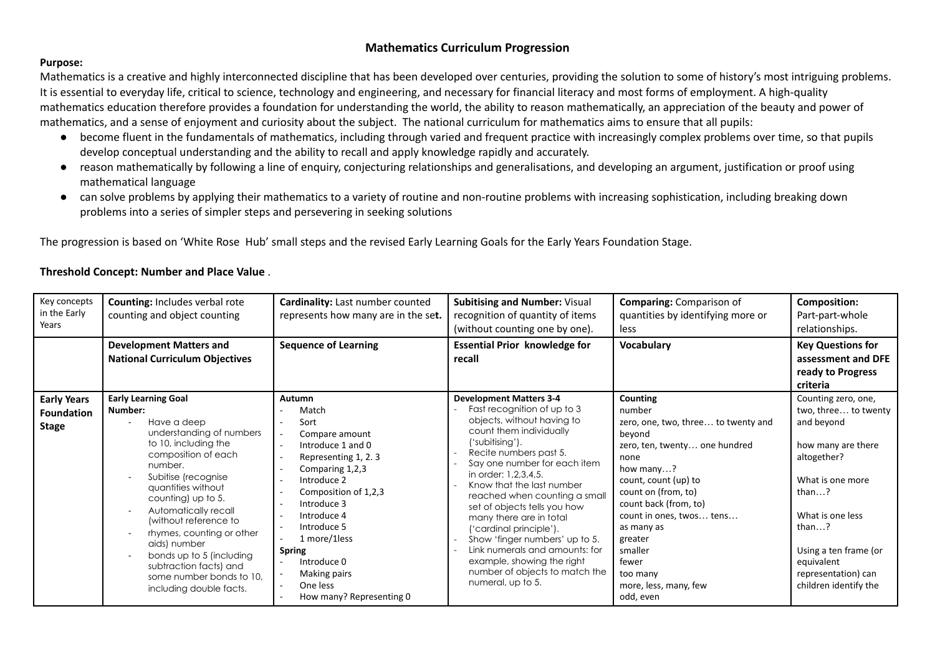#### **Purpose:**

Mathematics is a creative and highly interconnected discipline that has been developed over centuries, providing the solution to some of history's most intriguing problems. It is essential to everyday life, critical to science, technology and engineering, and necessary for financial literacy and most forms of employment. A high-quality mathematics education therefore provides a foundation for understanding the world, the ability to reason mathematically, an appreciation of the beauty and power of mathematics, and a sense of enjoyment and curiosity about the subject. The national curriculum for mathematics aims to ensure that all pupils:

- become fluent in the fundamentals of mathematics, including through varied and frequent practice with increasingly complex problems over time, so that pupils develop conceptual understanding and the ability to recall and apply knowledge rapidly and accurately.
- reason mathematically by following a line of enquiry, conjecturing relationships and generalisations, and developing an argument, justification or proof using mathematical language
- can solve problems by applying their mathematics to a variety of routine and non-routine problems with increasing sophistication, including breaking down problems into a series of simpler steps and persevering in seeking solutions

The progression is based on 'White Rose Hub' small steps and the revised Early Learning Goals for the Early Years Foundation Stage.

#### **Threshold Concept: Number and Place Value** .

| Key concepts<br>in the Early<br>Years                   | <b>Counting: Includes verbal rote</b><br>counting and object counting                                                                                                                                                                                                                                                                                                                                                                                                                                | <b>Cardinality:</b> Last number counted<br>represents how many are in the set.                                                                                                                                                                                                                                           | <b>Subitising and Number: Visual</b><br>recognition of quantity of items<br>(without counting one by one).                                                                                                                                                                                                                                                                                                                                                                                                                               | <b>Comparing: Comparison of</b><br>quantities by identifying more or<br>less                                                                                                                                                                                                                                                        | <b>Composition:</b><br>Part-part-whole<br>relationships.                                                                                                                                                                                                           |
|---------------------------------------------------------|------------------------------------------------------------------------------------------------------------------------------------------------------------------------------------------------------------------------------------------------------------------------------------------------------------------------------------------------------------------------------------------------------------------------------------------------------------------------------------------------------|--------------------------------------------------------------------------------------------------------------------------------------------------------------------------------------------------------------------------------------------------------------------------------------------------------------------------|------------------------------------------------------------------------------------------------------------------------------------------------------------------------------------------------------------------------------------------------------------------------------------------------------------------------------------------------------------------------------------------------------------------------------------------------------------------------------------------------------------------------------------------|-------------------------------------------------------------------------------------------------------------------------------------------------------------------------------------------------------------------------------------------------------------------------------------------------------------------------------------|--------------------------------------------------------------------------------------------------------------------------------------------------------------------------------------------------------------------------------------------------------------------|
|                                                         | <b>Development Matters and</b><br><b>National Curriculum Objectives</b>                                                                                                                                                                                                                                                                                                                                                                                                                              | <b>Sequence of Learning</b>                                                                                                                                                                                                                                                                                              | <b>Essential Prior knowledge for</b><br>recall                                                                                                                                                                                                                                                                                                                                                                                                                                                                                           | Vocabulary                                                                                                                                                                                                                                                                                                                          | <b>Key Questions for</b><br>assessment and DFE<br>ready to Progress<br>criteria                                                                                                                                                                                    |
| <b>Early Years</b><br><b>Foundation</b><br><b>Stage</b> | <b>Early Learning Goal</b><br>Number:<br>Have a deep<br>understanding of numbers<br>to 10, including the<br>composition of each<br>number.<br>Subitise (recognise<br>$\overline{\phantom{a}}$<br>quantities without<br>counting) up to 5.<br>Automatically recall<br>$\overline{\phantom{a}}$<br>(without reference to<br>rhymes, counting or other<br>$\sim$<br>aids) number<br>bonds up to 5 (including<br>$\sim$<br>subtraction facts) and<br>some number bonds to 10,<br>including double facts. | Autumn<br>Match<br>Sort<br>Compare amount<br>$\sim$<br>Introduce 1 and 0<br>$\sim$<br>Representing 1, 2.3<br>Comparing 1,2,3<br>Introduce 2<br>Composition of 1,2,3<br>Introduce 3<br>Introduce 4<br>Introduce 5<br>1 more/1less<br><b>Spring</b><br>Introduce 0<br>Making pairs<br>One less<br>How many? Representing 0 | <b>Development Matters 3-4</b><br>Fast recognition of up to 3<br>objects, without having to<br>count them individually<br>('subitising').<br>Recite numbers past 5.<br>Say one number for each item<br>in order: 1,2,3,4,5.<br>Know that the last number<br>reached when counting a small<br>set of objects tells you how<br>many there are in total<br>('cardinal principle').<br>Show 'finger numbers' up to 5.<br>Link numerals and amounts: for<br>example, showing the right<br>number of objects to match the<br>numeral, up to 5. | <b>Counting</b><br>number<br>zero, one, two, three to twenty and<br>beyond<br>zero, ten, twenty one hundred<br>none<br>how many?<br>count, count (up) to<br>count on (from, to)<br>count back (from, to)<br>count in ones, twos tens<br>as many as<br>greater<br>smaller<br>fewer<br>too many<br>more, less, many, few<br>odd, even | Counting zero, one,<br>two, three to twenty<br>and beyond<br>how many are there<br>altogether?<br>What is one more<br>than $\dots$ ?<br>What is one less<br>than $\ldots$ ?<br>Using a ten frame (or<br>equivalent<br>representation) can<br>children identify the |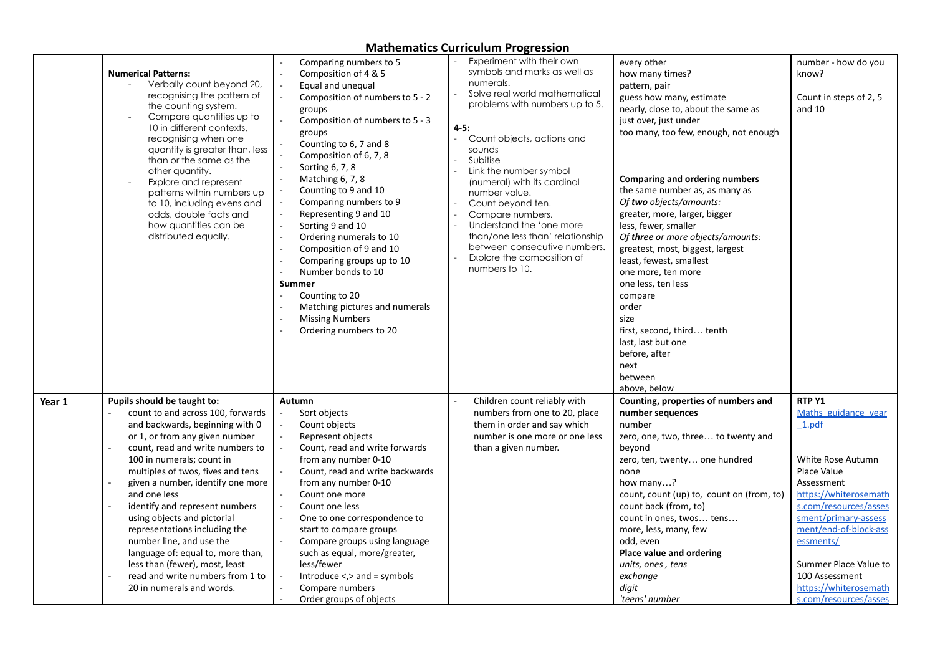|        | <b>Numerical Patterns:</b><br>Verbally count beyond 20,<br>recognising the pattern of<br>the counting system.<br>Compare quantities up to<br>10 in different contexts.<br>recognising when one<br>quantity is greater than, less<br>than or the same as the<br>other quantity.<br>Explore and represent<br>patterns within numbers up<br>to 10, including evens and<br>odds, double facts and<br>how quantities can be<br>distributed equally.                                                                                                                         | Comparing numbers to 5<br>Composition of 4 & 5<br>Equal and unequal<br>Composition of numbers to 5 - 2<br>groups<br>Composition of numbers to 5 - 3<br>groups<br>Counting to 6, 7 and 8<br>Composition of 6, 7, 8<br>Sorting 6, 7, 8<br>Matching 6, 7, 8<br>Counting to 9 and 10<br>Comparing numbers to 9<br>Representing 9 and 10<br>Sorting 9 and 10<br>$\overline{\phantom{a}}$<br>Ordering numerals to 10<br>Composition of 9 and 10<br>Comparing groups up to 10<br>Number bonds to 10<br><b>Summer</b><br>Counting to 20<br>Matching pictures and numerals<br><b>Missing Numbers</b><br>Ordering numbers to 20 | Experiment with their own<br>symbols and marks as well as<br>numerals.<br>Solve real world mathematical<br>problems with numbers up to 5.<br>$4 - 5:$<br>Count objects, actions and<br>$\overline{a}$<br>sounds<br>Subitise<br>Link the number symbol<br>(numeral) with its cardinal<br>number value.<br>Count beyond ten.<br>Compare numbers.<br>Understand the 'one more<br>than/one less than' relationship<br>between consecutive numbers.<br>Explore the composition of<br>numbers to 10. | every other<br>how many times?<br>pattern, pair<br>guess how many, estimate<br>nearly, close to, about the same as<br>just over, just under<br>too many, too few, enough, not enough<br><b>Comparing and ordering numbers</b><br>the same number as, as many as<br>Of two objects/amounts:<br>greater, more, larger, bigger<br>less, fewer, smaller<br>Of three or more objects/amounts:<br>greatest, most, biggest, largest<br>least, fewest, smallest<br>one more, ten more<br>one less, ten less<br>compare<br>order<br>size<br>first, second, third tenth<br>last, last but one<br>before, after<br>next<br>between<br>above, below | number - how do you<br>know?<br>Count in steps of 2, 5<br>and 10                                                                                                                                                                                                                                      |
|--------|------------------------------------------------------------------------------------------------------------------------------------------------------------------------------------------------------------------------------------------------------------------------------------------------------------------------------------------------------------------------------------------------------------------------------------------------------------------------------------------------------------------------------------------------------------------------|-----------------------------------------------------------------------------------------------------------------------------------------------------------------------------------------------------------------------------------------------------------------------------------------------------------------------------------------------------------------------------------------------------------------------------------------------------------------------------------------------------------------------------------------------------------------------------------------------------------------------|------------------------------------------------------------------------------------------------------------------------------------------------------------------------------------------------------------------------------------------------------------------------------------------------------------------------------------------------------------------------------------------------------------------------------------------------------------------------------------------------|-----------------------------------------------------------------------------------------------------------------------------------------------------------------------------------------------------------------------------------------------------------------------------------------------------------------------------------------------------------------------------------------------------------------------------------------------------------------------------------------------------------------------------------------------------------------------------------------------------------------------------------------|-------------------------------------------------------------------------------------------------------------------------------------------------------------------------------------------------------------------------------------------------------------------------------------------------------|
| Year 1 | Pupils should be taught to:<br>count to and across 100, forwards<br>and backwards, beginning with 0<br>or 1, or from any given number<br>count, read and write numbers to<br>100 in numerals; count in<br>multiples of twos, fives and tens<br>given a number, identify one more<br>and one less<br>identify and represent numbers<br>using objects and pictorial<br>representations including the<br>number line, and use the<br>language of: equal to, more than,<br>less than (fewer), most, least<br>read and write numbers from 1 to<br>20 in numerals and words. | Autumn<br>Sort objects<br>Count objects<br>Represent objects<br>Count, read and write forwards<br>from any number 0-10<br>Count, read and write backwards<br>from any number 0-10<br>Count one more<br>Count one less<br>One to one correspondence to<br>start to compare groups<br>Compare groups using language<br>such as equal, more/greater,<br>less/fewer<br>Introduce $\lt$ , $>$ and = symbols<br>Compare numbers<br>Order groups of objects                                                                                                                                                                  | Children count reliably with<br>numbers from one to 20, place<br>them in order and say which<br>number is one more or one less<br>than a given number.                                                                                                                                                                                                                                                                                                                                         | Counting, properties of numbers and<br>number sequences<br>number<br>zero, one, two, three to twenty and<br>beyond<br>zero, ten, twenty one hundred<br>none<br>how many?<br>count, count (up) to, count on (from, to)<br>count back (from, to)<br>count in ones, twos tens<br>more, less, many, few<br>odd, even<br>Place value and ordering<br>units, ones, tens<br>exchange<br>digit<br>'teens' number                                                                                                                                                                                                                                | RTP Y1<br>Maths guidance year<br>1.pdf<br>White Rose Autumn<br>Place Value<br>Assessment<br>https://whiterosemath<br>s.com/resources/asses<br>sment/primary-assess<br>ment/end-of-block-ass<br>essments/<br>Summer Place Value to<br>100 Assessment<br>https://whiterosemath<br>s.com/resources/asses |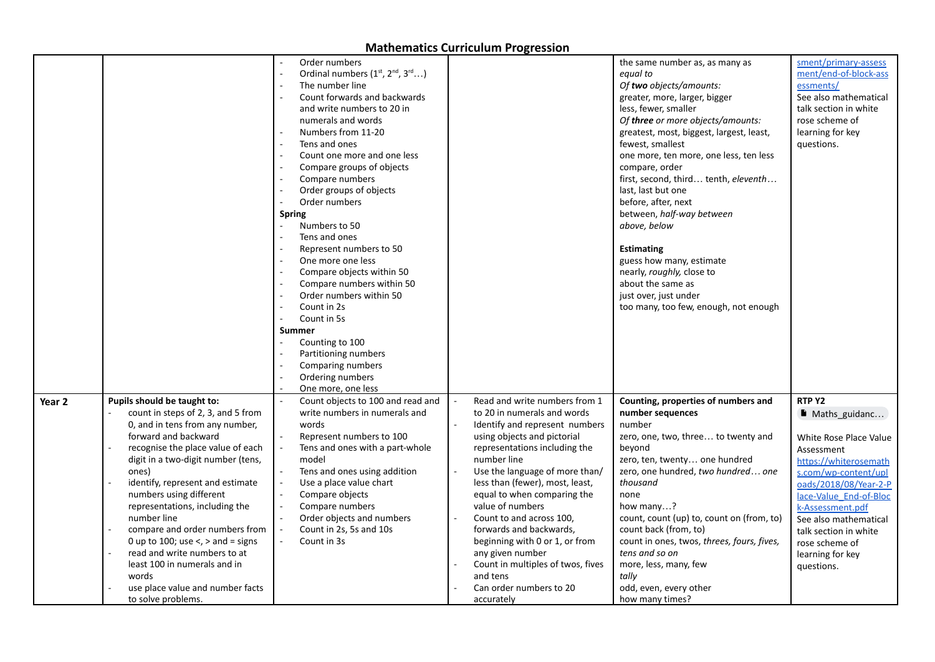|                   |                                                                                                                                                                                                                                                                                                                                                                                                                                                                                                                             | Order numbers<br>$\sim$<br>Ordinal numbers (1st, 2nd, 3rd)<br>The number line<br>Count forwards and backwards<br>and write numbers to 20 in<br>numerals and words<br>Numbers from 11-20<br>Tens and ones<br>L.<br>Count one more and one less<br>Compare groups of objects<br>Compare numbers<br>Order groups of objects<br>Order numbers<br>$\overline{a}$<br><b>Spring</b><br>$\overline{a}$<br>Numbers to 50<br>Tens and ones<br>Represent numbers to 50<br>One more one less<br>Compare objects within 50<br>Compare numbers within 50<br>$\sim$<br>Order numbers within 50<br>Count in 2s<br>Count in 5s<br><b>Summer</b><br>Counting to 100<br>Partitioning numbers<br>Comparing numbers<br>$\sim$<br>Ordering numbers<br>One more, one less |                                                                                                                                                                                                                                                                                                                                                                                                                                                                                                | the same number as, as many as<br>equal to<br>Of two objects/amounts:<br>greater, more, larger, bigger<br>less, fewer, smaller<br>Of <b>three</b> or more objects/amounts:<br>greatest, most, biggest, largest, least,<br>fewest, smallest<br>one more, ten more, one less, ten less<br>compare, order<br>first, second, third tenth, eleventh<br>last, last but one<br>before, after, next<br>between, half-way between<br>above, below<br><b>Estimating</b><br>guess how many, estimate<br>nearly, roughly, close to<br>about the same as<br>just over, just under<br>too many, too few, enough, not enough | sment/primary-assess<br>ment/end-of-block-ass<br>essments/<br>See also mathematical<br>talk section in white<br>rose scheme of<br>learning for key<br>questions.                                                                                                                              |
|-------------------|-----------------------------------------------------------------------------------------------------------------------------------------------------------------------------------------------------------------------------------------------------------------------------------------------------------------------------------------------------------------------------------------------------------------------------------------------------------------------------------------------------------------------------|----------------------------------------------------------------------------------------------------------------------------------------------------------------------------------------------------------------------------------------------------------------------------------------------------------------------------------------------------------------------------------------------------------------------------------------------------------------------------------------------------------------------------------------------------------------------------------------------------------------------------------------------------------------------------------------------------------------------------------------------------|------------------------------------------------------------------------------------------------------------------------------------------------------------------------------------------------------------------------------------------------------------------------------------------------------------------------------------------------------------------------------------------------------------------------------------------------------------------------------------------------|---------------------------------------------------------------------------------------------------------------------------------------------------------------------------------------------------------------------------------------------------------------------------------------------------------------------------------------------------------------------------------------------------------------------------------------------------------------------------------------------------------------------------------------------------------------------------------------------------------------|-----------------------------------------------------------------------------------------------------------------------------------------------------------------------------------------------------------------------------------------------------------------------------------------------|
| Year <sub>2</sub> | Pupils should be taught to:<br>count in steps of 2, 3, and 5 from<br>0, and in tens from any number,<br>forward and backward<br>recognise the place value of each<br>digit in a two-digit number (tens,<br>ones)<br>identify, represent and estimate<br>numbers using different<br>representations, including the<br>number line<br>compare and order numbers from<br>0 up to 100; use $\lt$ , $>$ and = signs<br>read and write numbers to at<br>least 100 in numerals and in<br>words<br>use place value and number facts | Count objects to 100 and read and<br>write numbers in numerals and<br>words<br>Represent numbers to 100<br>Tens and ones with a part-whole<br>model<br>Tens and ones using addition<br>Use a place value chart<br>Compare objects<br>Compare numbers<br>$\sim$<br>Order objects and numbers<br>Count in 2s, 5s and 10s<br>Count in 3s                                                                                                                                                                                                                                                                                                                                                                                                              | Read and write numbers from 1<br>to 20 in numerals and words<br>Identify and represent numbers<br>using objects and pictorial<br>representations including the<br>number line<br>Use the language of more than/<br>less than (fewer), most, least,<br>equal to when comparing the<br>value of numbers<br>Count to and across 100,<br>forwards and backwards,<br>beginning with 0 or 1, or from<br>any given number<br>Count in multiples of twos, fives<br>and tens<br>Can order numbers to 20 | Counting, properties of numbers and<br>number sequences<br>number<br>zero, one, two, three to twenty and<br>bevond<br>zero, ten, twenty one hundred<br>zero, one hundred, two hundred one<br>thousand<br>none<br>how many?<br>count, count (up) to, count on (from, to)<br>count back (from, to)<br>count in ones, twos, threes, fours, fives,<br>tens and so on<br>more, less, many, few<br>tally<br>odd, even, every other                                                                                                                                                                                  | RTP Y2<br>Maths_guidanc<br>White Rose Place Value<br>Assessment<br>https://whiterosemath<br>s.com/wp-content/upl<br>oads/2018/08/Year-2-P<br>lace-Value End-of-Bloc<br>k-Assessment.pdf<br>See also mathematical<br>talk section in white<br>rose scheme of<br>learning for key<br>questions. |
|                   | to solve problems.                                                                                                                                                                                                                                                                                                                                                                                                                                                                                                          |                                                                                                                                                                                                                                                                                                                                                                                                                                                                                                                                                                                                                                                                                                                                                    | accurately                                                                                                                                                                                                                                                                                                                                                                                                                                                                                     | how many times?                                                                                                                                                                                                                                                                                                                                                                                                                                                                                                                                                                                               |                                                                                                                                                                                                                                                                                               |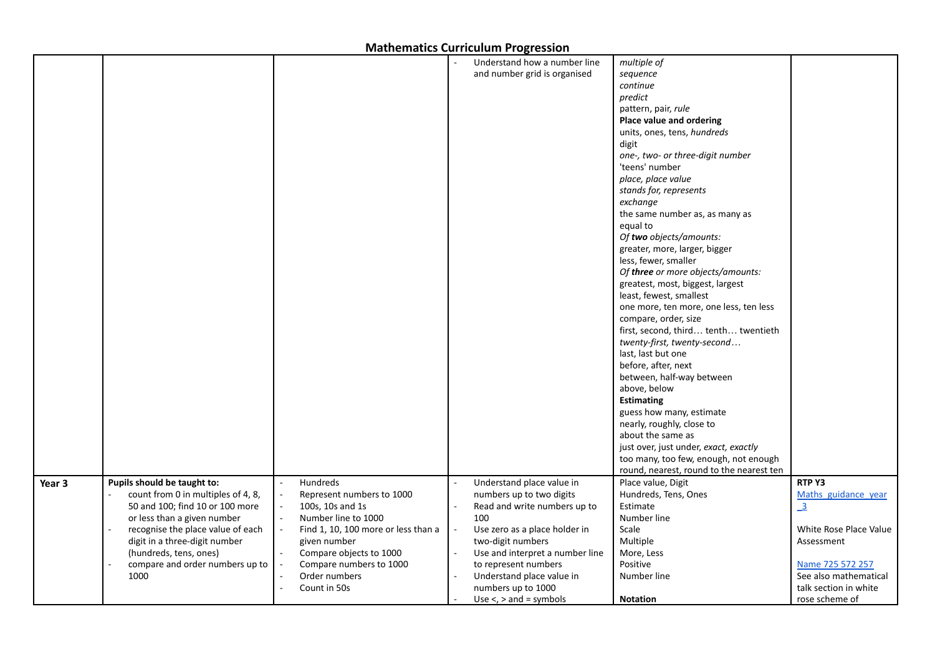|        |                                    |                                     | Understand how a number line        | multiple of                              |                        |
|--------|------------------------------------|-------------------------------------|-------------------------------------|------------------------------------------|------------------------|
|        |                                    |                                     | and number grid is organised        | sequence                                 |                        |
|        |                                    |                                     |                                     | continue                                 |                        |
|        |                                    |                                     |                                     | predict                                  |                        |
|        |                                    |                                     |                                     | pattern, pair, rule                      |                        |
|        |                                    |                                     |                                     | Place value and ordering                 |                        |
|        |                                    |                                     |                                     | units, ones, tens, hundreds              |                        |
|        |                                    |                                     |                                     |                                          |                        |
|        |                                    |                                     |                                     | digit                                    |                        |
|        |                                    |                                     |                                     | one-, two- or three-digit number         |                        |
|        |                                    |                                     |                                     | 'teens' number                           |                        |
|        |                                    |                                     |                                     | place, place value                       |                        |
|        |                                    |                                     |                                     | stands for, represents                   |                        |
|        |                                    |                                     |                                     | exchange                                 |                        |
|        |                                    |                                     |                                     | the same number as, as many as           |                        |
|        |                                    |                                     |                                     | equal to                                 |                        |
|        |                                    |                                     |                                     | Of two objects/amounts:                  |                        |
|        |                                    |                                     |                                     | greater, more, larger, bigger            |                        |
|        |                                    |                                     |                                     | less, fewer, smaller                     |                        |
|        |                                    |                                     |                                     | Of three or more objects/amounts:        |                        |
|        |                                    |                                     |                                     | greatest, most, biggest, largest         |                        |
|        |                                    |                                     |                                     | least, fewest, smallest                  |                        |
|        |                                    |                                     |                                     | one more, ten more, one less, ten less   |                        |
|        |                                    |                                     |                                     | compare, order, size                     |                        |
|        |                                    |                                     |                                     | first, second, third tenth twentieth     |                        |
|        |                                    |                                     |                                     | twenty-first, twenty-second              |                        |
|        |                                    |                                     |                                     | last, last but one                       |                        |
|        |                                    |                                     |                                     | before, after, next                      |                        |
|        |                                    |                                     |                                     | between, half-way between                |                        |
|        |                                    |                                     |                                     | above, below                             |                        |
|        |                                    |                                     |                                     | <b>Estimating</b>                        |                        |
|        |                                    |                                     |                                     | guess how many, estimate                 |                        |
|        |                                    |                                     |                                     | nearly, roughly, close to                |                        |
|        |                                    |                                     |                                     | about the same as                        |                        |
|        |                                    |                                     |                                     | just over, just under, exact, exactly    |                        |
|        |                                    |                                     |                                     | too many, too few, enough, not enough    |                        |
|        |                                    |                                     |                                     | round, nearest, round to the nearest ten |                        |
| Year 3 | Pupils should be taught to:        | Hundreds<br>$\sim$                  | Understand place value in<br>$\sim$ | Place value, Digit                       | RTP Y3                 |
|        | count from 0 in multiples of 4, 8, | Represent numbers to 1000           | numbers up to two digits            | Hundreds, Tens, Ones                     | Maths guidance year    |
|        | 50 and 100; find 10 or 100 more    | 100s, 10s and 1s                    | Read and write numbers up to        | Estimate                                 | $\overline{3}$         |
|        | or less than a given number        | Number line to 1000                 | 100                                 | Number line                              |                        |
|        | recognise the place value of each  | Find 1, 10, 100 more or less than a | Use zero as a place holder in       | Scale                                    | White Rose Place Value |
|        | digit in a three-digit number      | given number                        | two-digit numbers                   | Multiple                                 | Assessment             |
|        | (hundreds, tens, ones)             |                                     | Use and interpret a number line     |                                          |                        |
|        |                                    | Compare objects to 1000             |                                     | More, Less                               |                        |
|        | compare and order numbers up to    | Compare numbers to 1000             | to represent numbers                | Positive                                 | Name 725 572 257       |
|        | 1000                               | Order numbers                       | Understand place value in           | Number line                              | See also mathematical  |
|        |                                    | Count in 50s                        | numbers up to 1000                  |                                          | talk section in white  |
|        |                                    |                                     | Use $\lt$ , $>$ and = symbols       | <b>Notation</b>                          | rose scheme of         |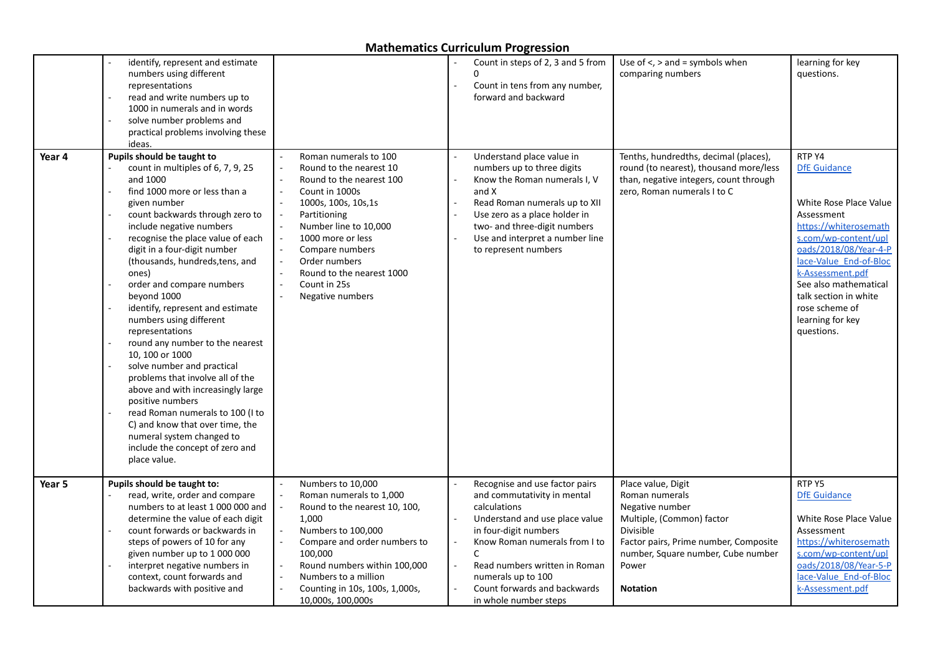|        | identify, represent and estimate<br>numbers using different<br>representations<br>read and write numbers up to<br>1000 in numerals and in words<br>solve number problems and<br>practical problems involving these<br>ideas.                                                                                                                                                                                                                                                                                                                                                                                                                                                                                                                                                       |                                                                                                                                                                                                                                                                                           | Count in steps of 2, 3 and 5 from<br>Count in tens from any number,<br>forward and backward                                                                                                                                                                                                    | Use of $\le$ , $>$ and = symbols when<br>comparing numbers                                                                                                                                                   | learning for key<br>questions.                                                                                                                                                                                                                                                                      |
|--------|------------------------------------------------------------------------------------------------------------------------------------------------------------------------------------------------------------------------------------------------------------------------------------------------------------------------------------------------------------------------------------------------------------------------------------------------------------------------------------------------------------------------------------------------------------------------------------------------------------------------------------------------------------------------------------------------------------------------------------------------------------------------------------|-------------------------------------------------------------------------------------------------------------------------------------------------------------------------------------------------------------------------------------------------------------------------------------------|------------------------------------------------------------------------------------------------------------------------------------------------------------------------------------------------------------------------------------------------------------------------------------------------|--------------------------------------------------------------------------------------------------------------------------------------------------------------------------------------------------------------|-----------------------------------------------------------------------------------------------------------------------------------------------------------------------------------------------------------------------------------------------------------------------------------------------------|
| Year 4 | Pupils should be taught to<br>count in multiples of 6, 7, 9, 25<br>and 1000<br>find 1000 more or less than a<br>given number<br>count backwards through zero to<br>include negative numbers<br>recognise the place value of each<br>digit in a four-digit number<br>(thousands, hundreds, tens, and<br>ones)<br>order and compare numbers<br>beyond 1000<br>identify, represent and estimate<br>numbers using different<br>representations<br>round any number to the nearest<br>10, 100 or 1000<br>solve number and practical<br>problems that involve all of the<br>above and with increasingly large<br>positive numbers<br>read Roman numerals to 100 (I to<br>C) and know that over time, the<br>numeral system changed to<br>include the concept of zero and<br>place value. | Roman numerals to 100<br>Round to the nearest 10<br>Round to the nearest 100<br>Count in 1000s<br>1000s, 100s, 10s, 1s<br>Partitioning<br>Number line to 10,000<br>1000 more or less<br>Compare numbers<br>Order numbers<br>Round to the nearest 1000<br>Count in 25s<br>Negative numbers | Understand place value in<br>numbers up to three digits<br>Know the Roman numerals I, V<br>and X<br>Read Roman numerals up to XII<br>Use zero as a place holder in<br>two- and three-digit numbers<br>Use and interpret a number line<br>to represent numbers                                  | Tenths, hundredths, decimal (places),<br>round (to nearest), thousand more/less<br>than, negative integers, count through<br>zero, Roman numerals I to C                                                     | RTP Y4<br><b>DfE Guidance</b><br>White Rose Place Value<br>Assessment<br>https://whiterosemath<br>s.com/wp-content/upl<br>oads/2018/08/Year-4-P<br>lace-Value End-of-Bloc<br>k-Assessment.pdf<br>See also mathematical<br>talk section in white<br>rose scheme of<br>learning for key<br>questions. |
| Year 5 | Pupils should be taught to:<br>read, write, order and compare<br>numbers to at least 1 000 000 and<br>determine the value of each digit<br>count forwards or backwards in<br>steps of powers of 10 for any<br>given number up to 1 000 000<br>interpret negative numbers in<br>context, count forwards and<br>backwards with positive and                                                                                                                                                                                                                                                                                                                                                                                                                                          | Numbers to 10,000<br>Roman numerals to 1,000<br>Round to the nearest 10, 100,<br>1,000<br>Numbers to 100,000<br>Compare and order numbers to<br>100,000<br>Round numbers within 100,000<br>Numbers to a million<br>Counting in 10s, 100s, 1,000s,<br>10,000s, 100,000s                    | Recognise and use factor pairs<br>and commutativity in mental<br>calculations<br>Understand and use place value<br>in four-digit numbers<br>Know Roman numerals from I to<br>C<br>Read numbers written in Roman<br>numerals up to 100<br>Count forwards and backwards<br>in whole number steps | Place value, Digit<br>Roman numerals<br>Negative number<br>Multiple, (Common) factor<br>Divisible<br>Factor pairs, Prime number, Composite<br>number, Square number, Cube number<br>Power<br><b>Notation</b> | RTP Y5<br><b>DfE Guidance</b><br>White Rose Place Value<br>Assessment<br>https://whiterosemath<br>s.com/wp-content/upl<br>oads/2018/08/Year-5-P<br>lace-Value End-of-Bloc<br>k-Assessment.pdf                                                                                                       |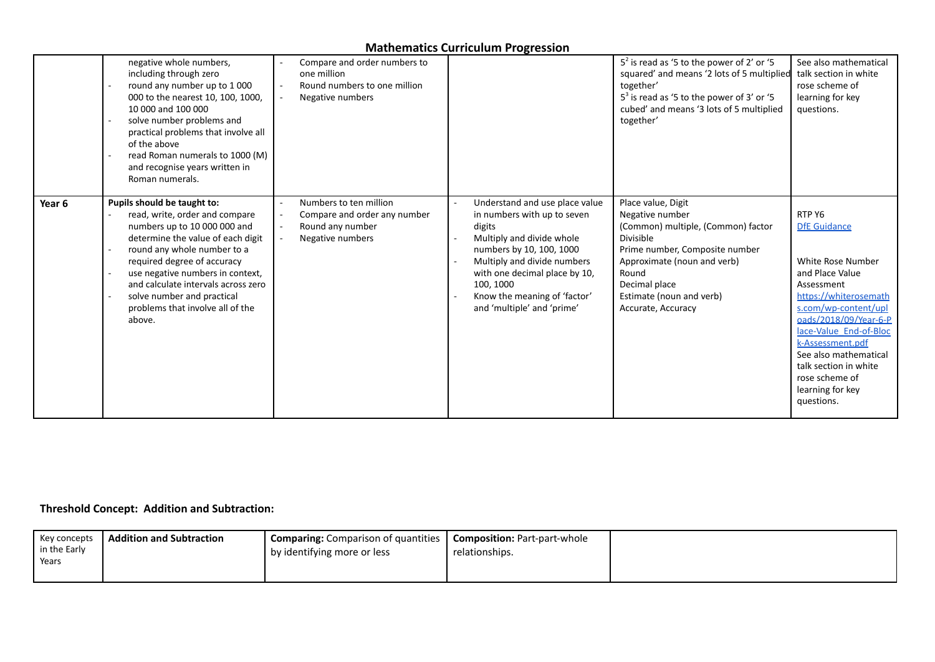|        | negative whole numbers,<br>including through zero<br>round any number up to 1 000<br>000 to the nearest 10, 100, 1000,<br>10 000 and 100 000<br>solve number problems and<br>practical problems that involve all<br>of the above<br>read Roman numerals to 1000 (M)<br>and recognise years written in<br>Roman numerals.                                | Compare and order numbers to<br>one million<br>Round numbers to one million<br>Negative numbers |                                                                                                                                                                                                                                                                             | $52$ is read as '5 to the power of 2' or '5<br>squared' and means '2 lots of 5 multiplied<br>together'<br>$53$ is read as '5 to the power of 3' or '5<br>cubed' and means '3 lots of 5 multiplied<br>together'                        | See also mathematical<br>talk section in white<br>rose scheme of<br>learning for key<br>questions.                                                                                                                                                                                                                |
|--------|---------------------------------------------------------------------------------------------------------------------------------------------------------------------------------------------------------------------------------------------------------------------------------------------------------------------------------------------------------|-------------------------------------------------------------------------------------------------|-----------------------------------------------------------------------------------------------------------------------------------------------------------------------------------------------------------------------------------------------------------------------------|---------------------------------------------------------------------------------------------------------------------------------------------------------------------------------------------------------------------------------------|-------------------------------------------------------------------------------------------------------------------------------------------------------------------------------------------------------------------------------------------------------------------------------------------------------------------|
| Year 6 | Pupils should be taught to:<br>read, write, order and compare<br>numbers up to 10 000 000 and<br>determine the value of each digit<br>round any whole number to a<br>required degree of accuracy<br>use negative numbers in context,<br>and calculate intervals across zero<br>solve number and practical<br>problems that involve all of the<br>above. | Numbers to ten million<br>Compare and order any number<br>Round any number<br>Negative numbers  | Understand and use place value<br>in numbers with up to seven<br>digits<br>Multiply and divide whole<br>numbers by 10, 100, 1000<br>Multiply and divide numbers<br>with one decimal place by 10,<br>100, 1000<br>Know the meaning of 'factor'<br>and 'multiple' and 'prime' | Place value, Digit<br>Negative number<br>(Common) multiple, (Common) factor<br>Divisible<br>Prime number, Composite number<br>Approximate (noun and verb)<br>Round<br>Decimal place<br>Estimate (noun and verb)<br>Accurate, Accuracy | RTP Y6<br><b>DfE</b> Guidance<br>White Rose Number<br>and Place Value<br>Assessment<br>https://whiterosemath<br>s.com/wp-content/upl<br>oads/2018/09/Year-6-P<br>lace-Value End-of-Bloc<br>k-Assessment.pdf<br>See also mathematical<br>talk section in white<br>rose scheme of<br>learning for key<br>questions. |

#### **Threshold Concept: Addition and Subtraction:**

| relationships.<br>by identifying more or less<br>Years | Key concepts<br>in the Early | <b>Addition and Subtraction</b> | I Comparing: Comparison of quantities | <b>Composition:</b> Part-part-whole |  |
|--------------------------------------------------------|------------------------------|---------------------------------|---------------------------------------|-------------------------------------|--|
|--------------------------------------------------------|------------------------------|---------------------------------|---------------------------------------|-------------------------------------|--|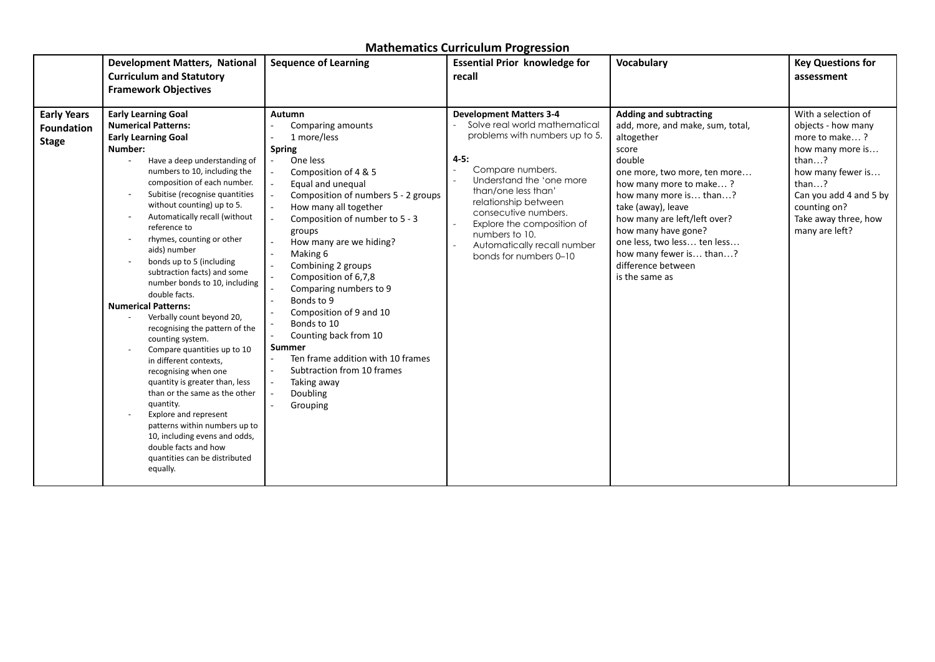|                                                         | <b>Development Matters, National</b><br><b>Curriculum and Statutory</b><br><b>Framework Objectives</b>                                                                                                                                                                                                                                                                                                                                                                                                                                                                                                                                                                                                                                                                                                                                                                                                                                                                                                                                        | <b>Sequence of Learning</b>                                                                                                                                                                                                                                                                                                                                                                                                                                                                                                                          | <b>Essential Prior knowledge for</b><br>recall                                                                                                                                                                                                                                                                                                                  | <b>Vocabulary</b>                                                                                                                                                                                                                                                                                                                                                     | <b>Key Questions for</b><br>assessment                                                                                                                                                                                      |
|---------------------------------------------------------|-----------------------------------------------------------------------------------------------------------------------------------------------------------------------------------------------------------------------------------------------------------------------------------------------------------------------------------------------------------------------------------------------------------------------------------------------------------------------------------------------------------------------------------------------------------------------------------------------------------------------------------------------------------------------------------------------------------------------------------------------------------------------------------------------------------------------------------------------------------------------------------------------------------------------------------------------------------------------------------------------------------------------------------------------|------------------------------------------------------------------------------------------------------------------------------------------------------------------------------------------------------------------------------------------------------------------------------------------------------------------------------------------------------------------------------------------------------------------------------------------------------------------------------------------------------------------------------------------------------|-----------------------------------------------------------------------------------------------------------------------------------------------------------------------------------------------------------------------------------------------------------------------------------------------------------------------------------------------------------------|-----------------------------------------------------------------------------------------------------------------------------------------------------------------------------------------------------------------------------------------------------------------------------------------------------------------------------------------------------------------------|-----------------------------------------------------------------------------------------------------------------------------------------------------------------------------------------------------------------------------|
| <b>Early Years</b><br><b>Foundation</b><br><b>Stage</b> | <b>Early Learning Goal</b><br><b>Numerical Patterns:</b><br><b>Early Learning Goal</b><br>Number:<br>Have a deep understanding of<br>numbers to 10, including the<br>composition of each number.<br>Subitise (recognise quantities<br>$\overline{\phantom{a}}$<br>without counting) up to 5.<br>Automatically recall (without<br>reference to<br>rhymes, counting or other<br>$\overline{\phantom{a}}$<br>aids) number<br>bonds up to 5 (including<br>subtraction facts) and some<br>number bonds to 10, including<br>double facts.<br><b>Numerical Patterns:</b><br>Verbally count beyond 20,<br>$\overline{\phantom{a}}$<br>recognising the pattern of the<br>counting system.<br>Compare quantities up to 10<br>in different contexts,<br>recognising when one<br>quantity is greater than, less<br>than or the same as the other<br>quantity.<br>Explore and represent<br>$\overline{\phantom{a}}$<br>patterns within numbers up to<br>10, including evens and odds,<br>double facts and how<br>quantities can be distributed<br>equally. | Autumn<br>Comparing amounts<br>1 more/less<br><b>Spring</b><br>One less<br>Composition of 4 & 5<br>Equal and unequal<br>Composition of numbers 5 - 2 groups<br>How many all together<br>Composition of number to 5 - 3<br>groups<br>How many are we hiding?<br>Making 6<br>Combining 2 groups<br>Composition of 6,7,8<br>Comparing numbers to 9<br>Bonds to 9<br>Composition of 9 and 10<br>Bonds to 10<br>Counting back from 10<br>Summer<br>Ten frame addition with 10 frames<br>Subtraction from 10 frames<br>Taking away<br>Doubling<br>Grouping | <b>Development Matters 3-4</b><br>Solve real world mathematical<br>problems with numbers up to 5.<br>$4 - 5:$<br>Compare numbers.<br>$\overline{a}$<br>Understand the 'one more<br>than/one less than'<br>relationship between<br>consecutive numbers.<br>Explore the composition of<br>numbers to 10.<br>Automatically recall number<br>bonds for numbers 0-10 | <b>Adding and subtracting</b><br>add, more, and make, sum, total,<br>altogether<br>score<br>double<br>one more, two more, ten more<br>how many more to make?<br>how many more is than?<br>take (away), leave<br>how many are left/left over?<br>how many have gone?<br>one less, two less ten less<br>how many fewer is than?<br>difference between<br>is the same as | With a selection of<br>objects - how many<br>more to make?<br>how many more is<br>than $\dots$ ?<br>how many fewer is<br>than $\dots$ ?<br>Can you add 4 and 5 by<br>counting on?<br>Take away three, how<br>many are left? |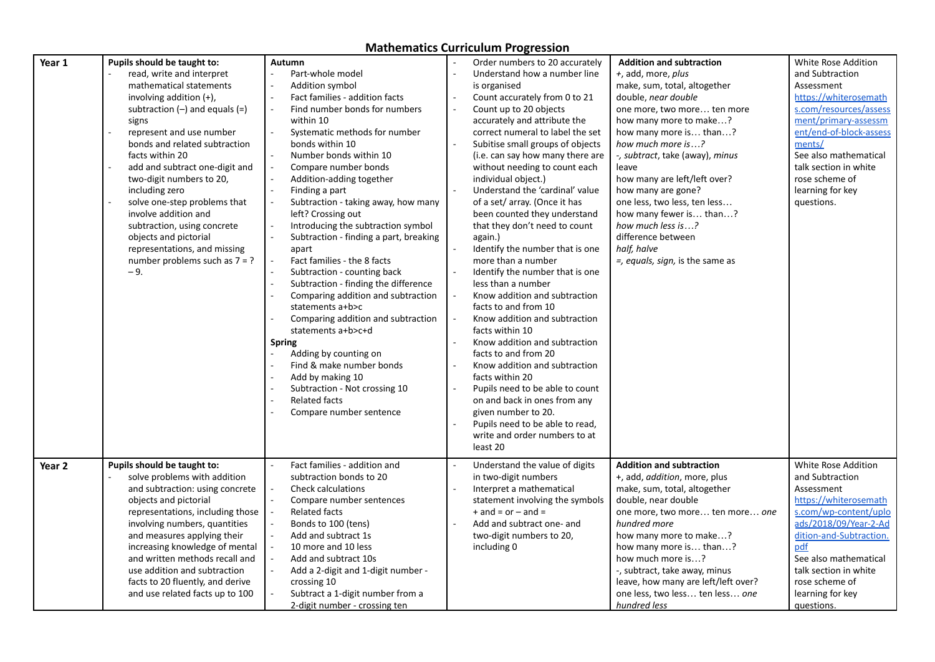| Year 1 | Pupils should be taught to:        | Autumn                                                | Order numbers to 20 accurately<br>$\sim$                    | <b>Addition and subtraction</b>      | White Rose Addition     |
|--------|------------------------------------|-------------------------------------------------------|-------------------------------------------------------------|--------------------------------------|-------------------------|
|        | read, write and interpret          | Part-whole model                                      | Understand how a number line                                | +, add, more, plus                   | and Subtraction         |
|        | mathematical statements            | Addition symbol                                       | is organised                                                | make, sum, total, altogether         | Assessment              |
|        | involving addition $(+)$ ,         | Fact families - addition facts                        | Count accurately from 0 to 21                               | double, near double                  | https://whiterosemath   |
|        | subtraction $(-)$ and equals $(=)$ | Find number bonds for numbers<br>$\sim$               | $\overline{a}$<br>Count up to 20 objects                    | one more, two more ten more          | s.com/resources/assess  |
|        | signs                              | within 10                                             | accurately and attribute the                                | how many more to make?               | ment/primary-assessm    |
|        | represent and use number           | Systematic methods for number                         | correct numeral to label the set                            | how many more is than?               | ent/end-of-block-assess |
|        | bonds and related subtraction      | bonds within 10                                       | Subitise small groups of objects                            | how much more is?                    | ments/                  |
|        | facts within 20                    |                                                       |                                                             |                                      | See also mathematical   |
|        |                                    | Number bonds within 10                                | (i.e. can say how many there are                            | -, subtract, take (away), minus      |                         |
|        | add and subtract one-digit and     | Compare number bonds                                  | without needing to count each                               | leave                                | talk section in white   |
|        | two-digit numbers to 20,           | Addition-adding together                              | individual object.)                                         | how many are left/left over?         | rose scheme of          |
|        | including zero                     | Finding a part<br>$\sim$                              | Understand the 'cardinal' value                             | how many are gone?                   | learning for key        |
|        | solve one-step problems that       | Subtraction - taking away, how many<br>$\overline{a}$ | of a set/ array. (Once it has                               | one less, two less, ten less         | questions.              |
|        | involve addition and               | left? Crossing out                                    | been counted they understand                                | how many fewer is than?              |                         |
|        | subtraction, using concrete        | Introducing the subtraction symbol                    | that they don't need to count                               | how much less is?                    |                         |
|        | objects and pictorial              | Subtraction - finding a part, breaking                | again.)                                                     | difference between                   |                         |
|        | representations, and missing       | apart                                                 | Identify the number that is one                             | half, halve                          |                         |
|        | number problems such as $7 = ?$    | Fact families - the 8 facts                           | more than a number                                          | $=$ , equals, sign, is the same as   |                         |
|        | $-9.$                              | Subtraction - counting back                           | Identify the number that is one                             |                                      |                         |
|        |                                    | Subtraction - finding the difference                  | less than a number                                          |                                      |                         |
|        |                                    | Comparing addition and subtraction                    | Know addition and subtraction                               |                                      |                         |
|        |                                    | statements a+b>c                                      | facts to and from 10                                        |                                      |                         |
|        |                                    | Comparing addition and subtraction                    | Know addition and subtraction                               |                                      |                         |
|        |                                    | statements a+b>c+d                                    | facts within 10                                             |                                      |                         |
|        |                                    | <b>Spring</b>                                         | Know addition and subtraction                               |                                      |                         |
|        |                                    | Adding by counting on                                 | facts to and from 20                                        |                                      |                         |
|        |                                    | Find & make number bonds                              | Know addition and subtraction                               |                                      |                         |
|        |                                    | Add by making 10                                      | facts within 20                                             |                                      |                         |
|        |                                    | Subtraction - Not crossing 10                         | Pupils need to be able to count<br>$\overline{\phantom{a}}$ |                                      |                         |
|        |                                    | <b>Related facts</b>                                  | on and back in ones from any                                |                                      |                         |
|        |                                    | Compare number sentence                               | given number to 20.                                         |                                      |                         |
|        |                                    |                                                       | Pupils need to be able to read,                             |                                      |                         |
|        |                                    |                                                       | write and order numbers to at                               |                                      |                         |
|        |                                    |                                                       | least 20                                                    |                                      |                         |
|        |                                    |                                                       |                                                             |                                      |                         |
| Year 2 | Pupils should be taught to:        | Fact families - addition and                          | Understand the value of digits<br>$\overline{\phantom{a}}$  | <b>Addition and subtraction</b>      | White Rose Addition     |
|        | solve problems with addition       | subtraction bonds to 20                               | in two-digit numbers                                        | +, add, <i>addition</i> , more, plus | and Subtraction         |
|        | and subtraction: using concrete    | <b>Check calculations</b>                             | Interpret a mathematical                                    | make, sum, total, altogether         | Assessment              |
|        | objects and pictorial              | Compare number sentences<br>$\overline{\phantom{a}}$  | statement involving the symbols                             | double, near double                  | https://whiterosemath   |
|        | representations, including those   | <b>Related facts</b><br>$\overline{\phantom{a}}$      | $+$ and = or $-$ and =                                      | one more, two more ten more one      | s.com/wp-content/uplo   |
|        | involving numbers, quantities      | Bonds to 100 (tens)                                   | Add and subtract one- and                                   | hundred more                         | ads/2018/09/Year-2-Ad   |
|        | and measures applying their        | Add and subtract 1s                                   | two-digit numbers to 20,                                    | how many more to make?               | dition-and-Subtraction. |
|        | increasing knowledge of mental     | 10 more and 10 less                                   | including 0                                                 | how many more is than?               | pdf                     |
|        | and written methods recall and     | Add and subtract 10s                                  |                                                             | how much more is?                    | See also mathematical   |
|        | use addition and subtraction       | Add a 2-digit and 1-digit number -                    |                                                             | -, subtract, take away, minus        | talk section in white   |
|        | facts to 20 fluently, and derive   | crossing 10                                           |                                                             | leave, how many are left/left over?  | rose scheme of          |
|        | and use related facts up to 100    | Subtract a 1-digit number from a                      |                                                             | one less, two less ten less one      | learning for key        |
|        |                                    | 2-digit number - crossing ten                         |                                                             | hundred less                         | questions.              |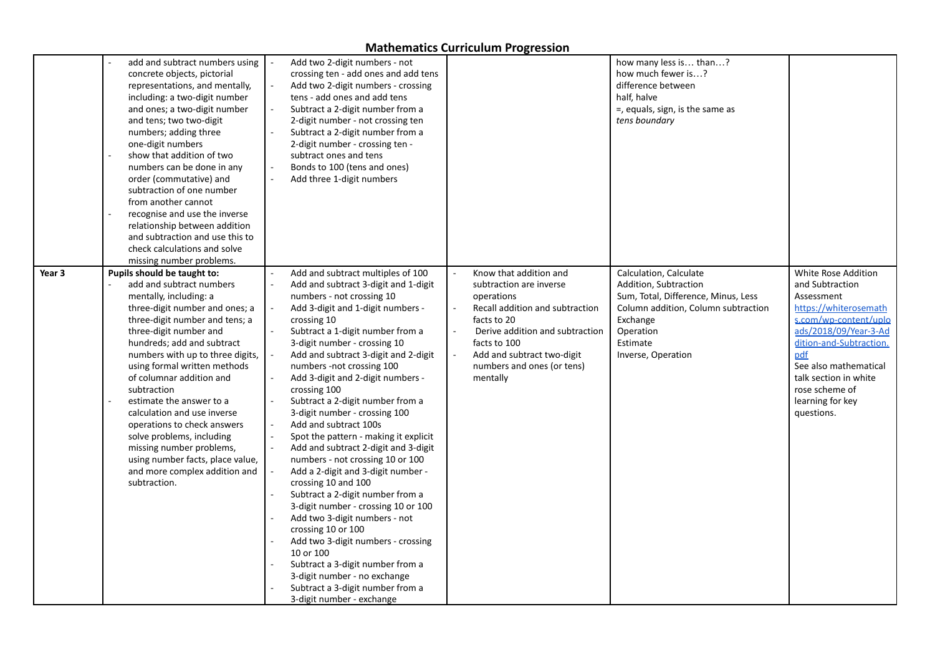|        | add and subtract numbers using<br>concrete objects, pictorial<br>representations, and mentally,<br>including: a two-digit number<br>and ones; a two-digit number<br>and tens; two two-digit<br>numbers; adding three<br>one-digit numbers<br>show that addition of two<br>numbers can be done in any<br>order (commutative) and<br>subtraction of one number<br>from another cannot<br>recognise and use the inverse<br>relationship between addition<br>and subtraction and use this to<br>check calculations and solve<br>missing number problems.                 | Add two 2-digit numbers - not<br>crossing ten - add ones and add tens<br>Add two 2-digit numbers - crossing<br>tens - add ones and add tens<br>Subtract a 2-digit number from a<br>2-digit number - not crossing ten<br>Subtract a 2-digit number from a<br>2-digit number - crossing ten -<br>subtract ones and tens<br>Bonds to 100 (tens and ones)<br>$\sim$<br>Add three 1-digit numbers                                                                                                                                                                                                                                                                                                                                                                                                                                                                                                                                                                                                          |                                                                                                                                                                                                                                                                            | how many less is than?<br>how much fewer is?<br>difference between<br>half, halve<br>=, equals, sign, is the same as<br>tens boundary                                                    |                                                                                                                                                                                                                                                                         |
|--------|----------------------------------------------------------------------------------------------------------------------------------------------------------------------------------------------------------------------------------------------------------------------------------------------------------------------------------------------------------------------------------------------------------------------------------------------------------------------------------------------------------------------------------------------------------------------|-------------------------------------------------------------------------------------------------------------------------------------------------------------------------------------------------------------------------------------------------------------------------------------------------------------------------------------------------------------------------------------------------------------------------------------------------------------------------------------------------------------------------------------------------------------------------------------------------------------------------------------------------------------------------------------------------------------------------------------------------------------------------------------------------------------------------------------------------------------------------------------------------------------------------------------------------------------------------------------------------------|----------------------------------------------------------------------------------------------------------------------------------------------------------------------------------------------------------------------------------------------------------------------------|------------------------------------------------------------------------------------------------------------------------------------------------------------------------------------------|-------------------------------------------------------------------------------------------------------------------------------------------------------------------------------------------------------------------------------------------------------------------------|
| Year 3 | Pupils should be taught to:<br>add and subtract numbers<br>mentally, including: a<br>three-digit number and ones; a<br>three-digit number and tens; a<br>three-digit number and<br>hundreds; add and subtract<br>numbers with up to three digits,<br>using formal written methods<br>of columnar addition and<br>subtraction<br>estimate the answer to a<br>calculation and use inverse<br>operations to check answers<br>solve problems, including<br>missing number problems,<br>using number facts, place value,<br>and more complex addition and<br>subtraction. | Add and subtract multiples of 100<br>Add and subtract 3-digit and 1-digit<br>numbers - not crossing 10<br>Add 3-digit and 1-digit numbers -<br>crossing 10<br>Subtract a 1-digit number from a<br>3-digit number - crossing 10<br>Add and subtract 3-digit and 2-digit<br>numbers -not crossing 100<br>Add 3-digit and 2-digit numbers -<br>crossing 100<br>Subtract a 2-digit number from a<br>3-digit number - crossing 100<br>Add and subtract 100s<br>$\omega$<br>$\sim$<br>Spot the pattern - making it explicit<br>$\bar{z}$<br>Add and subtract 2-digit and 3-digit<br>numbers - not crossing 10 or 100<br>Add a 2-digit and 3-digit number -<br>crossing 10 and 100<br>Subtract a 2-digit number from a<br>3-digit number - crossing 10 or 100<br>Add two 3-digit numbers - not<br>crossing 10 or 100<br>Add two 3-digit numbers - crossing<br>10 or 100<br>Subtract a 3-digit number from a<br>3-digit number - no exchange<br>Subtract a 3-digit number from a<br>3-digit number - exchange | Know that addition and<br>$\sim$<br>subtraction are inverse<br>operations<br>Recall addition and subtraction<br>facts to 20<br>Derive addition and subtraction<br>$\sim$<br>facts to 100<br>Add and subtract two-digit<br>$\sim$<br>numbers and ones (or tens)<br>mentally | Calculation, Calculate<br>Addition, Subtraction<br>Sum, Total, Difference, Minus, Less<br>Column addition, Column subtraction<br>Exchange<br>Operation<br>Estimate<br>Inverse, Operation | White Rose Addition<br>and Subtraction<br>Assessment<br>https://whiterosemath<br>s.com/wp-content/uplo<br>ads/2018/09/Year-3-Ad<br>dition-and-Subtraction.<br>pdf<br>See also mathematical<br>talk section in white<br>rose scheme of<br>learning for key<br>questions. |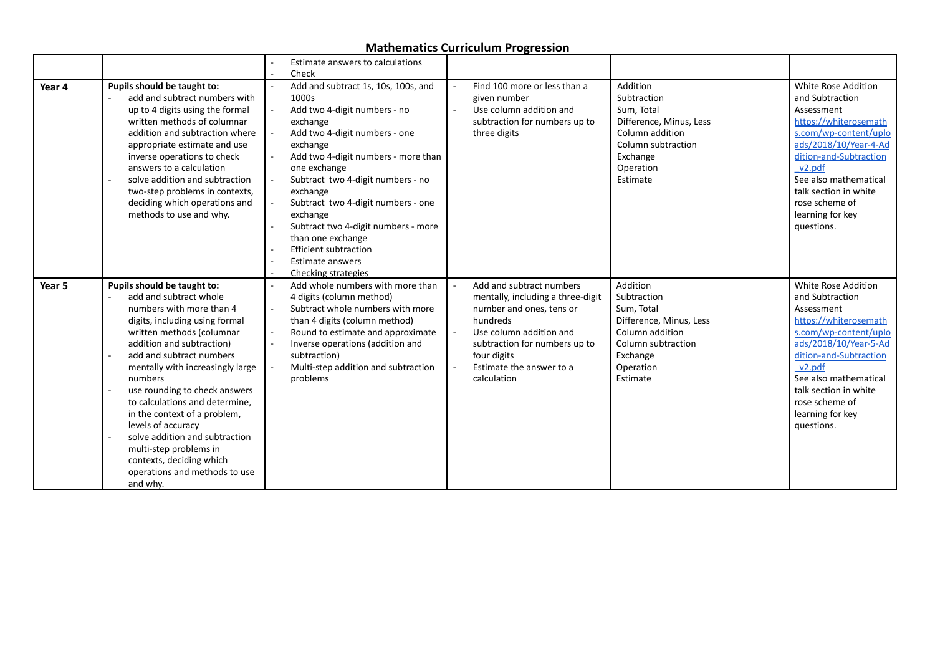|        |                                                       |                              | Estimate answers to calculations    |        |                                         |                         |                                  |
|--------|-------------------------------------------------------|------------------------------|-------------------------------------|--------|-----------------------------------------|-------------------------|----------------------------------|
|        |                                                       | Check                        |                                     |        |                                         |                         |                                  |
| Year 4 | Pupils should be taught to:                           |                              | Add and subtract 1s, 10s, 100s, and | $\sim$ | Find 100 more or less than a            | Addition                | White Rose Addition              |
|        | add and subtract numbers with                         | 1000s                        |                                     |        | given number                            | Subtraction             | and Subtraction                  |
|        | up to 4 digits using the formal                       |                              | Add two 4-digit numbers - no        | $\sim$ | Use column addition and                 | Sum. Total              | Assessment                       |
|        | written methods of columnar                           | exchange                     |                                     |        | subtraction for numbers up to           | Difference, Minus, Less | https://whiterosemath            |
|        | addition and subtraction where                        |                              | Add two 4-digit numbers - one       |        | three digits                            | Column addition         | s.com/wp-content/uplo            |
|        | appropriate estimate and use                          | exchange                     |                                     |        |                                         | Column subtraction      | ads/2018/10/Year-4-Ad            |
|        | inverse operations to check                           |                              | Add two 4-digit numbers - more than |        |                                         | Exchange                | dition-and-Subtraction           |
|        | answers to a calculation                              | one exchange                 |                                     |        |                                         | Operation               | v <sub>2.pdf</sub>               |
|        | solve addition and subtraction                        |                              | Subtract two 4-digit numbers - no   |        |                                         | Estimate                | See also mathematical            |
|        | two-step problems in contexts,                        | exchange                     |                                     |        |                                         |                         | talk section in white            |
|        | deciding which operations and                         |                              | Subtract two 4-digit numbers - one  |        |                                         |                         | rose scheme of                   |
|        | methods to use and why.                               | exchange                     |                                     |        |                                         |                         | learning for key                 |
|        |                                                       |                              | Subtract two 4-digit numbers - more |        |                                         |                         | questions.                       |
|        |                                                       | than one exchange            |                                     |        |                                         |                         |                                  |
|        |                                                       | <b>Efficient subtraction</b> |                                     |        |                                         |                         |                                  |
|        |                                                       | <b>Estimate answers</b>      |                                     |        |                                         |                         |                                  |
|        |                                                       | Checking strategies          |                                     |        |                                         |                         |                                  |
| Year 5 | Pupils should be taught to:                           |                              | Add whole numbers with more than    |        | Add and subtract numbers                | Addition                | White Rose Addition              |
|        | add and subtract whole                                | 4 digits (column method)     |                                     |        | mentally, including a three-digit       | Subtraction             | and Subtraction                  |
|        | numbers with more than 4                              |                              | Subtract whole numbers with more    |        | number and ones, tens or                | Sum, Total              | Assessment                       |
|        | digits, including using formal                        |                              | than 4 digits (column method)       |        | hundreds                                | Difference, Minus, Less | https://whiterosemath            |
|        | written methods (columnar                             |                              | Round to estimate and approximate   |        | Use column addition and                 | Column addition         | s.com/wp-content/uplo            |
|        | addition and subtraction)<br>add and subtract numbers |                              | Inverse operations (addition and    |        | subtraction for numbers up to           | Column subtraction      | ads/2018/10/Year-5-Ad            |
|        |                                                       | subtraction)                 |                                     |        | four digits<br>Estimate the answer to a | Exchange                | dition-and-Subtraction<br>v2.pdf |
|        | mentally with increasingly large<br>numbers           | problems                     | Multi-step addition and subtraction |        | calculation                             | Operation<br>Estimate   | See also mathematical            |
|        | use rounding to check answers                         |                              |                                     |        |                                         |                         | talk section in white            |
|        | to calculations and determine.                        |                              |                                     |        |                                         |                         | rose scheme of                   |
|        | in the context of a problem,                          |                              |                                     |        |                                         |                         | learning for key                 |
|        | levels of accuracy                                    |                              |                                     |        |                                         |                         | questions.                       |
|        | solve addition and subtraction                        |                              |                                     |        |                                         |                         |                                  |
|        | multi-step problems in                                |                              |                                     |        |                                         |                         |                                  |
|        | contexts, deciding which                              |                              |                                     |        |                                         |                         |                                  |
|        | operations and methods to use                         |                              |                                     |        |                                         |                         |                                  |
|        | and why.                                              |                              |                                     |        |                                         |                         |                                  |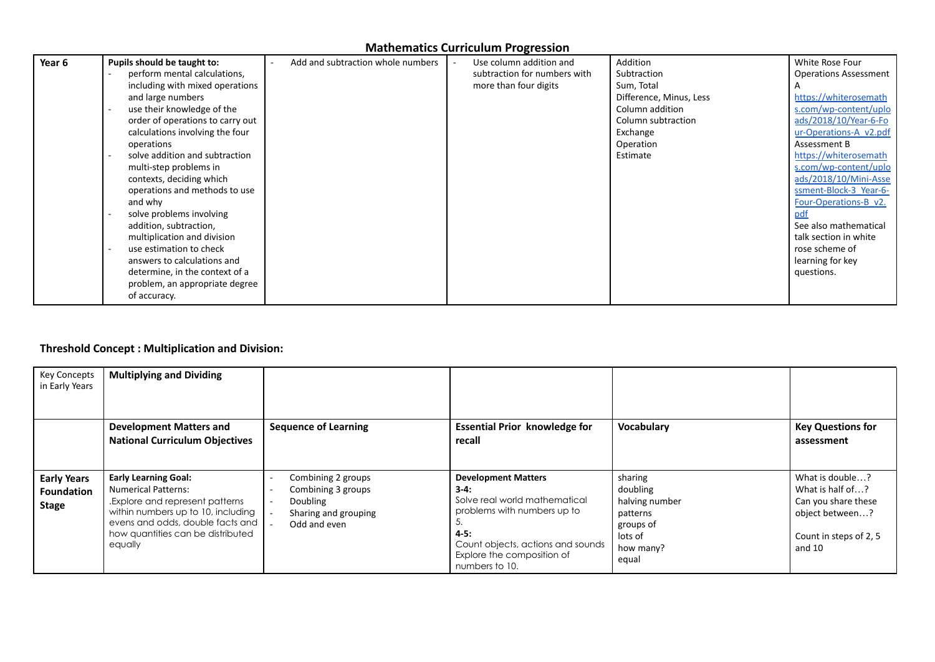| Year 6 | Pupils should be taught to:<br>perform mental calculations,<br>including with mixed operations<br>and large numbers<br>use their knowledge of the<br>order of operations to carry out<br>calculations involving the four<br>operations<br>solve addition and subtraction<br>$\overline{\phantom{a}}$<br>multi-step problems in<br>contexts, deciding which<br>operations and methods to use<br>and why<br>solve problems involving<br>addition, subtraction,<br>multiplication and division<br>use estimation to check<br>$\overline{a}$<br>answers to calculations and<br>determine, in the context of a | Add and subtraction whole numbers | Use column addition and<br>subtraction for numbers with<br>more than four digits | Addition<br>Subtraction<br>Sum, Total<br>Difference, Minus, Less<br>Column addition<br>Column subtraction<br>Exchange<br>Operation<br>Estimate | White Rose Four<br><b>Operations Assessment</b><br>https://whiterosemath<br>s.com/wp-content/uplo<br>ads/2018/10/Year-6-Fo<br>ur-Operations-A v2.pdf<br>Assessment B<br>https://whiterosemath<br>s.com/wp-content/uplo<br>ads/2018/10/Mini-Asse<br>ssment-Block-3 Year-6-<br>Four-Operations-B v2.<br>pdf<br>See also mathematical<br>talk section in white<br>rose scheme of<br>learning for key<br>questions. |
|--------|-----------------------------------------------------------------------------------------------------------------------------------------------------------------------------------------------------------------------------------------------------------------------------------------------------------------------------------------------------------------------------------------------------------------------------------------------------------------------------------------------------------------------------------------------------------------------------------------------------------|-----------------------------------|----------------------------------------------------------------------------------|------------------------------------------------------------------------------------------------------------------------------------------------|-----------------------------------------------------------------------------------------------------------------------------------------------------------------------------------------------------------------------------------------------------------------------------------------------------------------------------------------------------------------------------------------------------------------|
|        | problem, an appropriate degree<br>of accuracy.                                                                                                                                                                                                                                                                                                                                                                                                                                                                                                                                                            |                                   |                                                                                  |                                                                                                                                                |                                                                                                                                                                                                                                                                                                                                                                                                                 |

# **Threshold Concept : Multiplication and Division:**

| <b>Key Concepts</b><br>in Early Years                   | <b>Multiplying and Dividing</b>                                                                                                                                                                                        |                                                                                                                                                                                  |                                                                                                                                                                                                         |                                                                                                 |                                                                                                                   |
|---------------------------------------------------------|------------------------------------------------------------------------------------------------------------------------------------------------------------------------------------------------------------------------|----------------------------------------------------------------------------------------------------------------------------------------------------------------------------------|---------------------------------------------------------------------------------------------------------------------------------------------------------------------------------------------------------|-------------------------------------------------------------------------------------------------|-------------------------------------------------------------------------------------------------------------------|
|                                                         | <b>Development Matters and</b><br><b>National Curriculum Objectives</b>                                                                                                                                                | <b>Sequence of Learning</b>                                                                                                                                                      | <b>Essential Prior knowledge for</b><br>recall                                                                                                                                                          | Vocabulary                                                                                      | <b>Key Questions for</b><br>assessment                                                                            |
| <b>Early Years</b><br><b>Foundation</b><br><b>Stage</b> | <b>Early Learning Goal:</b><br><b>Numerical Patterns:</b><br>Explore and represent patterns.<br>within numbers up to 10, including<br>evens and odds, double facts and<br>how quantities can be distributed<br>equally | Combining 2 groups<br>$\overline{\phantom{a}}$<br>Combining 3 groups<br>$\overline{\phantom{a}}$<br>Doubling<br>$\overline{\phantom{a}}$<br>Sharing and grouping<br>Odd and even | <b>Development Matters</b><br>$3-4:$<br>Solve real world mathematical<br>problems with numbers up to<br>C.<br>4-5:<br>Count objects, actions and sounds<br>Explore the composition of<br>numbers to 10. | sharing<br>doubling<br>halving number<br>patterns<br>groups of<br>lots of<br>how many?<br>equal | What is double?<br>What is half of?<br>Can you share these<br>object between?<br>Count in steps of 2, 5<br>and 10 |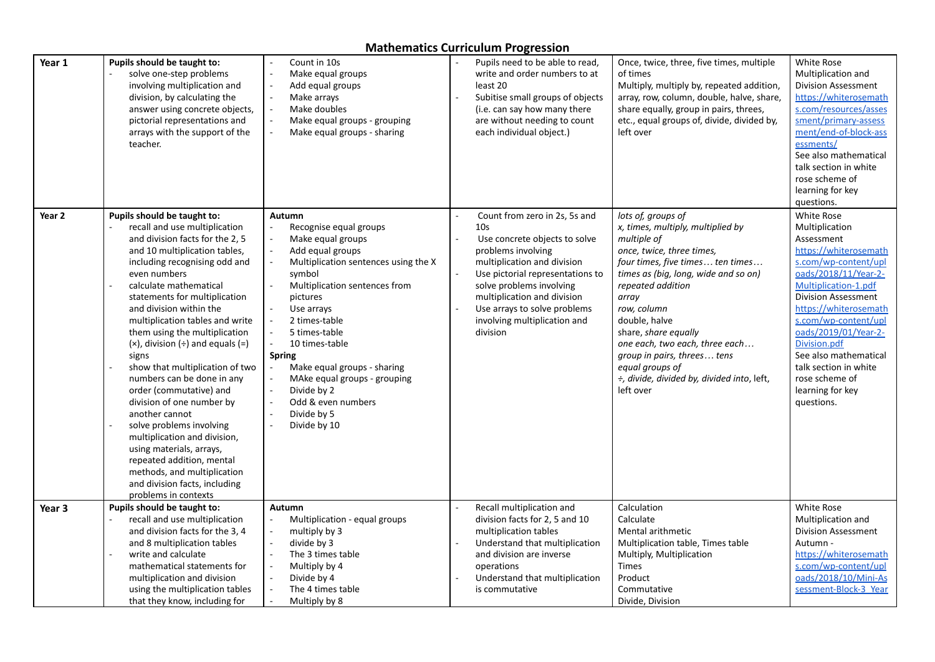| Year 1 | Pupils should be taught to:<br>solve one-step problems<br>involving multiplication and<br>division, by calculating the<br>answer using concrete objects,<br>pictorial representations and<br>arrays with the support of the<br>teacher.                                                                                                                                                                                                                                                                                                                                                                                                                                                                                                                    | Count in 10s<br>Make equal groups<br>Add equal groups<br>Make arrays<br>Make doubles<br>Make equal groups - grouping<br>Make equal groups - sharing                                                                                                                                                                                                                                            | Pupils need to be able to read,<br>write and order numbers to at<br>least 20<br>Subitise small groups of objects<br>(i.e. can say how many there<br>are without needing to count<br>each individual object.)                                                                                                      | Once, twice, three, five times, multiple<br>of times<br>Multiply, multiply by, repeated addition,<br>array, row, column, double, halve, share,<br>share equally, group in pairs, threes,<br>etc., equal groups of, divide, divided by,<br>left over                                                                                                                                                                  | White Rose<br>Multiplication and<br><b>Division Assessment</b><br>https://whiterosemath<br>s.com/resources/asses<br>sment/primary-assess<br>ment/end-of-block-ass<br>essments/<br>See also mathematical<br>talk section in white<br>rose scheme of<br>learning for key<br>questions.                                                                                     |
|--------|------------------------------------------------------------------------------------------------------------------------------------------------------------------------------------------------------------------------------------------------------------------------------------------------------------------------------------------------------------------------------------------------------------------------------------------------------------------------------------------------------------------------------------------------------------------------------------------------------------------------------------------------------------------------------------------------------------------------------------------------------------|------------------------------------------------------------------------------------------------------------------------------------------------------------------------------------------------------------------------------------------------------------------------------------------------------------------------------------------------------------------------------------------------|-------------------------------------------------------------------------------------------------------------------------------------------------------------------------------------------------------------------------------------------------------------------------------------------------------------------|----------------------------------------------------------------------------------------------------------------------------------------------------------------------------------------------------------------------------------------------------------------------------------------------------------------------------------------------------------------------------------------------------------------------|--------------------------------------------------------------------------------------------------------------------------------------------------------------------------------------------------------------------------------------------------------------------------------------------------------------------------------------------------------------------------|
| Year 2 | Pupils should be taught to:<br>recall and use multiplication<br>and division facts for the 2, 5<br>and 10 multiplication tables,<br>including recognising odd and<br>even numbers<br>calculate mathematical<br>statements for multiplication<br>and division within the<br>multiplication tables and write<br>them using the multiplication<br>$(x)$ , division $(\div)$ and equals $(=)$<br>signs<br>show that multiplication of two<br>numbers can be done in any<br>order (commutative) and<br>division of one number by<br>another cannot<br>solve problems involving<br>multiplication and division,<br>using materials, arrays,<br>repeated addition, mental<br>methods, and multiplication<br>and division facts, including<br>problems in contexts | Autumn<br>Recognise equal groups<br>Make equal groups<br>Add equal groups<br>Multiplication sentences using the X<br>symbol<br>Multiplication sentences from<br>pictures<br>Use arrays<br>2 times-table<br>5 times-table<br>10 times-table<br><b>Spring</b><br>Make equal groups - sharing<br>MAke equal groups - grouping<br>Divide by 2<br>Odd & even numbers<br>Divide by 5<br>Divide by 10 | Count from zero in 2s, 5s and<br>10 <sub>s</sub><br>Use concrete objects to solve<br>problems involving<br>multiplication and division<br>Use pictorial representations to<br>solve problems involving<br>multiplication and division<br>Use arrays to solve problems<br>involving multiplication and<br>division | lots of, groups of<br>x, times, multiply, multiplied by<br>multiple of<br>once, twice, three times,<br>four times, five times ten times<br>times as (big, long, wide and so on)<br>repeated addition<br>array<br>row, column<br>double, halve<br>share, share equally<br>one each, two each, three each<br>group in pairs, threes tens<br>equal groups of<br>÷, divide, divided by, divided into, left,<br>left over | White Rose<br>Multiplication<br>Assessment<br>https://whiterosemath<br>s.com/wp-content/upl<br>oads/2018/11/Year-2-<br>Multiplication-1.pdf<br><b>Division Assessment</b><br>https://whiterosemath<br>s.com/wp-content/upl<br>oads/2019/01/Year-2-<br>Division.pdf<br>See also mathematical<br>talk section in white<br>rose scheme of<br>learning for key<br>questions. |
| Year 3 | Pupils should be taught to:<br>recall and use multiplication                                                                                                                                                                                                                                                                                                                                                                                                                                                                                                                                                                                                                                                                                               | Autumn<br>Multiplication - equal groups                                                                                                                                                                                                                                                                                                                                                        | Recall multiplication and<br>division facts for 2, 5 and 10                                                                                                                                                                                                                                                       | Calculation<br>Calculate                                                                                                                                                                                                                                                                                                                                                                                             | White Rose<br>Multiplication and                                                                                                                                                                                                                                                                                                                                         |
|        | and division facts for the 3, 4                                                                                                                                                                                                                                                                                                                                                                                                                                                                                                                                                                                                                                                                                                                            | multiply by 3                                                                                                                                                                                                                                                                                                                                                                                  | multiplication tables                                                                                                                                                                                                                                                                                             | Mental arithmetic                                                                                                                                                                                                                                                                                                                                                                                                    | <b>Division Assessment</b>                                                                                                                                                                                                                                                                                                                                               |
|        | and 8 multiplication tables<br>write and calculate                                                                                                                                                                                                                                                                                                                                                                                                                                                                                                                                                                                                                                                                                                         | $\sim$<br>divide by 3<br>The 3 times table                                                                                                                                                                                                                                                                                                                                                     | Understand that multiplication<br>and division are inverse                                                                                                                                                                                                                                                        | Multiplication table, Times table<br>Multiply, Multiplication                                                                                                                                                                                                                                                                                                                                                        | Autumn -<br>https://whiterosemath                                                                                                                                                                                                                                                                                                                                        |
|        | mathematical statements for                                                                                                                                                                                                                                                                                                                                                                                                                                                                                                                                                                                                                                                                                                                                | Multiply by 4                                                                                                                                                                                                                                                                                                                                                                                  | operations                                                                                                                                                                                                                                                                                                        | <b>Times</b>                                                                                                                                                                                                                                                                                                                                                                                                         | s.com/wp-content/upl                                                                                                                                                                                                                                                                                                                                                     |
|        | multiplication and division                                                                                                                                                                                                                                                                                                                                                                                                                                                                                                                                                                                                                                                                                                                                | Divide by 4                                                                                                                                                                                                                                                                                                                                                                                    | Understand that multiplication                                                                                                                                                                                                                                                                                    | Product                                                                                                                                                                                                                                                                                                                                                                                                              | oads/2018/10/Mini-As                                                                                                                                                                                                                                                                                                                                                     |
|        | using the multiplication tables                                                                                                                                                                                                                                                                                                                                                                                                                                                                                                                                                                                                                                                                                                                            | The 4 times table                                                                                                                                                                                                                                                                                                                                                                              | is commutative                                                                                                                                                                                                                                                                                                    | Commutative                                                                                                                                                                                                                                                                                                                                                                                                          | sessment-Block-3 Year                                                                                                                                                                                                                                                                                                                                                    |
|        | that they know, including for                                                                                                                                                                                                                                                                                                                                                                                                                                                                                                                                                                                                                                                                                                                              | Multiply by 8                                                                                                                                                                                                                                                                                                                                                                                  |                                                                                                                                                                                                                                                                                                                   | Divide, Division                                                                                                                                                                                                                                                                                                                                                                                                     |                                                                                                                                                                                                                                                                                                                                                                          |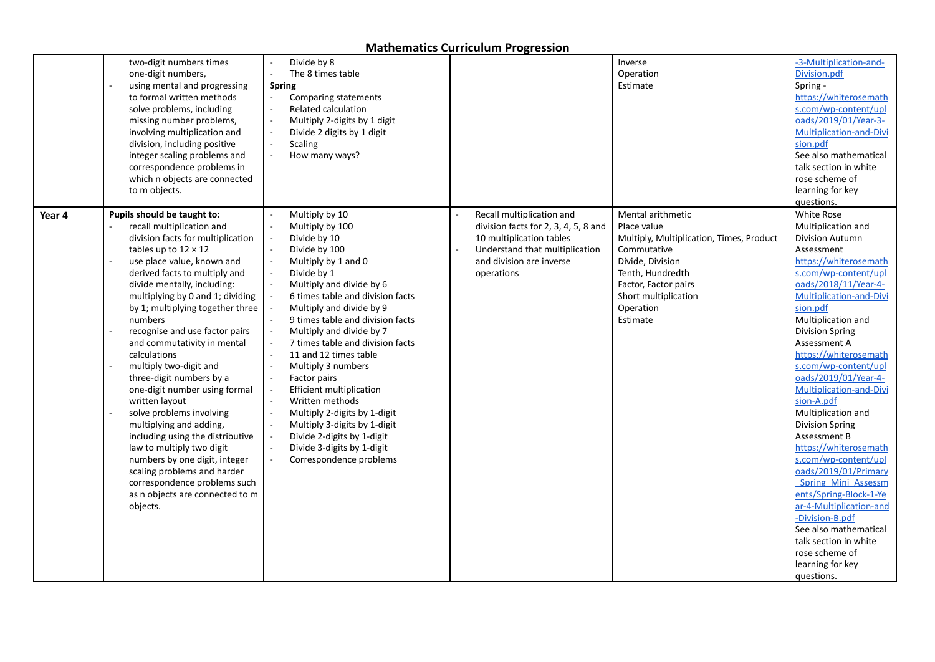| one-digit numbers,<br>to m objects.                                                                                                                     | two-digit numbers times<br>using mental and progressing<br><b>Spring</b><br>to formal written methods<br>solve problems, including<br>missing number problems,<br>involving multiplication and<br>division, including positive<br>integer scaling problems and<br>correspondence problems in<br>which n objects are connected                                                                                                                                                                                                                                                                                                 | Divide by 8<br>The 8 times table<br>Comparing statements<br><b>Related calculation</b><br>Multiply 2-digits by 1 digit<br>Divide 2 digits by 1 digit<br><b>Scaling</b><br>How many ways?                                                                                                                                                                                                                                                                                                                                                                                             |                                                                                                                                                                           | Inverse<br>Operation<br>Estimate                                                                                                                                                                             | -3-Multiplication-and-<br>Division.pdf<br>Spring -<br>https://whiterosemath<br>s.com/wp-content/upl<br>oads/2019/01/Year-3-<br>Multiplication-and-Divi<br>sion.pdf<br>See also mathematical<br>talk section in white<br>rose scheme of<br>learning for key<br>questions.                                                                                                                                                                                                                                                                                                                                                                                                                                                 |
|---------------------------------------------------------------------------------------------------------------------------------------------------------|-------------------------------------------------------------------------------------------------------------------------------------------------------------------------------------------------------------------------------------------------------------------------------------------------------------------------------------------------------------------------------------------------------------------------------------------------------------------------------------------------------------------------------------------------------------------------------------------------------------------------------|--------------------------------------------------------------------------------------------------------------------------------------------------------------------------------------------------------------------------------------------------------------------------------------------------------------------------------------------------------------------------------------------------------------------------------------------------------------------------------------------------------------------------------------------------------------------------------------|---------------------------------------------------------------------------------------------------------------------------------------------------------------------------|--------------------------------------------------------------------------------------------------------------------------------------------------------------------------------------------------------------|--------------------------------------------------------------------------------------------------------------------------------------------------------------------------------------------------------------------------------------------------------------------------------------------------------------------------------------------------------------------------------------------------------------------------------------------------------------------------------------------------------------------------------------------------------------------------------------------------------------------------------------------------------------------------------------------------------------------------|
| Pupils should be taught to:<br>Year 4<br>tables up to $12 \times 12$<br>numbers<br>calculations<br>multiply two-digit and<br>written layout<br>objects. | recall multiplication and<br>division facts for multiplication<br>use place value, known and<br>derived facts to multiply and<br>divide mentally, including:<br>multiplying by 0 and 1; dividing<br>by 1; multiplying together three<br>recognise and use factor pairs<br>and commutativity in mental<br>three-digit numbers by a<br>one-digit number using formal<br>solve problems involving<br>multiplying and adding,<br>including using the distributive<br>law to multiply two digit<br>numbers by one digit, integer<br>scaling problems and harder<br>correspondence problems such<br>as n objects are connected to m | Multiply by 10<br>Multiply by 100<br>Divide by 10<br>Divide by 100<br>Multiply by 1 and 0<br>Divide by 1<br>Multiply and divide by 6<br>6 times table and division facts<br>Multiply and divide by 9<br>9 times table and division facts<br>Multiply and divide by 7<br>7 times table and division facts<br>11 and 12 times table<br>Multiply 3 numbers<br>Factor pairs<br><b>Efficient multiplication</b><br>Written methods<br>Multiply 2-digits by 1-digit<br>Multiply 3-digits by 1-digit<br>Divide 2-digits by 1-digit<br>Divide 3-digits by 1-digit<br>Correspondence problems | Recall multiplication and<br>division facts for 2, 3, 4, 5, 8 and<br>10 multiplication tables<br>Understand that multiplication<br>and division are inverse<br>operations | Mental arithmetic<br>Place value<br>Multiply, Multiplication, Times, Product<br>Commutative<br>Divide, Division<br>Tenth, Hundredth<br>Factor, Factor pairs<br>Short multiplication<br>Operation<br>Estimate | White Rose<br>Multiplication and<br>Division Autumn<br>Assessment<br>https://whiterosemath<br>s.com/wp-content/upl<br>oads/2018/11/Year-4-<br>Multiplication-and-Divi<br>sion.pdf<br>Multiplication and<br><b>Division Spring</b><br>Assessment A<br>https://whiterosemath<br>s.com/wp-content/upl<br>oads/2019/01/Year-4-<br>Multiplication-and-Divi<br>sion-A.pdf<br>Multiplication and<br><b>Division Spring</b><br>Assessment B<br>https://whiterosemath<br>s.com/wp-content/upl<br>oads/2019/01/Primary<br><b>Spring Mini Assessm</b><br>ents/Spring-Block-1-Ye<br>ar-4-Multiplication-and<br>-Division-B.pdf<br>See also mathematical<br>talk section in white<br>rose scheme of<br>learning for key<br>questions. |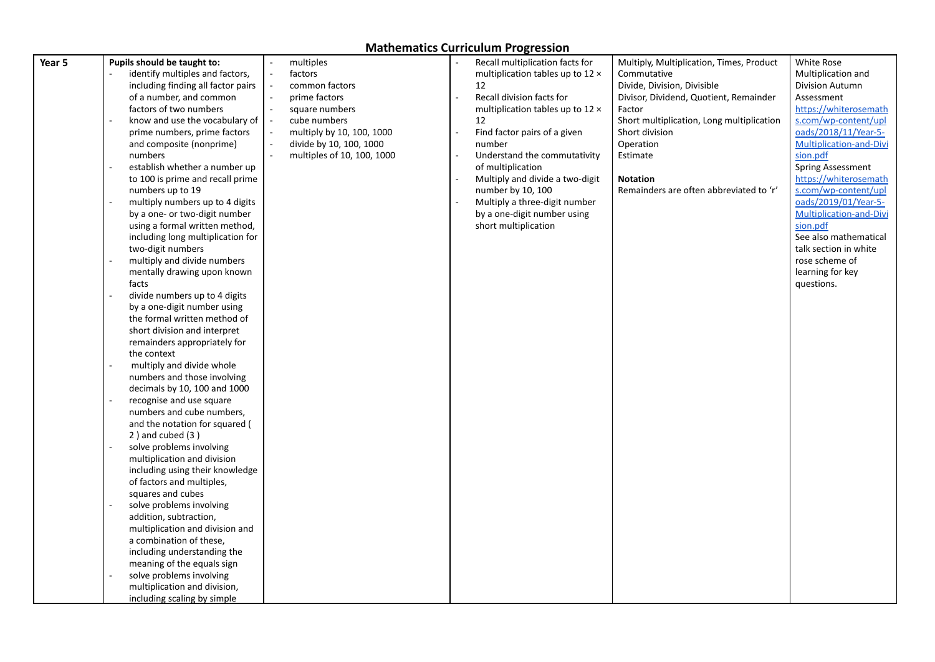| Year 5 | Pupils should be taught to:           | $\overline{\phantom{a}}$                   | multiples                  | Recall multiplication facts for  | Multiply, Multiplication, Times, Product  | White Rose                                    |
|--------|---------------------------------------|--------------------------------------------|----------------------------|----------------------------------|-------------------------------------------|-----------------------------------------------|
|        | identify multiples and factors,       | $\overline{\phantom{a}}$                   | factors                    | multiplication tables up to 12 x | Commutative                               | Multiplication and                            |
|        | including finding all factor pairs    |                                            | common factors             | 12                               | Divide, Division, Divisible               | Division Autumn                               |
|        | of a number, and common               | $\overline{\phantom{a}}$                   | prime factors              | Recall division facts for        | Divisor, Dividend, Quotient, Remainder    | Assessment                                    |
|        |                                       | $\sim$                                     |                            |                                  |                                           |                                               |
|        | factors of two numbers                |                                            | square numbers             | multiplication tables up to 12 x | Factor                                    | https://whiterosemath<br>s.com/wp-content/upl |
|        | know and use the vocabulary of $\ $ - |                                            | cube numbers               | 12                               | Short multiplication, Long multiplication |                                               |
|        | prime numbers, prime factors          | $\overline{\phantom{a}}$<br>$\overline{a}$ | multiply by 10, 100, 1000  | Find factor pairs of a given     | Short division                            | oads/2018/11/Year-5-                          |
|        | and composite (nonprime)              |                                            | divide by 10, 100, 1000    | number                           | Operation                                 | <b>Multiplication-and-Divi</b>                |
|        | numbers                               |                                            | multiples of 10, 100, 1000 | Understand the commutativity     | Estimate                                  | sion.pdf                                      |
|        | establish whether a number up         |                                            |                            | of multiplication                |                                           | Spring Assessment                             |
|        | to 100 is prime and recall prime      |                                            |                            | Multiply and divide a two-digit  | <b>Notation</b>                           | https://whiterosemath                         |
|        | numbers up to 19                      |                                            |                            | number by 10, 100                | Remainders are often abbreviated to 'r'   | s.com/wp-content/upl                          |
|        | multiply numbers up to 4 digits       |                                            |                            | Multiply a three-digit number    |                                           | oads/2019/01/Year-5-                          |
|        | by a one- or two-digit number         |                                            |                            | by a one-digit number using      |                                           | Multiplication-and-Divi                       |
|        | using a formal written method,        |                                            |                            | short multiplication             |                                           | sion.pdf                                      |
|        | including long multiplication for     |                                            |                            |                                  |                                           | See also mathematical                         |
|        | two-digit numbers                     |                                            |                            |                                  |                                           | talk section in white                         |
|        | multiply and divide numbers           |                                            |                            |                                  |                                           | rose scheme of                                |
|        | mentally drawing upon known           |                                            |                            |                                  |                                           | learning for key                              |
|        | facts                                 |                                            |                            |                                  |                                           | questions.                                    |
|        | divide numbers up to 4 digits         |                                            |                            |                                  |                                           |                                               |
|        | by a one-digit number using           |                                            |                            |                                  |                                           |                                               |
|        | the formal written method of          |                                            |                            |                                  |                                           |                                               |
|        | short division and interpret          |                                            |                            |                                  |                                           |                                               |
|        | remainders appropriately for          |                                            |                            |                                  |                                           |                                               |
|        | the context                           |                                            |                            |                                  |                                           |                                               |
|        | multiply and divide whole             |                                            |                            |                                  |                                           |                                               |
|        | numbers and those involving           |                                            |                            |                                  |                                           |                                               |
|        | decimals by 10, 100 and 1000          |                                            |                            |                                  |                                           |                                               |
|        | recognise and use square              |                                            |                            |                                  |                                           |                                               |
|        | numbers and cube numbers,             |                                            |                            |                                  |                                           |                                               |
|        | and the notation for squared (        |                                            |                            |                                  |                                           |                                               |
|        | $2$ ) and cubed $(3)$                 |                                            |                            |                                  |                                           |                                               |
|        | solve problems involving              |                                            |                            |                                  |                                           |                                               |
|        | multiplication and division           |                                            |                            |                                  |                                           |                                               |
|        | including using their knowledge       |                                            |                            |                                  |                                           |                                               |
|        | of factors and multiples,             |                                            |                            |                                  |                                           |                                               |
|        | squares and cubes                     |                                            |                            |                                  |                                           |                                               |
|        | solve problems involving              |                                            |                            |                                  |                                           |                                               |
|        | addition, subtraction,                |                                            |                            |                                  |                                           |                                               |
|        | multiplication and division and       |                                            |                            |                                  |                                           |                                               |
|        | a combination of these,               |                                            |                            |                                  |                                           |                                               |
|        | including understanding the           |                                            |                            |                                  |                                           |                                               |
|        | meaning of the equals sign            |                                            |                            |                                  |                                           |                                               |
|        | solve problems involving              |                                            |                            |                                  |                                           |                                               |
|        |                                       |                                            |                            |                                  |                                           |                                               |
|        | multiplication and division,          |                                            |                            |                                  |                                           |                                               |
|        | including scaling by simple           |                                            |                            |                                  |                                           |                                               |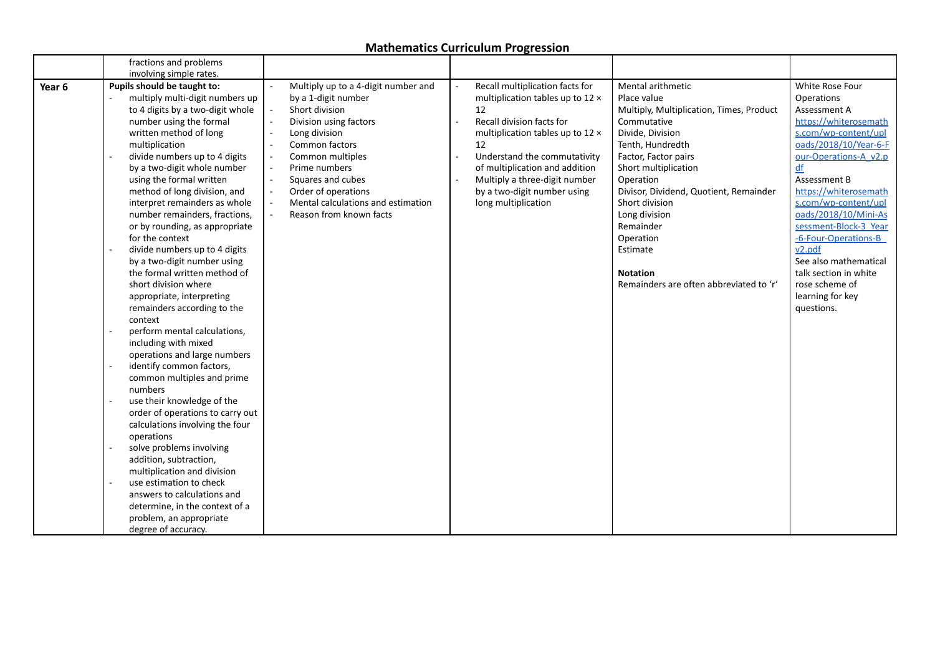|                   | fractions and problems           |                                                                |                                  |                                          |                       |
|-------------------|----------------------------------|----------------------------------------------------------------|----------------------------------|------------------------------------------|-----------------------|
|                   | involving simple rates.          |                                                                |                                  |                                          |                       |
| Year <sub>6</sub> | Pupils should be taught to:      | Multiply up to a 4-digit number and                            | Recall multiplication facts for  | Mental arithmetic                        | White Rose Four       |
|                   | multiply multi-digit numbers up  | by a 1-digit number                                            | multiplication tables up to 12 x | Place value                              | Operations            |
|                   | to 4 digits by a two-digit whole | Short division                                                 | 12                               | Multiply, Multiplication, Times, Product | Assessment A          |
|                   | number using the formal          | Division using factors<br>$\overline{\phantom{a}}$             | Recall division facts for        | Commutative                              | https://whiterosemath |
|                   | written method of long           | Long division<br>$\overline{\phantom{a}}$                      | multiplication tables up to 12 x | Divide, Division                         | s.com/wp-content/upl  |
|                   | multiplication                   | Common factors                                                 | 12                               | Tenth, Hundredth                         | oads/2018/10/Year-6-F |
|                   | divide numbers up to 4 digits    | Common multiples<br>$\sim$                                     | Understand the commutativity     | Factor, Factor pairs                     | our-Operations-A v2.p |
|                   | by a two-digit whole number      | Prime numbers<br>$\overline{a}$                                | of multiplication and addition   | Short multiplication                     | df                    |
|                   | using the formal written         | $\sim$<br>Squares and cubes                                    | Multiply a three-digit number    | Operation                                | Assessment B          |
|                   | method of long division, and     | Order of operations<br>$\overline{\phantom{a}}$                | by a two-digit number using      | Divisor, Dividend, Quotient, Remainder   | https://whiterosemath |
|                   | interpret remainders as whole    | Mental calculations and estimation<br>$\overline{\phantom{a}}$ | long multiplication              | Short division                           | s.com/wp-content/upl  |
|                   | number remainders, fractions,    | Reason from known facts                                        |                                  | Long division                            | oads/2018/10/Mini-As  |
|                   | or by rounding, as appropriate   |                                                                |                                  | Remainder                                | sessment-Block-3 Year |
|                   | for the context                  |                                                                |                                  | Operation                                | -6-Four-Operations-B  |
|                   | divide numbers up to 4 digits    |                                                                |                                  | Estimate                                 | v2.pdf                |
|                   | by a two-digit number using      |                                                                |                                  |                                          | See also mathematical |
|                   | the formal written method of     |                                                                |                                  | <b>Notation</b>                          | talk section in white |
|                   | short division where             |                                                                |                                  | Remainders are often abbreviated to 'r'  | rose scheme of        |
|                   | appropriate, interpreting        |                                                                |                                  |                                          | learning for key      |
|                   | remainders according to the      |                                                                |                                  |                                          | questions.            |
|                   | context                          |                                                                |                                  |                                          |                       |
|                   | perform mental calculations,     |                                                                |                                  |                                          |                       |
|                   | including with mixed             |                                                                |                                  |                                          |                       |
|                   | operations and large numbers     |                                                                |                                  |                                          |                       |
|                   | identify common factors,         |                                                                |                                  |                                          |                       |
|                   | common multiples and prime       |                                                                |                                  |                                          |                       |
|                   | numbers                          |                                                                |                                  |                                          |                       |
|                   | use their knowledge of the       |                                                                |                                  |                                          |                       |
|                   | order of operations to carry out |                                                                |                                  |                                          |                       |
|                   | calculations involving the four  |                                                                |                                  |                                          |                       |
|                   | operations                       |                                                                |                                  |                                          |                       |
|                   | solve problems involving         |                                                                |                                  |                                          |                       |
|                   | addition, subtraction,           |                                                                |                                  |                                          |                       |
|                   | multiplication and division      |                                                                |                                  |                                          |                       |
|                   | use estimation to check          |                                                                |                                  |                                          |                       |
|                   | answers to calculations and      |                                                                |                                  |                                          |                       |
|                   | determine, in the context of a   |                                                                |                                  |                                          |                       |
|                   | problem, an appropriate          |                                                                |                                  |                                          |                       |
|                   | degree of accuracy.              |                                                                |                                  |                                          |                       |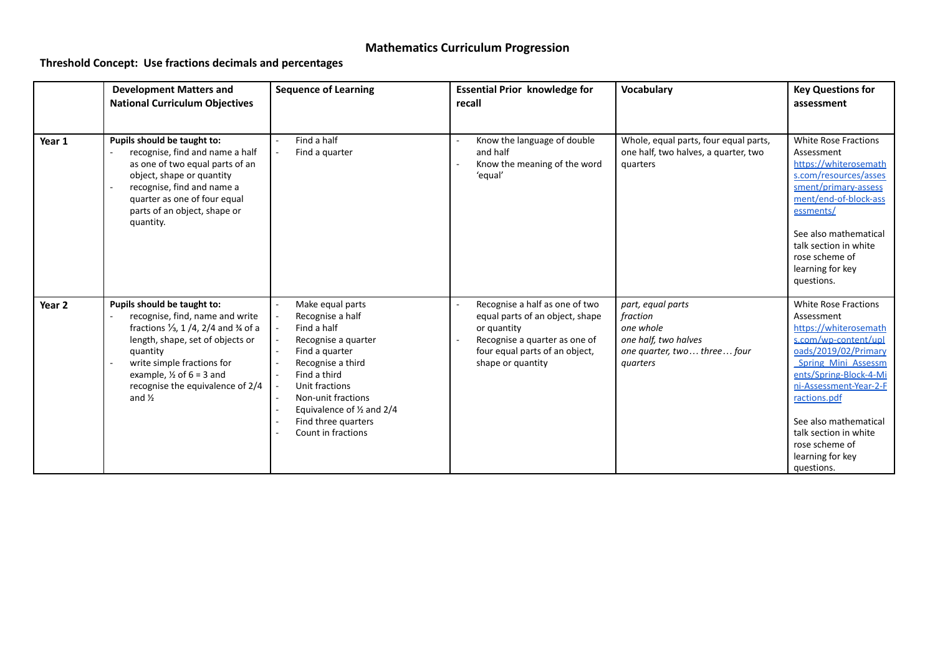## **Threshold Concept: Use fractions decimals and percentages**

|                   | <b>Development Matters and</b><br><b>National Curriculum Objectives</b>                                                                                                                                                                                                                                   | <b>Sequence of Learning</b>                                                                                                                                                                                                                                    | <b>Essential Prior knowledge for</b><br>recall                                                                                                                           | Vocabulary                                                                                                    | <b>Key Questions for</b><br>assessment                                                                                                                                                                                                                                                                                     |
|-------------------|-----------------------------------------------------------------------------------------------------------------------------------------------------------------------------------------------------------------------------------------------------------------------------------------------------------|----------------------------------------------------------------------------------------------------------------------------------------------------------------------------------------------------------------------------------------------------------------|--------------------------------------------------------------------------------------------------------------------------------------------------------------------------|---------------------------------------------------------------------------------------------------------------|----------------------------------------------------------------------------------------------------------------------------------------------------------------------------------------------------------------------------------------------------------------------------------------------------------------------------|
| Year 1            | Pupils should be taught to:<br>recognise, find and name a half<br>as one of two equal parts of an<br>object, shape or quantity<br>recognise, find and name a<br>quarter as one of four equal<br>parts of an object, shape or<br>quantity.                                                                 | Find a half<br>Find a quarter                                                                                                                                                                                                                                  | Know the language of double<br>and half<br>Know the meaning of the word<br>'equal'                                                                                       | Whole, equal parts, four equal parts,<br>one half, two halves, a quarter, two<br>quarters                     | <b>White Rose Fractions</b><br>Assessment<br>https://whiterosemath<br>s.com/resources/asses<br>sment/primary-assess<br>ment/end-of-block-ass<br>essments/<br>See also mathematical<br>talk section in white<br>rose scheme of<br>learning for key<br>questions.                                                            |
| Year <sub>2</sub> | Pupils should be taught to:<br>recognise, find, name and write<br>fractions $\frac{1}{3}$ , 1/4, 2/4 and $\frac{3}{4}$ of a<br>length, shape, set of objects or<br>quantity<br>write simple fractions for<br>example, $\frac{1}{2}$ of 6 = 3 and<br>recognise the equivalence of 2/4<br>and $\frac{1}{2}$ | Make equal parts<br>Recognise a half<br>Find a half<br>Recognise a quarter<br>Find a quarter<br>Recognise a third<br>Find a third<br>Unit fractions<br>Non-unit fractions<br>Equivalence of $\frac{1}{2}$ and 2/4<br>Find three quarters<br>Count in fractions | Recognise a half as one of two<br>equal parts of an object, shape<br>or quantity<br>Recognise a quarter as one of<br>four equal parts of an object,<br>shape or quantity | part, equal parts<br>fraction<br>one whole<br>one half, two halves<br>one quarter, two three four<br>quarters | <b>White Rose Fractions</b><br>Assessment<br>https://whiterosemath<br>s.com/wp-content/upl<br>oads/2019/02/Primary<br><b>Spring Mini Assessm</b><br>ents/Spring-Block-4-Mi<br>ni-Assessment-Year-2-E<br>ractions.pdf<br>See also mathematical<br>talk section in white<br>rose scheme of<br>learning for key<br>questions. |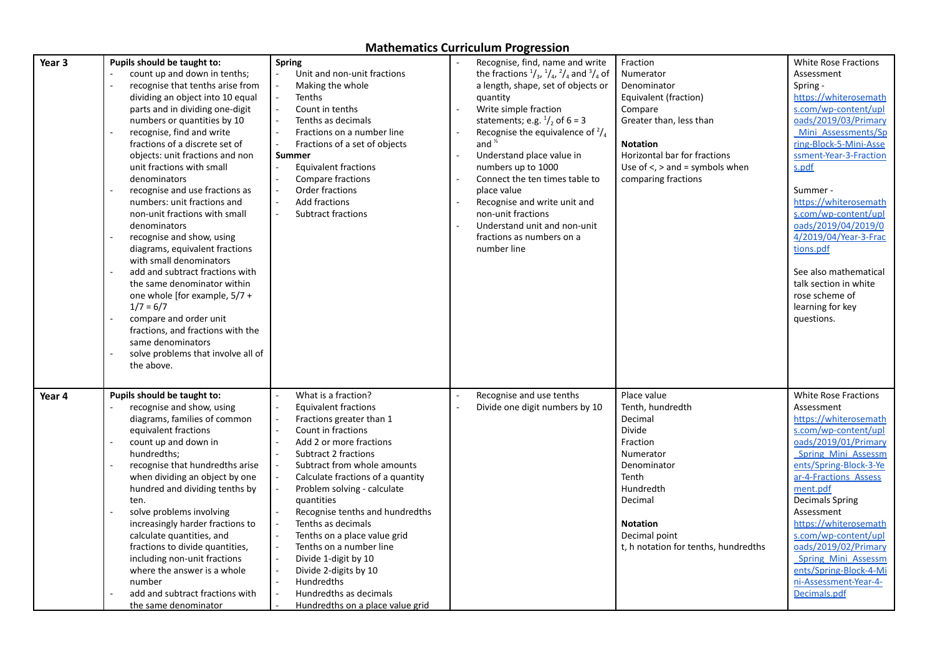| Year 3 | Pupils should be taught to:<br>count up and down in tenths;<br>recognise that tenths arise from<br>dividing an object into 10 equal<br>parts and in dividing one-digit<br>numbers or quantities by 10<br>recognise, find and write<br>fractions of a discrete set of<br>objects: unit fractions and non<br>unit fractions with small<br>denominators<br>recognise and use fractions as<br>numbers: unit fractions and<br>non-unit fractions with small<br>denominators<br>recognise and show, using<br>diagrams, equivalent fractions<br>with small denominators<br>add and subtract fractions with<br>the same denominator within<br>one whole [for example, $5/7 +$<br>$1/7 = 6/7$<br>compare and order unit<br>fractions, and fractions with the<br>same denominators<br>solve problems that involve all of<br>the above. | <b>Spring</b><br>Unit and non-unit fractions<br>Making the whole<br><b>Tenths</b><br>Count in tenths<br>Tenths as decimals<br>Fractions on a number line<br>Fractions of a set of objects<br>Summer<br><b>Equivalent fractions</b><br>Compare fractions<br>Order fractions<br><b>Add fractions</b><br>Subtract fractions                                                                                                                                                                                                                   | Recognise, find, name and write<br>the fractions $\frac{1}{3}$ , $\frac{1}{4}$ , $\frac{2}{4}$ and $\frac{3}{4}$ of<br>a length, shape, set of objects or<br>quantity<br>Write simple fraction<br>statements; e.g. $\frac{1}{2}$ of 6 = 3<br>Recognise the equivalence of $\frac{2}{4}$<br>and $\frac{1}{2}$<br>Understand place value in<br>numbers up to 1000<br>Connect the ten times table to<br>place value<br>Recognise and write unit and<br>non-unit fractions<br>Understand unit and non-unit<br>fractions as numbers on a<br>number line | Fraction<br>Numerator<br>Denominator<br>Equivalent (fraction)<br>Compare<br>Greater than, less than<br><b>Notation</b><br>Horizontal bar for fractions<br>Use of $\le$ , $>$ and = symbols when<br>comparing fractions | <b>White Rose Fractions</b><br>Assessment<br>Spring -<br>https://whiterosemath<br>s.com/wp-content/upl<br>oads/2019/03/Primary<br>Mini Assessments/Sp<br>ring-Block-5-Mini-Asse<br>ssment-Year-3-Fraction<br>s.pdf<br>Summer -<br>https://whiterosemath<br>s.com/wp-content/upl<br>oads/2019/04/2019/0<br>4/2019/04/Year-3-Frac<br>tions.pdf<br>See also mathematical<br>talk section in white<br>rose scheme of<br>learning for key<br>questions. |
|--------|------------------------------------------------------------------------------------------------------------------------------------------------------------------------------------------------------------------------------------------------------------------------------------------------------------------------------------------------------------------------------------------------------------------------------------------------------------------------------------------------------------------------------------------------------------------------------------------------------------------------------------------------------------------------------------------------------------------------------------------------------------------------------------------------------------------------------|--------------------------------------------------------------------------------------------------------------------------------------------------------------------------------------------------------------------------------------------------------------------------------------------------------------------------------------------------------------------------------------------------------------------------------------------------------------------------------------------------------------------------------------------|----------------------------------------------------------------------------------------------------------------------------------------------------------------------------------------------------------------------------------------------------------------------------------------------------------------------------------------------------------------------------------------------------------------------------------------------------------------------------------------------------------------------------------------------------|------------------------------------------------------------------------------------------------------------------------------------------------------------------------------------------------------------------------|----------------------------------------------------------------------------------------------------------------------------------------------------------------------------------------------------------------------------------------------------------------------------------------------------------------------------------------------------------------------------------------------------------------------------------------------------|
| Year 4 | Pupils should be taught to:<br>recognise and show, using<br>diagrams, families of common<br>equivalent fractions<br>count up and down in<br>hundredths;<br>recognise that hundredths arise<br>when dividing an object by one<br>hundred and dividing tenths by<br>ten.<br>solve problems involving<br>increasingly harder fractions to<br>calculate quantities, and<br>fractions to divide quantities,<br>including non-unit fractions<br>where the answer is a whole<br>number<br>add and subtract fractions with<br>the same denominator                                                                                                                                                                                                                                                                                   | What is a fraction?<br><b>Equivalent fractions</b><br>Fractions greater than 1<br>Count in fractions<br>Add 2 or more fractions<br><b>Subtract 2 fractions</b><br>Subtract from whole amounts<br>Calculate fractions of a quantity<br>Problem solving - calculate<br>quantities<br>Recognise tenths and hundredths<br>Tenths as decimals<br>Tenths on a place value grid<br>Tenths on a number line<br>$\sim$<br>Divide 1-digit by 10<br>Divide 2-digits by 10<br>Hundredths<br>Hundredths as decimals<br>Hundredths on a place value grid | Recognise and use tenths<br>Divide one digit numbers by 10                                                                                                                                                                                                                                                                                                                                                                                                                                                                                         | Place value<br>Tenth, hundredth<br>Decimal<br>Divide<br>Fraction<br>Numerator<br>Denominator<br>Tenth<br>Hundredth<br>Decimal<br><b>Notation</b><br>Decimal point<br>t, h notation for tenths, hundredths              | <b>White Rose Fractions</b><br>Assessment<br>https://whiterosemath<br>s.com/wp-content/upl<br>oads/2019/01/Primary<br>Spring Mini Assessm<br>ents/Spring-Block-3-Ye<br>ar-4-Fractions Assess<br>ment.pdf<br><b>Decimals Spring</b><br>Assessment<br>https://whiterosemath<br>s.com/wp-content/upl<br>oads/2019/02/Primary<br>Spring Mini Assessm<br>ents/Spring-Block-4-Mi<br>ni-Assessment-Year-4-<br>Decimals.pdf                                |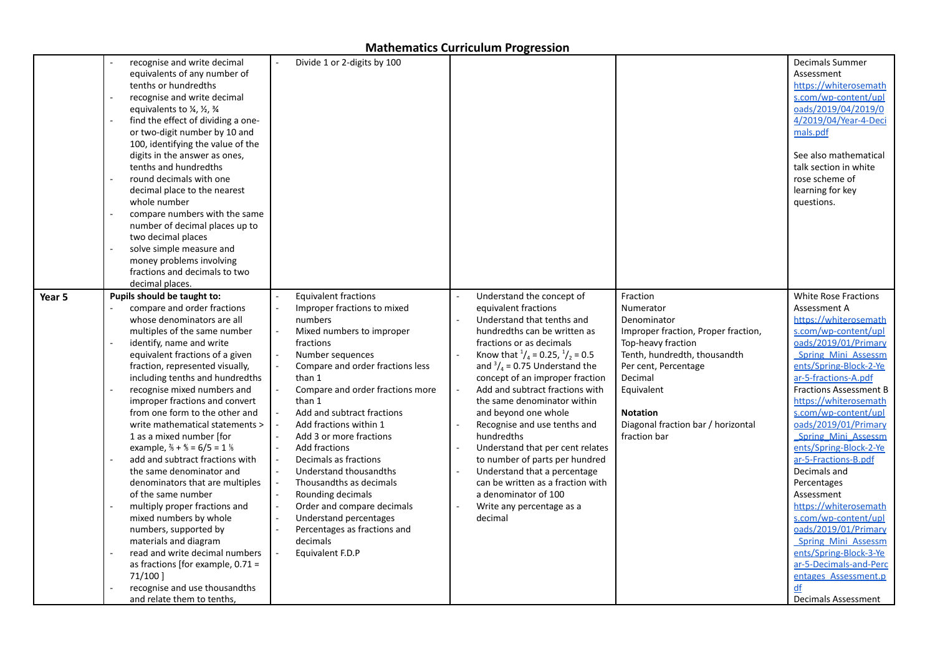|        | recognise and write decimal<br>equivalents of any number of<br>tenths or hundredths<br>recognise and write decimal<br>equivalents to $\frac{1}{4}$ , $\frac{1}{2}$ , $\frac{3}{4}$<br>find the effect of dividing a one-<br>or two-digit number by 10 and<br>100, identifying the value of the<br>digits in the answer as ones,<br>tenths and hundredths<br>round decimals with one<br>decimal place to the nearest<br>whole number<br>compare numbers with the same<br>number of decimal places up to<br>two decimal places<br>solve simple measure and<br>money problems involving<br>fractions and decimals to two<br>decimal places.                                                                                                                                                                                                               | Divide 1 or 2-digits by 100<br>$\blacksquare$                                                                                                                                                                                                                                                                                                                                                                                                                                                                                                                  |                                                                                                                                                                                                                                                                                                                                                                                                                                                                                                                                                                                                                                     |                                                                                                                                                                                                                                                             | <b>Decimals Summer</b><br>Assessment<br>https://whiterosemath<br>s.com/wp-content/upl<br>oads/2019/04/2019/0<br>4/2019/04/Year-4-Deci<br>mals.pdf<br>See also mathematical<br>talk section in white<br>rose scheme of<br>learning for key<br>questions.                                                                                                                                                                                                                                                                                                                                                                |
|--------|--------------------------------------------------------------------------------------------------------------------------------------------------------------------------------------------------------------------------------------------------------------------------------------------------------------------------------------------------------------------------------------------------------------------------------------------------------------------------------------------------------------------------------------------------------------------------------------------------------------------------------------------------------------------------------------------------------------------------------------------------------------------------------------------------------------------------------------------------------|----------------------------------------------------------------------------------------------------------------------------------------------------------------------------------------------------------------------------------------------------------------------------------------------------------------------------------------------------------------------------------------------------------------------------------------------------------------------------------------------------------------------------------------------------------------|-------------------------------------------------------------------------------------------------------------------------------------------------------------------------------------------------------------------------------------------------------------------------------------------------------------------------------------------------------------------------------------------------------------------------------------------------------------------------------------------------------------------------------------------------------------------------------------------------------------------------------------|-------------------------------------------------------------------------------------------------------------------------------------------------------------------------------------------------------------------------------------------------------------|------------------------------------------------------------------------------------------------------------------------------------------------------------------------------------------------------------------------------------------------------------------------------------------------------------------------------------------------------------------------------------------------------------------------------------------------------------------------------------------------------------------------------------------------------------------------------------------------------------------------|
| Year 5 | Pupils should be taught to:<br>compare and order fractions<br>whose denominators are all<br>multiples of the same number<br>identify, name and write<br>equivalent fractions of a given<br>fraction, represented visually,<br>including tenths and hundredths<br>recognise mixed numbers and<br>improper fractions and convert<br>from one form to the other and<br>write mathematical statements ><br>1 as a mixed number [for<br>example, $\frac{2}{3} + \frac{4}{5} = 6/5 = 1\frac{1}{5}$<br>add and subtract fractions with<br>the same denominator and<br>denominators that are multiples<br>of the same number<br>multiply proper fractions and<br>mixed numbers by whole<br>numbers, supported by<br>materials and diagram<br>read and write decimal numbers<br>as fractions [for example, $0.71 =$<br>71/1001<br>recognise and use thousandths | <b>Equivalent fractions</b><br>Improper fractions to mixed<br>numbers<br>Mixed numbers to improper<br>fractions<br>Number sequences<br>Compare and order fractions less<br>than 1<br>Compare and order fractions more<br>than 1<br>Add and subtract fractions<br>Add fractions within 1<br>Add 3 or more fractions<br>Add fractions<br>Decimals as fractions<br>Understand thousandths<br>Thousandths as decimals<br>Rounding decimals<br>Order and compare decimals<br>Understand percentages<br>Percentages as fractions and<br>decimals<br>Equivalent F.D.P | Understand the concept of<br>equivalent fractions<br>Understand that tenths and<br>hundredths can be written as<br>fractions or as decimals<br>Know that $\frac{1}{4}$ = 0.25, $\frac{1}{2}$ = 0.5<br>and $\frac{3}{4}$ = 0.75 Understand the<br>concept of an improper fraction<br>Add and subtract fractions with<br>the same denominator within<br>and beyond one whole<br>Recognise and use tenths and<br>hundredths<br>Understand that per cent relates<br>to number of parts per hundred<br>Understand that a percentage<br>can be written as a fraction with<br>a denominator of 100<br>Write any percentage as a<br>decimal | Fraction<br>Numerator<br>Denominator<br>Improper fraction, Proper fraction,<br>Top-heavy fraction<br>Tenth, hundredth, thousandth<br>Per cent, Percentage<br>Decimal<br>Equivalent<br><b>Notation</b><br>Diagonal fraction bar / horizontal<br>fraction bar | <b>White Rose Fractions</b><br>Assessment A<br>https://whiterosemath<br>s.com/wp-content/upl<br>oads/2019/01/Primary<br>Spring Mini Assessm<br>ents/Spring-Block-2-Ye<br>ar-5-fractions-A.pdf<br><b>Fractions Assessment B</b><br>https://whiterosemath<br>s.com/wp-content/upl<br>oads/2019/01/Primary<br><b>Spring Mini Assessm</b><br>ents/Spring-Block-2-Ye<br>ar-5-Fractions-B.pdf<br>Decimals and<br>Percentages<br>Assessment<br>https://whiterosemath<br>s.com/wp-content/upl<br>oads/2019/01/Primary<br>Spring Mini Assessm<br>ents/Spring-Block-3-Ye<br>ar-5-Decimals-and-Perc<br>entages Assessment.p<br>df |
|        | and relate them to tenths,                                                                                                                                                                                                                                                                                                                                                                                                                                                                                                                                                                                                                                                                                                                                                                                                                             |                                                                                                                                                                                                                                                                                                                                                                                                                                                                                                                                                                |                                                                                                                                                                                                                                                                                                                                                                                                                                                                                                                                                                                                                                     |                                                                                                                                                                                                                                                             | <b>Decimals Assessment</b>                                                                                                                                                                                                                                                                                                                                                                                                                                                                                                                                                                                             |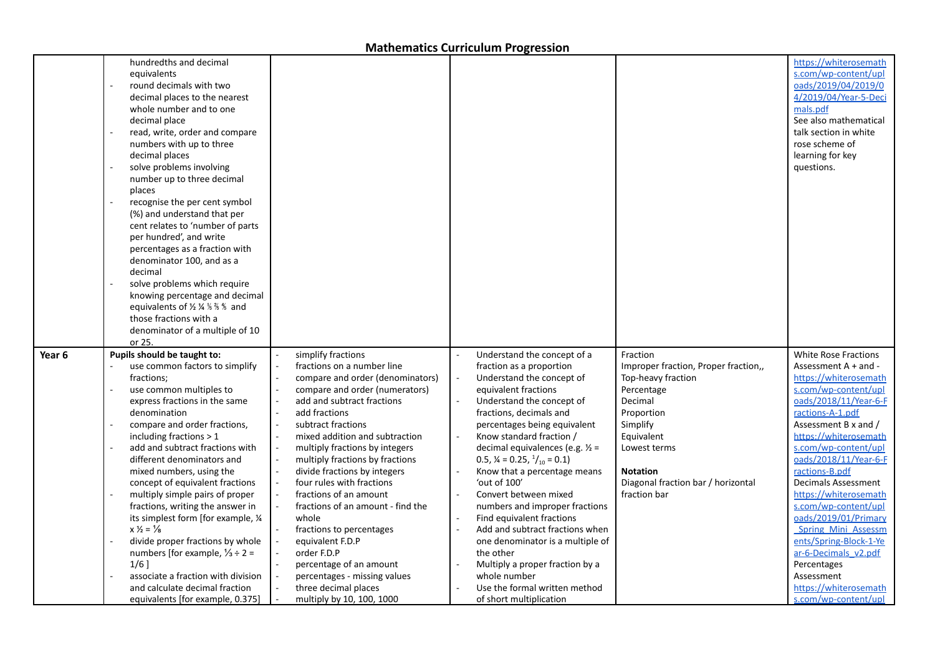|        | hundredths and decimal<br>equivalents<br>round decimals with two<br>decimal places to the nearest<br>whole number and to one<br>decimal place<br>read, write, order and compare<br>numbers with up to three<br>decimal places<br>solve problems involving<br>number up to three decimal<br>places<br>recognise the per cent symbol<br>(%) and understand that per<br>cent relates to 'number of parts<br>per hundred', and write<br>percentages as a fraction with<br>denominator 100, and as a<br>decimal<br>solve problems which require<br>knowing percentage and decimal<br>equivalents of $\frac{1}{2}$ $\frac{1}{4}$ $\frac{1}{8}$ $\frac{1}{8}$ $\frac{1}{8}$ and<br>those fractions with a<br>denominator of a multiple of 10<br>or 25. |                                                                                                                                                                                                                                                                                                                                                                                                                                                                                                                                                                                                                        |                                                                                                                                                                                                                                                                                                                                                                                                                                                                                                                                                                                                                                                                               |                                                                                                                                                                                                                                  | https://whiterosemath<br>s.com/wp-content/upl<br>oads/2019/04/2019/0<br>4/2019/04/Year-5-Deci<br>mals.pdf<br>See also mathematical<br>talk section in white<br>rose scheme of<br>learning for key<br>questions.                                                                                                                                                                                                                                                                                                                              |
|--------|-------------------------------------------------------------------------------------------------------------------------------------------------------------------------------------------------------------------------------------------------------------------------------------------------------------------------------------------------------------------------------------------------------------------------------------------------------------------------------------------------------------------------------------------------------------------------------------------------------------------------------------------------------------------------------------------------------------------------------------------------|------------------------------------------------------------------------------------------------------------------------------------------------------------------------------------------------------------------------------------------------------------------------------------------------------------------------------------------------------------------------------------------------------------------------------------------------------------------------------------------------------------------------------------------------------------------------------------------------------------------------|-------------------------------------------------------------------------------------------------------------------------------------------------------------------------------------------------------------------------------------------------------------------------------------------------------------------------------------------------------------------------------------------------------------------------------------------------------------------------------------------------------------------------------------------------------------------------------------------------------------------------------------------------------------------------------|----------------------------------------------------------------------------------------------------------------------------------------------------------------------------------------------------------------------------------|----------------------------------------------------------------------------------------------------------------------------------------------------------------------------------------------------------------------------------------------------------------------------------------------------------------------------------------------------------------------------------------------------------------------------------------------------------------------------------------------------------------------------------------------|
| Year 6 | Pupils should be taught to:<br>use common factors to simplify<br>fractions;<br>use common multiples to<br>express fractions in the same<br>denomination<br>compare and order fractions,<br>including fractions $> 1$<br>add and subtract fractions with<br>different denominators and<br>mixed numbers, using the<br>concept of equivalent fractions<br>multiply simple pairs of proper<br>fractions, writing the answer in<br>its simplest form [for example, 1/4<br>$x\frac{1}{2} = \frac{1}{8}$<br>divide proper fractions by whole<br>numbers [for example, $\frac{1}{3} \div 2 =$<br>$1/6$ ]<br>associate a fraction with division<br>and calculate decimal fraction<br>equivalents [for example, 0.375]                                   | simplify fractions<br>fractions on a number line<br>compare and order (denominators)<br>compare and order (numerators)<br>add and subtract fractions<br>add fractions<br>subtract fractions<br>mixed addition and subtraction<br>multiply fractions by integers<br>multiply fractions by fractions<br>divide fractions by integers<br>four rules with fractions<br>fractions of an amount<br>fractions of an amount - find the<br>whole<br>fractions to percentages<br>equivalent F.D.P<br>order F.D.P<br>percentage of an amount<br>percentages - missing values<br>three decimal places<br>multiply by 10, 100, 1000 | Understand the concept of a<br>fraction as a proportion<br>Understand the concept of<br>equivalent fractions<br>Understand the concept of<br>fractions, decimals and<br>percentages being equivalent<br>Know standard fraction /<br>decimal equivalences (e.g. $\frac{1}{2}$ =<br>0.5, $\frac{1}{4}$ = 0.25, $\frac{1}{10}$ = 0.1)<br>Know that a percentage means<br>'out of 100'<br>Convert between mixed<br>numbers and improper fractions<br>Find equivalent fractions<br>Add and subtract fractions when<br>one denominator is a multiple of<br>the other<br>Multiply a proper fraction by a<br>whole number<br>Use the formal written method<br>of short multiplication | Fraction<br>Improper fraction, Proper fraction,,<br>Top-heavy fraction<br>Percentage<br>Decimal<br>Proportion<br>Simplify<br>Equivalent<br>Lowest terms<br><b>Notation</b><br>Diagonal fraction bar / horizontal<br>fraction bar | <b>White Rose Fractions</b><br>Assessment $A + and -$<br>https://whiterosemath<br>s.com/wp-content/upl<br>oads/2018/11/Year-6-F<br>ractions-A-1.pdf<br>Assessment B x and /<br>https://whiterosemath<br>s.com/wp-content/upl<br>pads/2018/11/Year-6-F<br>ractions-B.pdf<br><b>Decimals Assessment</b><br>https://whiterosemath<br>s.com/wp-content/upl<br>oads/2019/01/Primary<br><b>Spring Mini Assessm</b><br>ents/Spring-Block-1-Ye<br>ar-6-Decimals v2.pdf<br>Percentages<br>Assessment<br>https://whiterosemath<br>s.com/wp-content/upl |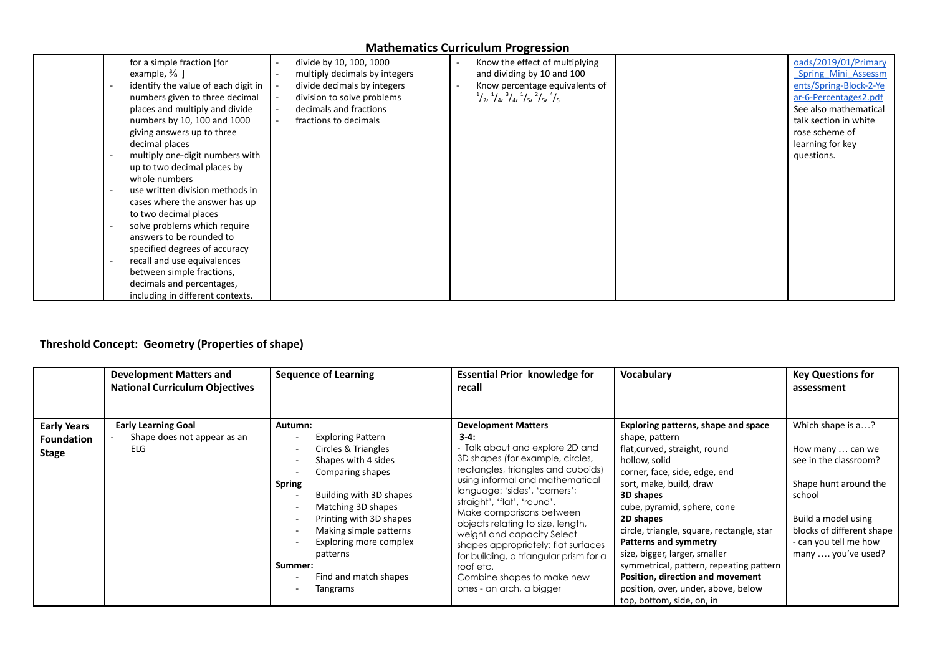| for a simple fraction [for<br>example, $\frac{3}{8}$ ]<br>identify the value of each digit in<br>numbers given to three decimal | divide by 10, 100, 1000<br>multiply decimals by integers<br>divide decimals by integers<br>division to solve problems | Know the effect of multiplying<br>and dividing by 10 and 100<br>Know percentage equivalents of<br>$\frac{1}{2}$ , $\frac{1}{4}$ , $\frac{3}{4}$ , $\frac{1}{5}$ , $\frac{2}{5}$ , $\frac{4}{5}$ | oads/2019/01/Primary<br><b>Spring Mini Assessm</b><br>ents/Spring-Block-2-Ye<br>ar-6-Percentages2.pdf |
|---------------------------------------------------------------------------------------------------------------------------------|-----------------------------------------------------------------------------------------------------------------------|-------------------------------------------------------------------------------------------------------------------------------------------------------------------------------------------------|-------------------------------------------------------------------------------------------------------|
| places and multiply and divide                                                                                                  | decimals and fractions                                                                                                |                                                                                                                                                                                                 | See also mathematical                                                                                 |
| numbers by 10, 100 and 1000                                                                                                     | fractions to decimals                                                                                                 |                                                                                                                                                                                                 | talk section in white                                                                                 |
|                                                                                                                                 |                                                                                                                       |                                                                                                                                                                                                 | rose scheme of                                                                                        |
| giving answers up to three<br>decimal places                                                                                    |                                                                                                                       |                                                                                                                                                                                                 | learning for key                                                                                      |
|                                                                                                                                 |                                                                                                                       |                                                                                                                                                                                                 |                                                                                                       |
| multiply one-digit numbers with                                                                                                 |                                                                                                                       |                                                                                                                                                                                                 | questions.                                                                                            |
| up to two decimal places by                                                                                                     |                                                                                                                       |                                                                                                                                                                                                 |                                                                                                       |
| whole numbers                                                                                                                   |                                                                                                                       |                                                                                                                                                                                                 |                                                                                                       |
| use written division methods in                                                                                                 |                                                                                                                       |                                                                                                                                                                                                 |                                                                                                       |
| cases where the answer has up                                                                                                   |                                                                                                                       |                                                                                                                                                                                                 |                                                                                                       |
| to two decimal places                                                                                                           |                                                                                                                       |                                                                                                                                                                                                 |                                                                                                       |
| solve problems which require                                                                                                    |                                                                                                                       |                                                                                                                                                                                                 |                                                                                                       |
| answers to be rounded to                                                                                                        |                                                                                                                       |                                                                                                                                                                                                 |                                                                                                       |
| specified degrees of accuracy                                                                                                   |                                                                                                                       |                                                                                                                                                                                                 |                                                                                                       |
| recall and use equivalences                                                                                                     |                                                                                                                       |                                                                                                                                                                                                 |                                                                                                       |
| between simple fractions,                                                                                                       |                                                                                                                       |                                                                                                                                                                                                 |                                                                                                       |
| decimals and percentages,                                                                                                       |                                                                                                                       |                                                                                                                                                                                                 |                                                                                                       |
| including in different contexts.                                                                                                |                                                                                                                       |                                                                                                                                                                                                 |                                                                                                       |

# **Threshold Concept: Geometry (Properties of shape)**

|                                                         | <b>Development Matters and</b><br><b>National Curriculum Objectives</b> | <b>Sequence of Learning</b>                                                                                                                                                                                                                                                                                        | <b>Essential Prior knowledge for</b><br>recall                                                                                                                                                                                                                                                                                                                                                                                                                                                              | Vocabulary                                                                                                                                                                                                                                                                                                                                                                                                                                                                             | <b>Key Questions for</b><br>assessment                                                                                                                                                               |
|---------------------------------------------------------|-------------------------------------------------------------------------|--------------------------------------------------------------------------------------------------------------------------------------------------------------------------------------------------------------------------------------------------------------------------------------------------------------------|-------------------------------------------------------------------------------------------------------------------------------------------------------------------------------------------------------------------------------------------------------------------------------------------------------------------------------------------------------------------------------------------------------------------------------------------------------------------------------------------------------------|----------------------------------------------------------------------------------------------------------------------------------------------------------------------------------------------------------------------------------------------------------------------------------------------------------------------------------------------------------------------------------------------------------------------------------------------------------------------------------------|------------------------------------------------------------------------------------------------------------------------------------------------------------------------------------------------------|
| <b>Early Years</b><br><b>Foundation</b><br><b>Stage</b> | <b>Early Learning Goal</b><br>Shape does not appear as an<br>ELG        | Autumn:<br><b>Exploring Pattern</b><br>Circles & Triangles<br>Shapes with 4 sides<br>Comparing shapes<br><b>Spring</b><br>Building with 3D shapes<br>Matching 3D shapes<br>Printing with 3D shapes<br>Making simple patterns<br>Exploring more complex<br>patterns<br>Summer:<br>Find and match shapes<br>Tangrams | <b>Development Matters</b><br>$3-4:$<br>- Talk about and explore 2D and<br>3D shapes (for example, circles,<br>rectangles, triangles and cuboids)<br>using informal and mathematical<br>language: 'sides', 'corners';<br>straight', 'flat', 'round'.<br>Make comparisons between<br>objects relating to size, length,<br>weight and capacity Select<br>shapes appropriately: flat surfaces<br>for building, a triangular prism for a<br>roof etc.<br>Combine shapes to make new<br>ones - an arch, a bigger | Exploring patterns, shape and space<br>shape, pattern<br>flat, curved, straight, round<br>hollow, solid<br>corner, face, side, edge, end<br>sort, make, build, draw<br>3D shapes<br>cube, pyramid, sphere, cone<br>2D shapes<br>circle, triangle, square, rectangle, star<br>Patterns and symmetry<br>size, bigger, larger, smaller<br>symmetrical, pattern, repeating pattern<br>Position, direction and movement<br>position, over, under, above, below<br>top, bottom, side, on, in | Which shape is a?<br>How many  can we<br>see in the classroom?<br>Shape hunt around the<br>school<br>Build a model using<br>blocks of different shape<br>- can you tell me how<br>many  you've used? |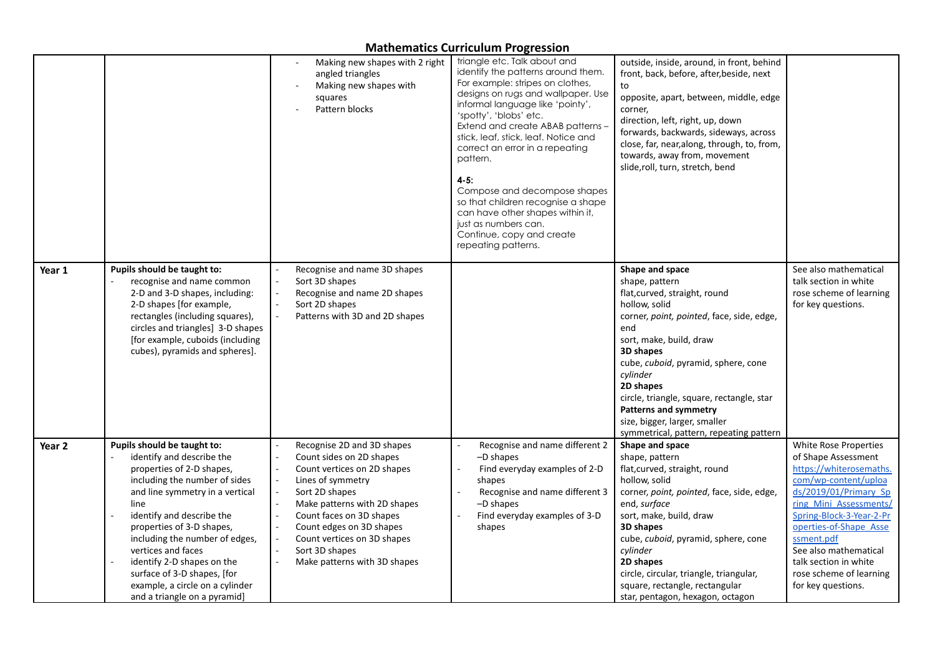|                   |                                                                                                                                                                                                                                                                                                                                                                                                                     | Making new shapes with 2 right<br>angled triangles<br>Making new shapes with<br>squares<br>Pattern blocks                                                                                                                                                                                             | triangle etc. Talk about and<br>identify the patterns around them.<br>For example: stripes on clothes,<br>designs on rugs and wallpaper. Use<br>informal language like 'pointy',<br>'spotty', 'blobs' etc.<br>Extend and create ABAB patterns -<br>stick, leaf, stick, leaf. Notice and<br>correct an error in a repeating<br>pattern.<br>$4 - 5:$<br>Compose and decompose shapes<br>so that children recognise a shape<br>can have other shapes within it,<br>just as numbers can.<br>Continue, copy and create<br>repeating patterns. | outside, inside, around, in front, behind<br>front, back, before, after, beside, next<br>to<br>opposite, apart, between, middle, edge<br>corner,<br>direction, left, right, up, down<br>forwards, backwards, sideways, across<br>close, far, near, along, through, to, from,<br>towards, away from, movement<br>slide, roll, turn, stretch, bend                                                                 |                                                                                                                                                                                                                                                                                                                           |
|-------------------|---------------------------------------------------------------------------------------------------------------------------------------------------------------------------------------------------------------------------------------------------------------------------------------------------------------------------------------------------------------------------------------------------------------------|-------------------------------------------------------------------------------------------------------------------------------------------------------------------------------------------------------------------------------------------------------------------------------------------------------|------------------------------------------------------------------------------------------------------------------------------------------------------------------------------------------------------------------------------------------------------------------------------------------------------------------------------------------------------------------------------------------------------------------------------------------------------------------------------------------------------------------------------------------|------------------------------------------------------------------------------------------------------------------------------------------------------------------------------------------------------------------------------------------------------------------------------------------------------------------------------------------------------------------------------------------------------------------|---------------------------------------------------------------------------------------------------------------------------------------------------------------------------------------------------------------------------------------------------------------------------------------------------------------------------|
| Year 1            | Pupils should be taught to:<br>recognise and name common<br>2-D and 3-D shapes, including:<br>2-D shapes [for example,<br>rectangles (including squares),<br>circles and triangles] 3-D shapes<br>[for example, cuboids (including<br>cubes), pyramids and spheres].                                                                                                                                                | Recognise and name 3D shapes<br>Sort 3D shapes<br>Recognise and name 2D shapes<br>Sort 2D shapes<br>Patterns with 3D and 2D shapes                                                                                                                                                                    |                                                                                                                                                                                                                                                                                                                                                                                                                                                                                                                                          | Shape and space<br>shape, pattern<br>flat, curved, straight, round<br>hollow, solid<br>corner, point, pointed, face, side, edge,<br>end<br>sort, make, build, draw<br>3D shapes<br>cube, <i>cuboid</i> , pyramid, sphere, cone<br>cylinder<br>2D shapes<br>circle, triangle, square, rectangle, star<br><b>Patterns and symmetry</b><br>size, bigger, larger, smaller<br>symmetrical, pattern, repeating pattern | See also mathematical<br>talk section in white<br>rose scheme of learning<br>for key questions.                                                                                                                                                                                                                           |
| Year <sub>2</sub> | Pupils should be taught to:<br>identify and describe the<br>properties of 2-D shapes,<br>including the number of sides<br>and line symmetry in a vertical<br>line<br>identify and describe the<br>properties of 3-D shapes,<br>including the number of edges,<br>vertices and faces<br>identify 2-D shapes on the<br>surface of 3-D shapes, [for<br>example, a circle on a cylinder<br>and a triangle on a pyramid] | Recognise 2D and 3D shapes<br>Count sides on 2D shapes<br>Count vertices on 2D shapes<br>Lines of symmetry<br>Sort 2D shapes<br>Make patterns with 2D shapes<br>Count faces on 3D shapes<br>Count edges on 3D shapes<br>Count vertices on 3D shapes<br>Sort 3D shapes<br>Make patterns with 3D shapes | Recognise and name different 2<br>-D shapes<br>Find everyday examples of 2-D<br>shapes<br>Recognise and name different 3<br>-D shapes<br>Find everyday examples of 3-D<br>shapes                                                                                                                                                                                                                                                                                                                                                         | Shape and space<br>shape, pattern<br>flat, curved, straight, round<br>hollow, solid<br>corner, point, pointed, face, side, edge,<br>end, surface<br>sort, make, build, draw<br>3D shapes<br>cube, <i>cuboid</i> , pyramid, sphere, cone<br>cylinder<br>2D shapes<br>circle, circular, triangle, triangular,<br>square, rectangle, rectangular<br>star, pentagon, hexagon, octagon                                | White Rose Properties<br>of Shape Assessment<br>https://whiterosemaths.<br>com/wp-content/uploa<br>ds/2019/01/Primary Sp<br>ring Mini Assessments/<br>Spring-Block-3-Year-2-Pr<br>operties-of-Shape Asse<br>ssment.pdf<br>See also mathematical<br>talk section in white<br>rose scheme of learning<br>for key questions. |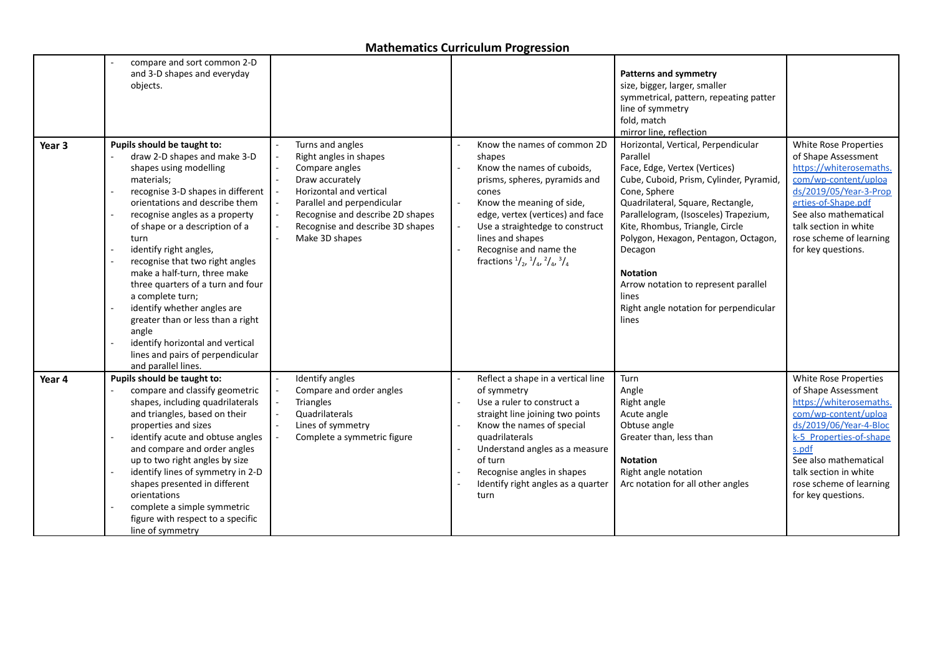| Year <sub>3</sub> | compare and sort common 2-D<br>and 3-D shapes and everyday<br>objects.<br>Pupils should be taught to:<br>draw 2-D shapes and make 3-D<br>shapes using modelling<br>materials;<br>recognise 3-D shapes in different<br>orientations and describe them<br>recognise angles as a property<br>of shape or a description of a<br>turn<br>identify right angles,<br>recognise that two right angles<br>make a half-turn, three make<br>three quarters of a turn and four<br>a complete turn;<br>identify whether angles are<br>greater than or less than a right<br>angle<br>identify horizontal and vertical<br>lines and pairs of perpendicular<br>and parallel lines. | Turns and angles<br>Right angles in shapes<br>Compare angles<br>Draw accurately<br>Horizontal and vertical<br>Parallel and perpendicular<br>Recognise and describe 2D shapes<br>Recognise and describe 3D shapes<br>Make 3D shapes | Know the names of common 2D<br>shapes<br>Know the names of cuboids,<br>prisms, spheres, pyramids and<br>cones<br>Know the meaning of side,<br>edge, vertex (vertices) and face<br>Use a straightedge to construct<br>lines and shapes<br>Recognise and name the<br>fractions $\frac{1}{2}$ , $\frac{1}{4}$ , $\frac{2}{4}$ , $\frac{3}{4}$ | <b>Patterns and symmetry</b><br>size, bigger, larger, smaller<br>symmetrical, pattern, repeating patter<br>line of symmetry<br>fold, match<br>mirror line, reflection<br>Horizontal, Vertical, Perpendicular<br>Parallel<br>Face, Edge, Vertex (Vertices)<br>Cube, Cuboid, Prism, Cylinder, Pyramid,<br>Cone, Sphere<br>Quadrilateral, Square, Rectangle,<br>Parallelogram, (Isosceles) Trapezium,<br>Kite, Rhombus, Triangle, Circle<br>Polygon, Hexagon, Pentagon, Octagon,<br>Decagon<br><b>Notation</b><br>Arrow notation to represent parallel<br>lines<br>Right angle notation for perpendicular<br>lines | White Rose Properties<br>of Shape Assessment<br>https://whiterosemaths.<br>com/wp-content/uploa<br>ds/2019/05/Year-3-Prop<br>erties-of-Shape.pdf<br>See also mathematical<br>talk section in white<br>rose scheme of learning<br>for key questions.              |
|-------------------|--------------------------------------------------------------------------------------------------------------------------------------------------------------------------------------------------------------------------------------------------------------------------------------------------------------------------------------------------------------------------------------------------------------------------------------------------------------------------------------------------------------------------------------------------------------------------------------------------------------------------------------------------------------------|------------------------------------------------------------------------------------------------------------------------------------------------------------------------------------------------------------------------------------|--------------------------------------------------------------------------------------------------------------------------------------------------------------------------------------------------------------------------------------------------------------------------------------------------------------------------------------------|-----------------------------------------------------------------------------------------------------------------------------------------------------------------------------------------------------------------------------------------------------------------------------------------------------------------------------------------------------------------------------------------------------------------------------------------------------------------------------------------------------------------------------------------------------------------------------------------------------------------|------------------------------------------------------------------------------------------------------------------------------------------------------------------------------------------------------------------------------------------------------------------|
| Year 4            | Pupils should be taught to:<br>compare and classify geometric<br>shapes, including quadrilaterals<br>and triangles, based on their<br>properties and sizes<br>identify acute and obtuse angles<br>and compare and order angles<br>up to two right angles by size<br>identify lines of symmetry in 2-D<br>shapes presented in different<br>orientations<br>complete a simple symmetric<br>figure with respect to a specific<br>line of symmetry                                                                                                                                                                                                                     | Identify angles<br>Compare and order angles<br>Triangles<br>Quadrilaterals<br>Lines of symmetry<br>Complete a symmetric figure                                                                                                     | Reflect a shape in a vertical line<br>of symmetry<br>Use a ruler to construct a<br>straight line joining two points<br>Know the names of special<br>quadrilaterals<br>Understand angles as a measure<br>of turn<br>Recognise angles in shapes<br>Identify right angles as a quarter<br>turn                                                | Turn<br>Angle<br>Right angle<br>Acute angle<br>Obtuse angle<br>Greater than, less than<br><b>Notation</b><br>Right angle notation<br>Arc notation for all other angles                                                                                                                                                                                                                                                                                                                                                                                                                                          | White Rose Properties<br>of Shape Assessment<br>https://whiterosemaths.<br>com/wp-content/uploa<br>ds/2019/06/Year-4-Bloc<br>k-5 Properties-of-shape<br>s.pdf<br>See also mathematical<br>talk section in white<br>rose scheme of learning<br>for key questions. |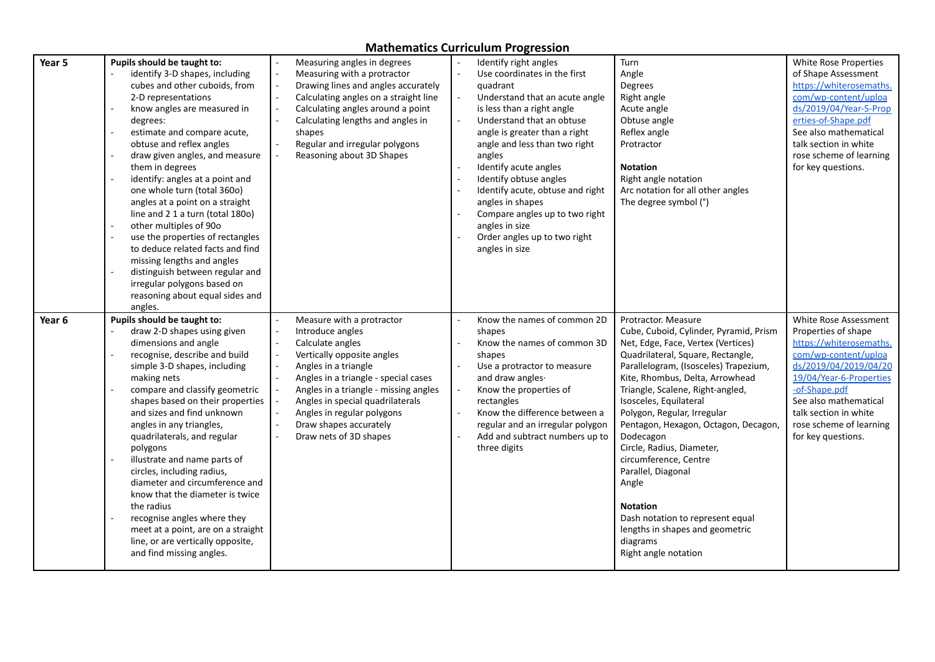| Year 5 | Pupils should be taught to:                       | Measuring angles in degrees                                  | Identify right angles                              | Turn                                                                     | White Rose Properties                         |
|--------|---------------------------------------------------|--------------------------------------------------------------|----------------------------------------------------|--------------------------------------------------------------------------|-----------------------------------------------|
|        | identify 3-D shapes, including                    | Measuring with a protractor                                  | Use coordinates in the first                       | Angle                                                                    | of Shape Assessment                           |
|        | cubes and other cuboids, from                     | Drawing lines and angles accurately                          | quadrant                                           | Degrees                                                                  | https://whiterosemaths.                       |
|        | 2-D representations                               | Calculating angles on a straight line                        | Understand that an acute angle                     | Right angle                                                              | com/wp-content/uploa                          |
|        | know angles are measured in                       | Calculating angles around a point                            | is less than a right angle                         | Acute angle                                                              | ds/2019/04/Year-5-Prop                        |
|        | degrees:                                          | Calculating lengths and angles in                            | Understand that an obtuse                          | Obtuse angle                                                             | erties-of-Shape.pdf                           |
|        | estimate and compare acute,                       | shapes                                                       | angle is greater than a right                      | Reflex angle                                                             | See also mathematical                         |
|        | obtuse and reflex angles                          | Regular and irregular polygons                               | angle and less than two right                      | Protractor                                                               | talk section in white                         |
|        | draw given angles, and measure<br>them in degrees | Reasoning about 3D Shapes                                    | angles<br>Identify acute angles                    | <b>Notation</b>                                                          | rose scheme of learning<br>for key questions. |
|        | identify: angles at a point and                   |                                                              | Identify obtuse angles<br>$\overline{\phantom{a}}$ | Right angle notation                                                     |                                               |
|        | one whole turn (total 360o)                       |                                                              | Identify acute, obtuse and right                   | Arc notation for all other angles                                        |                                               |
|        | angles at a point on a straight                   |                                                              | angles in shapes                                   | The degree symbol (°)                                                    |                                               |
|        | line and 2 1 a turn (total 180o)                  |                                                              | Compare angles up to two right                     |                                                                          |                                               |
|        | other multiples of 90o                            |                                                              | angles in size                                     |                                                                          |                                               |
|        | use the properties of rectangles                  |                                                              | Order angles up to two right                       |                                                                          |                                               |
|        | to deduce related facts and find                  |                                                              | angles in size                                     |                                                                          |                                               |
|        | missing lengths and angles                        |                                                              |                                                    |                                                                          |                                               |
|        | distinguish between regular and                   |                                                              |                                                    |                                                                          |                                               |
|        | irregular polygons based on                       |                                                              |                                                    |                                                                          |                                               |
|        | reasoning about equal sides and                   |                                                              |                                                    |                                                                          |                                               |
|        | angles.                                           |                                                              |                                                    |                                                                          |                                               |
| Year 6 | Pupils should be taught to:                       | Measure with a protractor                                    | Know the names of common 2D                        | Protractor. Measure                                                      | White Rose Assessment                         |
|        | draw 2-D shapes using given                       | Introduce angles                                             | shapes                                             | Cube, Cuboid, Cylinder, Pyramid, Prism                                   | Properties of shape                           |
|        | dimensions and angle                              | Calculate angles                                             | Know the names of common 3D                        | Net, Edge, Face, Vertex (Vertices)                                       | https://whiterosemaths.                       |
|        | recognise, describe and build                     | Vertically opposite angles                                   | shapes<br>$\sim$                                   | Quadrilateral, Square, Rectangle,                                        | com/wp-content/uploa<br>ds/2019/04/2019/04/20 |
|        | simple 3-D shapes, including<br>making nets       | Angles in a triangle<br>Angles in a triangle - special cases | Use a protractor to measure<br>and draw angles.    | Parallelogram, (Isosceles) Trapezium,<br>Kite, Rhombus, Delta, Arrowhead | 19/04/Year-6-Properties                       |
|        | compare and classify geometric                    | Angles in a triangle - missing angles                        | Know the properties of                             | Triangle, Scalene, Right-angled,                                         | -of-Shape.pdf                                 |
|        | shapes based on their properties                  | Angles in special quadrilaterals                             | rectangles                                         | Isosceles, Equilateral                                                   | See also mathematical                         |
|        | and sizes and find unknown                        | Angles in regular polygons                                   | Know the difference between a                      | Polygon, Regular, Irregular                                              | talk section in white                         |
|        | angles in any triangles,                          | Draw shapes accurately                                       | regular and an irregular polygon                   | Pentagon, Hexagon, Octagon, Decagon,                                     | rose scheme of learning                       |
|        | quadrilaterals, and regular                       | Draw nets of 3D shapes                                       | Add and subtract numbers up to                     | Dodecagon                                                                | for key questions.                            |
|        | polygons                                          |                                                              | three digits                                       | Circle, Radius, Diameter,                                                |                                               |
|        | illustrate and name parts of                      |                                                              |                                                    | circumference, Centre                                                    |                                               |
|        | circles, including radius,                        |                                                              |                                                    | Parallel, Diagonal                                                       |                                               |
|        | diameter and circumference and                    |                                                              |                                                    | Angle                                                                    |                                               |
|        | know that the diameter is twice                   |                                                              |                                                    |                                                                          |                                               |
|        | the radius                                        |                                                              |                                                    | <b>Notation</b>                                                          |                                               |
|        | recognise angles where they                       |                                                              |                                                    | Dash notation to represent equal                                         |                                               |
|        | meet at a point, are on a straight                |                                                              |                                                    | lengths in shapes and geometric                                          |                                               |
|        | line, or are vertically opposite,                 |                                                              |                                                    | diagrams                                                                 |                                               |
|        |                                                   |                                                              |                                                    |                                                                          |                                               |
|        | and find missing angles.                          |                                                              |                                                    | Right angle notation                                                     |                                               |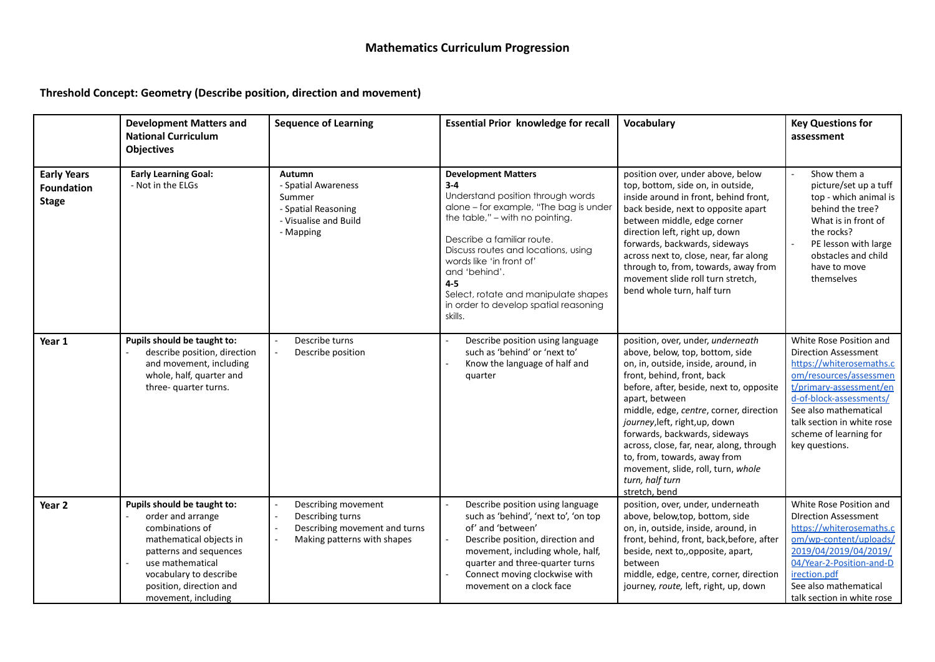## **Threshold Concept: Geometry (Describe position, direction and movement)**

|                                                         | <b>Development Matters and</b><br><b>National Curriculum</b><br><b>Objectives</b>                                                                                                                                        | <b>Sequence of Learning</b>                                                                             | <b>Essential Prior knowledge for recall</b>                                                                                                                                                                                                                                                                                                                                  | Vocabulary                                                                                                                                                                                                                                                                                                                                                                                                                                                                  | <b>Key Questions for</b><br>assessment                                                                                                                                                                                                                                |
|---------------------------------------------------------|--------------------------------------------------------------------------------------------------------------------------------------------------------------------------------------------------------------------------|---------------------------------------------------------------------------------------------------------|------------------------------------------------------------------------------------------------------------------------------------------------------------------------------------------------------------------------------------------------------------------------------------------------------------------------------------------------------------------------------|-----------------------------------------------------------------------------------------------------------------------------------------------------------------------------------------------------------------------------------------------------------------------------------------------------------------------------------------------------------------------------------------------------------------------------------------------------------------------------|-----------------------------------------------------------------------------------------------------------------------------------------------------------------------------------------------------------------------------------------------------------------------|
| <b>Early Years</b><br><b>Foundation</b><br><b>Stage</b> | <b>Early Learning Goal:</b><br>- Not in the ELGs                                                                                                                                                                         | Autumn<br>- Spatial Awareness<br>Summer<br>- Spatial Reasoning<br>- Visualise and Build<br>- Mapping    | <b>Development Matters</b><br>$3-4$<br>Understand position through words<br>alone - for example, "The bag is under<br>the table," – with no pointing.<br>Describe a familiar route.<br>Discuss routes and locations, using<br>words like 'in front of'<br>and 'behind'.<br>$4-5$<br>Select, rotate and manipulate shapes<br>in order to develop spatial reasoning<br>skills. | position over, under above, below<br>top, bottom, side on, in outside,<br>inside around in front, behind front,<br>back beside, next to opposite apart<br>between middle, edge corner<br>direction left, right up, down<br>forwards, backwards, sideways<br>across next to, close, near, far along<br>through to, from, towards, away from<br>movement slide roll turn stretch,<br>bend whole turn, half turn                                                               | Show them a<br>picture/set up a tuff<br>top - which animal is<br>behind the tree?<br>What is in front of<br>the rocks?<br>PE lesson with large<br>obstacles and child<br>have to move<br>themselves                                                                   |
| Year 1                                                  | Pupils should be taught to:<br>describe position, direction<br>and movement, including<br>whole, half, quarter and<br>three- quarter turns.                                                                              | Describe turns<br>Describe position                                                                     | Describe position using language<br>such as 'behind' or 'next to'<br>Know the language of half and<br>quarter                                                                                                                                                                                                                                                                | position, over, under, underneath<br>above, below, top, bottom, side<br>on, in, outside, inside, around, in<br>front, behind, front, back<br>before, after, beside, next to, opposite<br>apart, between<br>middle, edge, centre, corner, direction<br>journey, left, right, up, down<br>forwards, backwards, sideways<br>across, close, far, near, along, through<br>to, from, towards, away from<br>movement, slide, roll, turn, whole<br>turn, half turn<br>stretch, bend | White Rose Position and<br><b>Direction Assessment</b><br>https://whiterosemaths.c<br>om/resources/assessmen<br>t/primary-assessment/en<br>d-of-block-assessments/<br>See also mathematical<br>talk section in white rose<br>scheme of learning for<br>key questions. |
| Year <sub>2</sub>                                       | Pupils should be taught to:<br>order and arrange<br>combinations of<br>mathematical objects in<br>patterns and sequences<br>use mathematical<br>vocabulary to describe<br>position, direction and<br>movement, including | Describing movement<br>Describing turns<br>Describing movement and turns<br>Making patterns with shapes | Describe position using language<br>such as 'behind', 'next to', 'on top<br>of' and 'between'<br>Describe position, direction and<br>movement, including whole, half,<br>quarter and three-quarter turns<br>Connect moving clockwise with<br>movement on a clock face                                                                                                        | position, over, under, underneath<br>above, below,top, bottom, side<br>on, in, outside, inside, around, in<br>front, behind, front, back, before, after<br>beside, next to,, opposite, apart,<br>between<br>middle, edge, centre, corner, direction<br>journey, route, left, right, up, down                                                                                                                                                                                | White Rose Position and<br><b>DIrection Assessment</b><br>https://whiterosemaths.c<br>om/wp-content/uploads/<br>2019/04/2019/04/2019/<br>04/Year-2-Position-and-D<br>irection.pdf<br>See also mathematical<br>talk section in white rose                              |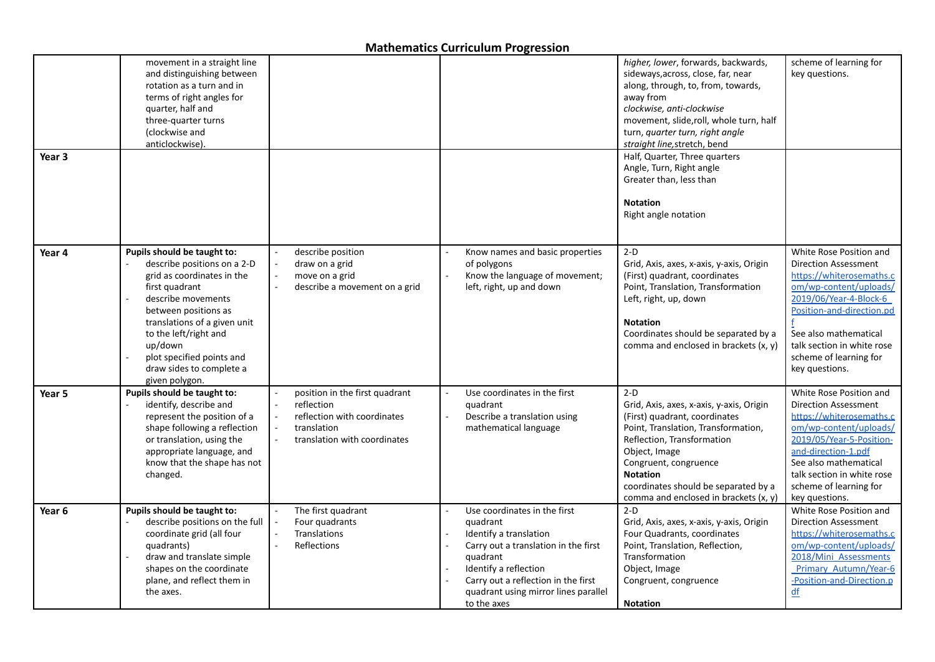|                   | movement in a straight line<br>and distinguishing between<br>rotation as a turn and in<br>terms of right angles for<br>quarter, half and<br>three-quarter turns<br>(clockwise and<br>anticlockwise)                                                                                                     |                                                                                                                            |                                                                                                                                                                                                                                               | higher, lower, forwards, backwards,<br>sideways, across, close, far, near<br>along, through, to, from, towards,<br>away from<br>clockwise, anti-clockwise<br>movement, slide, roll, whole turn, half<br>turn, quarter turn, right angle<br>straight line, stretch, bend                               | scheme of learning for<br>key questions.                                                                                                                                                                                                                               |
|-------------------|---------------------------------------------------------------------------------------------------------------------------------------------------------------------------------------------------------------------------------------------------------------------------------------------------------|----------------------------------------------------------------------------------------------------------------------------|-----------------------------------------------------------------------------------------------------------------------------------------------------------------------------------------------------------------------------------------------|-------------------------------------------------------------------------------------------------------------------------------------------------------------------------------------------------------------------------------------------------------------------------------------------------------|------------------------------------------------------------------------------------------------------------------------------------------------------------------------------------------------------------------------------------------------------------------------|
| Year <sub>3</sub> |                                                                                                                                                                                                                                                                                                         |                                                                                                                            |                                                                                                                                                                                                                                               | Half, Quarter, Three quarters<br>Angle, Turn, Right angle<br>Greater than, less than<br><b>Notation</b><br>Right angle notation                                                                                                                                                                       |                                                                                                                                                                                                                                                                        |
| Year 4            | Pupils should be taught to:<br>describe positions on a 2-D<br>grid as coordinates in the<br>first quadrant<br>describe movements<br>between positions as<br>translations of a given unit<br>to the left/right and<br>up/down<br>plot specified points and<br>draw sides to complete a<br>given polygon. | describe position<br>draw on a grid<br>move on a grid<br>describe a movement on a grid                                     | Know names and basic properties<br>of polygons<br>Know the language of movement;<br>left, right, up and down                                                                                                                                  | $2-D$<br>Grid, Axis, axes, x-axis, y-axis, Origin<br>(First) quadrant, coordinates<br>Point, Translation, Transformation<br>Left, right, up, down<br><b>Notation</b><br>Coordinates should be separated by a<br>comma and enclosed in brackets (x, y)                                                 | White Rose Position and<br><b>Direction Assessment</b><br>https://whiterosemaths.c<br>om/wp-content/uploads/<br>2019/06/Year-4-Block-6<br>Position-and-direction.pd<br>See also mathematical<br>talk section in white rose<br>scheme of learning for<br>key questions. |
| Year 5            | Pupils should be taught to:<br>identify, describe and<br>represent the position of a<br>shape following a reflection<br>or translation, using the<br>appropriate language, and<br>know that the shape has not<br>changed.                                                                               | position in the first quadrant<br>reflection<br>reflection with coordinates<br>translation<br>translation with coordinates | Use coordinates in the first<br>quadrant<br>Describe a translation using<br>mathematical language                                                                                                                                             | $2-D$<br>Grid, Axis, axes, x-axis, y-axis, Origin<br>(First) quadrant, coordinates<br>Point, Translation, Transformation,<br>Reflection, Transformation<br>Object, Image<br>Congruent, congruence<br><b>Notation</b><br>coordinates should be separated by a<br>comma and enclosed in brackets (x, y) | White Rose Position and<br><b>Direction Assessment</b><br>https://whiterosemaths.c<br>om/wp-content/uploads/<br>2019/05/Year-5-Position-<br>and-direction-1.pdf<br>See also mathematical<br>talk section in white rose<br>scheme of learning for<br>key questions.     |
| Year 6            | Pupils should be taught to:<br>describe positions on the full<br>coordinate grid (all four<br>quadrants)<br>draw and translate simple<br>shapes on the coordinate<br>plane, and reflect them in<br>the axes.                                                                                            | The first quadrant<br>Four quadrants<br>Translations<br>Reflections                                                        | Use coordinates in the first<br>quadrant<br>Identify a translation<br>Carry out a translation in the first<br>quadrant<br>Identify a reflection<br>Carry out a reflection in the first<br>quadrant using mirror lines parallel<br>to the axes | $2-D$<br>Grid, Axis, axes, x-axis, y-axis, Origin<br>Four Quadrants, coordinates<br>Point, Translation, Reflection,<br>Transformation<br>Object, Image<br>Congruent, congruence<br><b>Notation</b>                                                                                                    | White Rose Position and<br><b>Direction Assessment</b><br>https://whiterosemaths.c<br>om/wp-content/uploads/<br>2018/Mini Assessments<br>Primary Autumn/Year-6<br>-Position-and-Direction.p<br>df                                                                      |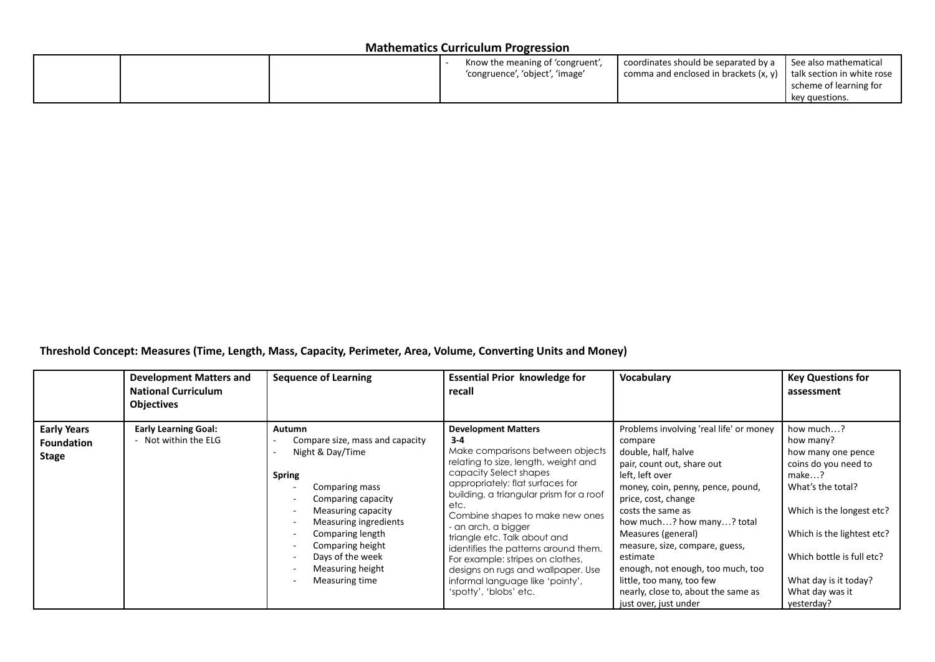|  | Know the meaning of 'congruent',<br>'congruence', 'object', 'image' | coordinates should be separated by a<br>comma and enclosed in brackets $(x, y)$   talk section in white rose | l See also mathematical<br>scheme of learning for<br>key questions. |
|--|---------------------------------------------------------------------|--------------------------------------------------------------------------------------------------------------|---------------------------------------------------------------------|
|--|---------------------------------------------------------------------|--------------------------------------------------------------------------------------------------------------|---------------------------------------------------------------------|

**Threshold Concept: Measures (Time, Length, Mass, Capacity, Perimeter, Area, Volume, Converting Units and Money)**

|                                                  | <b>Development Matters and</b><br><b>National Curriculum</b><br><b>Objectives</b> | <b>Sequence of Learning</b>                                                                                                                                                                                                                                                                                                                                                                                   | <b>Essential Prior knowledge for</b><br>recall                                                                                                                                                                                                                                                                                                                                                                                                                                                             | Vocabulary                                                                                                                                                                                                                                                                                                                                                                                                                                     | <b>Key Questions for</b><br>assessment                                                                                                                                                                                                               |
|--------------------------------------------------|-----------------------------------------------------------------------------------|---------------------------------------------------------------------------------------------------------------------------------------------------------------------------------------------------------------------------------------------------------------------------------------------------------------------------------------------------------------------------------------------------------------|------------------------------------------------------------------------------------------------------------------------------------------------------------------------------------------------------------------------------------------------------------------------------------------------------------------------------------------------------------------------------------------------------------------------------------------------------------------------------------------------------------|------------------------------------------------------------------------------------------------------------------------------------------------------------------------------------------------------------------------------------------------------------------------------------------------------------------------------------------------------------------------------------------------------------------------------------------------|------------------------------------------------------------------------------------------------------------------------------------------------------------------------------------------------------------------------------------------------------|
| <b>Early Years</b><br><b>Foundation</b><br>Stage | <b>Early Learning Goal:</b><br>- Not within the ELG                               | <b>Autumn</b><br>Compare size, mass and capacity<br>Night & Day/Time<br><b>Spring</b><br>Comparing mass<br>$\overline{\phantom{a}}$<br>Comparing capacity<br>۰<br>Measuring capacity<br>$\overline{\phantom{a}}$<br>Measuring ingredients<br>Comparing length<br>Comparing height<br>$\overline{\phantom{a}}$<br>Days of the week<br>۰<br>Measuring height<br>$\overline{\phantom{a}}$<br>Measuring time<br>٠ | <b>Development Matters</b><br>$3 - 4$<br>Make comparisons between objects<br>relating to size, length, weight and<br>capacity Select shapes<br>appropriately: flat surfaces for<br>building, a triangular prism for a roof<br>etc.<br>Combine shapes to make new ones<br>an arch, a bigger<br>triangle etc. Talk about and<br>identifies the patterns around them.<br>For example: stripes on clothes,<br>designs on rugs and wallpaper. Use<br>informal language like 'pointy',<br>'spotty', 'blobs' etc. | Problems involving 'real life' or money<br>compare<br>double, half, halve<br>pair, count out, share out<br>left, left over<br>money, coin, penny, pence, pound,<br>price, cost, change<br>costs the same as<br>how much? how many? total<br>Measures (general)<br>measure, size, compare, guess,<br>estimate<br>enough, not enough, too much, too<br>little, too many, too few<br>nearly, close to, about the same as<br>just over, just under | how much?<br>how many?<br>how many one pence<br>coins do you need to<br>make?<br>What's the total?<br>Which is the longest etc?<br>Which is the lightest etc?<br>Which bottle is full etc?<br>What day is it today?<br>What day was it<br>yesterday? |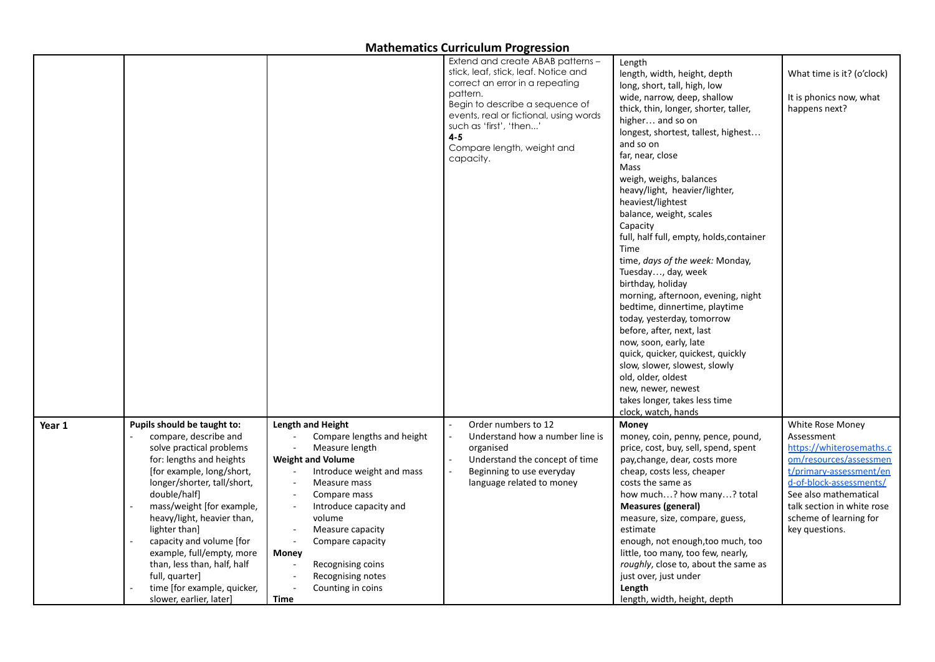|        |                                                                                                                                                                                          |                                                                                                                                                                                                         | Extend and create ABAB patterns -<br>stick, leaf, stick, leaf. Notice and<br>correct an error in a repeating                                                           | Length<br>length, width, height, depth<br>long, short, tall, high, low                                                                                                                              | What time is it? (o'clock)                                                                                                                                          |
|--------|------------------------------------------------------------------------------------------------------------------------------------------------------------------------------------------|---------------------------------------------------------------------------------------------------------------------------------------------------------------------------------------------------------|------------------------------------------------------------------------------------------------------------------------------------------------------------------------|-----------------------------------------------------------------------------------------------------------------------------------------------------------------------------------------------------|---------------------------------------------------------------------------------------------------------------------------------------------------------------------|
|        |                                                                                                                                                                                          |                                                                                                                                                                                                         | pattern.<br>Begin to describe a sequence of<br>events, real or fictional, using words<br>such as 'first', 'then'<br>$4 - 5$<br>Compare length, weight and<br>capacity. | wide, narrow, deep, shallow<br>thick, thin, longer, shorter, taller,<br>higher and so on<br>longest, shortest, tallest, highest<br>and so on<br>far, near, close                                    | It is phonics now, what<br>happens next?                                                                                                                            |
|        |                                                                                                                                                                                          |                                                                                                                                                                                                         |                                                                                                                                                                        | Mass<br>weigh, weighs, balances<br>heavy/light, heavier/lighter,<br>heaviest/lightest<br>balance, weight, scales<br>Capacity<br>full, half full, empty, holds, container                            |                                                                                                                                                                     |
|        |                                                                                                                                                                                          |                                                                                                                                                                                                         |                                                                                                                                                                        | Time<br>time, days of the week: Monday,<br>Tuesday, day, week<br>birthday, holiday<br>morning, afternoon, evening, night<br>bedtime, dinnertime, playtime                                           |                                                                                                                                                                     |
|        |                                                                                                                                                                                          |                                                                                                                                                                                                         |                                                                                                                                                                        | today, yesterday, tomorrow<br>before, after, next, last<br>now, soon, early, late<br>quick, quicker, quickest, quickly<br>slow, slower, slowest, slowly                                             |                                                                                                                                                                     |
|        |                                                                                                                                                                                          |                                                                                                                                                                                                         |                                                                                                                                                                        | old, older, oldest<br>new, newer, newest<br>takes longer, takes less time<br>clock, watch, hands                                                                                                    |                                                                                                                                                                     |
| Year 1 | Pupils should be taught to:<br>compare, describe and<br>solve practical problems<br>for: lengths and heights<br>[for example, long/short,<br>longer/shorter, tall/short,<br>double/half] | <b>Length and Height</b><br>Compare lengths and height<br>Measure length<br><b>Weight and Volume</b><br>Introduce weight and mass<br>Measure mass<br>$\sim$<br>Compare mass<br>$\overline{\phantom{a}}$ | Order numbers to 12<br>Understand how a number line is<br>organised<br>Understand the concept of time<br>Beginning to use everyday<br>language related to money        | Money<br>money, coin, penny, pence, pound,<br>price, cost, buy, sell, spend, spent<br>pay, change, dear, costs more<br>cheap, costs less, cheaper<br>costs the same as<br>how much? how many? total | White Rose Money<br>Assessment<br>https://whiterosemaths.c<br>om/resources/assessmen<br>t/primary-assessment/en<br>d-of-block-assessments/<br>See also mathematical |
|        | mass/weight [for example,<br>heavy/light, heavier than,<br>lighter than]<br>capacity and volume [for<br>example, full/empty, more                                                        | Introduce capacity and<br>$\overline{\phantom{a}}$<br>volume<br>Measure capacity<br>Compare capacity<br>$\sim$<br><b>Money</b>                                                                          |                                                                                                                                                                        | <b>Measures (general)</b><br>measure, size, compare, guess,<br>estimate<br>enough, not enough, too much, too<br>little, too many, too few, nearly,                                                  | talk section in white rose<br>scheme of learning for<br>key questions.                                                                                              |
|        | than, less than, half, half<br>full, quarter]<br>time [for example, quicker,<br>slower, earlier, later]                                                                                  | Recognising coins<br>Recognising notes<br>$\overline{\phantom{a}}$<br>Counting in coins<br>$\overline{\phantom{a}}$<br>Time                                                                             |                                                                                                                                                                        | roughly, close to, about the same as<br>just over, just under<br>Length<br>length, width, height, depth                                                                                             |                                                                                                                                                                     |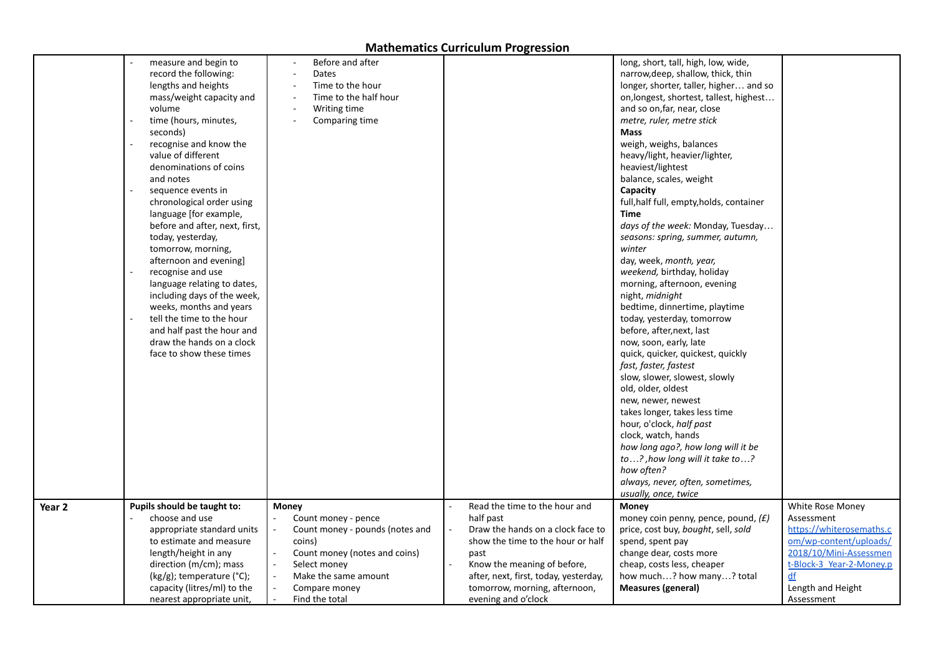|        | measure and begin to           | Before and after                |                                       | long, short, tall, high, low, wide,      |                          |
|--------|--------------------------------|---------------------------------|---------------------------------------|------------------------------------------|--------------------------|
|        | record the following:          | Dates                           |                                       | narrow, deep, shallow, thick, thin       |                          |
|        | lengths and heights            | Time to the hour                |                                       | longer, shorter, taller, higher and so   |                          |
|        | mass/weight capacity and       | Time to the half hour           |                                       | on, longest, shortest, tallest, highest  |                          |
|        | volume                         | Writing time                    |                                       | and so on, far, near, close              |                          |
|        | time (hours, minutes,          | Comparing time                  |                                       | metre, ruler, metre stick                |                          |
|        | seconds)                       |                                 |                                       | <b>Mass</b>                              |                          |
|        | recognise and know the         |                                 |                                       | weigh, weighs, balances                  |                          |
|        | value of different             |                                 |                                       | heavy/light, heavier/lighter,            |                          |
|        | denominations of coins         |                                 |                                       | heaviest/lightest                        |                          |
|        | and notes                      |                                 |                                       | balance, scales, weight                  |                          |
|        | sequence events in             |                                 |                                       | Capacity                                 |                          |
|        | chronological order using      |                                 |                                       | full, half full, empty, holds, container |                          |
|        | language [for example,         |                                 |                                       | Time                                     |                          |
|        | before and after, next, first, |                                 |                                       | days of the week: Monday, Tuesday        |                          |
|        | today, yesterday,              |                                 |                                       | seasons: spring, summer, autumn,         |                          |
|        | tomorrow, morning,             |                                 |                                       | winter                                   |                          |
|        | afternoon and evening]         |                                 |                                       | day, week, month, year,                  |                          |
|        | recognise and use              |                                 |                                       | weekend, birthday, holiday               |                          |
|        | language relating to dates,    |                                 |                                       | morning, afternoon, evening              |                          |
|        | including days of the week,    |                                 |                                       | night, <i>midnight</i>                   |                          |
|        | weeks, months and years        |                                 |                                       | bedtime, dinnertime, playtime            |                          |
|        | tell the time to the hour      |                                 |                                       | today, yesterday, tomorrow               |                          |
|        | and half past the hour and     |                                 |                                       | before, after, next, last                |                          |
|        | draw the hands on a clock      |                                 |                                       | now, soon, early, late                   |                          |
|        | face to show these times       |                                 |                                       | quick, quicker, quickest, quickly        |                          |
|        |                                |                                 |                                       | fast, faster, fastest                    |                          |
|        |                                |                                 |                                       | slow, slower, slowest, slowly            |                          |
|        |                                |                                 |                                       | old, older, oldest                       |                          |
|        |                                |                                 |                                       | new, newer, newest                       |                          |
|        |                                |                                 |                                       | takes longer, takes less time            |                          |
|        |                                |                                 |                                       | hour, o'clock, half past                 |                          |
|        |                                |                                 |                                       | clock, watch, hands                      |                          |
|        |                                |                                 |                                       | how long ago?, how long will it be       |                          |
|        |                                |                                 |                                       | to?, how long will it take to?           |                          |
|        |                                |                                 |                                       | how often?                               |                          |
|        |                                |                                 |                                       | always, never, often, sometimes,         |                          |
|        |                                |                                 |                                       | usually, once, twice                     |                          |
| Year 2 | Pupils should be taught to:    | Money                           | Read the time to the hour and         | Money                                    | White Rose Money         |
|        | choose and use                 | Count money - pence             | half past                             | money coin penny, pence, pound, $(f)$    | Assessment               |
|        | appropriate standard units     | Count money - pounds (notes and | Draw the hands on a clock face to     | price, cost buy, bought, sell, sold      | https://whiterosemaths.c |
|        | to estimate and measure        | coins)                          | show the time to the hour or half     | spend, spent pay                         | om/wp-content/uploads/   |
|        | length/height in any           | Count money (notes and coins)   | past                                  | change dear, costs more                  | 2018/10/Mini-Assessmen   |
|        | direction (m/cm); mass         | Select money                    | Know the meaning of before,           | cheap, costs less, cheaper               | t-Block-3 Year-2-Money.p |
|        | (kg/g); temperature (°C);      | Make the same amount            | after, next, first, today, yesterday, | how much? how many? total                | df                       |
|        | capacity (litres/ml) to the    | Compare money                   | tomorrow, morning, afternoon,         | <b>Measures (general)</b>                | Length and Height        |
|        | nearest appropriate unit,      | Find the total                  | evening and o'clock                   |                                          | Assessment               |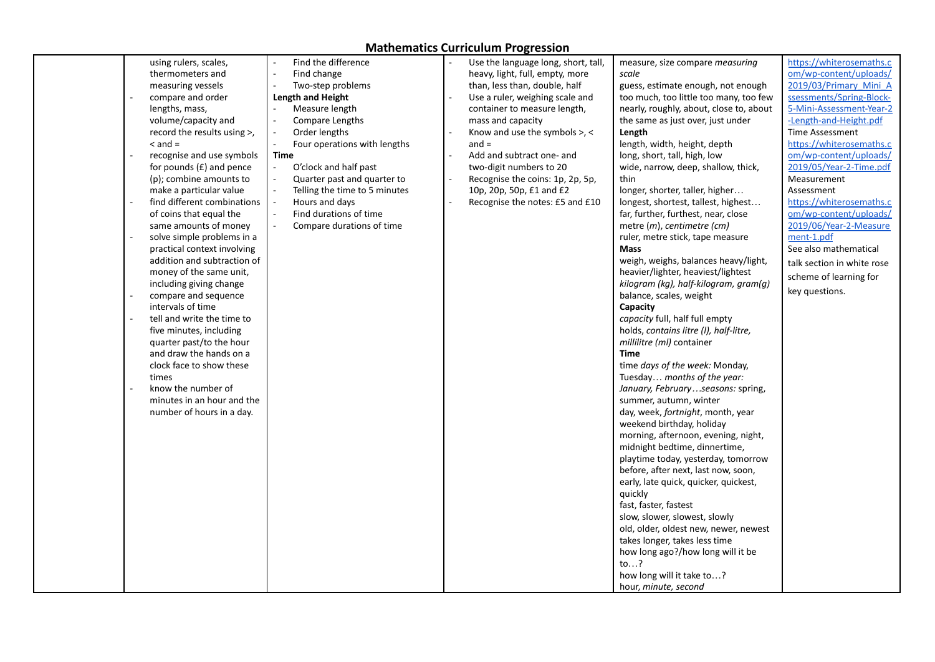|  | using rulers, scales,       |      | Find the difference           | Use the language long, short, tall, | measure, size compare <i>measuring</i>  | https://whiterosemaths.c   |
|--|-----------------------------|------|-------------------------------|-------------------------------------|-----------------------------------------|----------------------------|
|  | thermometers and            |      | Find change                   | heavy, light, full, empty, more     | scale                                   | om/wp-content/uploads/     |
|  | measuring vessels           |      | Two-step problems             | than, less than, double, half       | guess, estimate enough, not enough      | 2019/03/Primary Mini A     |
|  | compare and order           |      | Length and Height             | Use a ruler, weighing scale and     | too much, too little too many, too few  | ssessments/Spring-Block-   |
|  |                             |      |                               |                                     |                                         |                            |
|  | lengths, mass,              |      | Measure length                | container to measure length,        | nearly, roughly, about, close to, about | 5-Mini-Assessment-Year-2   |
|  | volume/capacity and         |      | Compare Lengths               | mass and capacity                   | the same as just over, just under       | -Length-and-Height.pdf     |
|  | record the results using >, |      | Order lengths                 | Know and use the symbols >, <       | Length                                  | <b>Time Assessment</b>     |
|  | $\leq$ and $=$              |      | Four operations with lengths  | $and =$                             | length, width, height, depth            | https://whiterosemaths.c   |
|  | recognise and use symbols   | Time |                               | Add and subtract one- and           | long, short, tall, high, low            | om/wp-content/uploads/     |
|  | for pounds $(E)$ and pence  |      | O'clock and half past         | two-digit numbers to 20             | wide, narrow, deep, shallow, thick,     | 2019/05/Year-2-Time.pdf    |
|  | (p); combine amounts to     |      | Quarter past and quarter to   | Recognise the coins: 1p, 2p, 5p,    | thin                                    | Measurement                |
|  | make a particular value     |      | Telling the time to 5 minutes | 10p, 20p, 50p, £1 and £2            | longer, shorter, taller, higher         | Assessment                 |
|  | find different combinations |      | Hours and days                | Recognise the notes: £5 and £10     | longest, shortest, tallest, highest     | https://whiterosemaths.c   |
|  |                             |      | Find durations of time        |                                     |                                         |                            |
|  | of coins that equal the     |      |                               |                                     | far, further, furthest, near, close     | om/wp-content/uploads/     |
|  | same amounts of money       |      | Compare durations of time     |                                     | metre (m), centimetre (cm)              | 2019/06/Year-2-Measure     |
|  | solve simple problems in a  |      |                               |                                     | ruler, metre stick, tape measure        | ment-1.pdf                 |
|  | practical context involving |      |                               |                                     | <b>Mass</b>                             | See also mathematical      |
|  | addition and subtraction of |      |                               |                                     | weigh, weighs, balances heavy/light,    | talk section in white rose |
|  | money of the same unit,     |      |                               |                                     | heavier/lighter, heaviest/lightest      | scheme of learning for     |
|  | including giving change     |      |                               |                                     | kilogram (kg), half-kilogram, gram(g)   | key questions.             |
|  | compare and sequence        |      |                               |                                     | balance, scales, weight                 |                            |
|  | intervals of time           |      |                               |                                     | Capacity                                |                            |
|  | tell and write the time to  |      |                               |                                     | capacity full, half full empty          |                            |
|  | five minutes, including     |      |                               |                                     | holds, contains litre (I), half-litre,  |                            |
|  | quarter past/to the hour    |      |                               |                                     | millilitre (ml) container               |                            |
|  | and draw the hands on a     |      |                               |                                     | Time                                    |                            |
|  | clock face to show these    |      |                               |                                     | time days of the week: Monday,          |                            |
|  |                             |      |                               |                                     |                                         |                            |
|  | times                       |      |                               |                                     | Tuesday months of the year:             |                            |
|  | know the number of          |      |                               |                                     | January, Februaryseasons: spring,       |                            |
|  | minutes in an hour and the  |      |                               |                                     | summer, autumn, winter                  |                            |
|  | number of hours in a day.   |      |                               |                                     | day, week, fortnight, month, year       |                            |
|  |                             |      |                               |                                     | weekend birthday, holiday               |                            |
|  |                             |      |                               |                                     | morning, afternoon, evening, night,     |                            |
|  |                             |      |                               |                                     | midnight bedtime, dinnertime,           |                            |
|  |                             |      |                               |                                     | playtime today, yesterday, tomorrow     |                            |
|  |                             |      |                               |                                     | before, after next, last now, soon,     |                            |
|  |                             |      |                               |                                     | early, late quick, quicker, quickest,   |                            |
|  |                             |      |                               |                                     |                                         |                            |
|  |                             |      |                               |                                     | quickly                                 |                            |
|  |                             |      |                               |                                     | fast, faster, fastest                   |                            |
|  |                             |      |                               |                                     | slow, slower, slowest, slowly           |                            |
|  |                             |      |                               |                                     | old, older, oldest new, newer, newest   |                            |
|  |                             |      |                               |                                     | takes longer, takes less time           |                            |
|  |                             |      |                               |                                     | how long ago?/how long will it be       |                            |
|  |                             |      |                               |                                     | to?                                     |                            |
|  |                             |      |                               |                                     | how long will it take to?               |                            |
|  |                             |      |                               |                                     | hour, minute, second                    |                            |
|  |                             |      |                               |                                     |                                         |                            |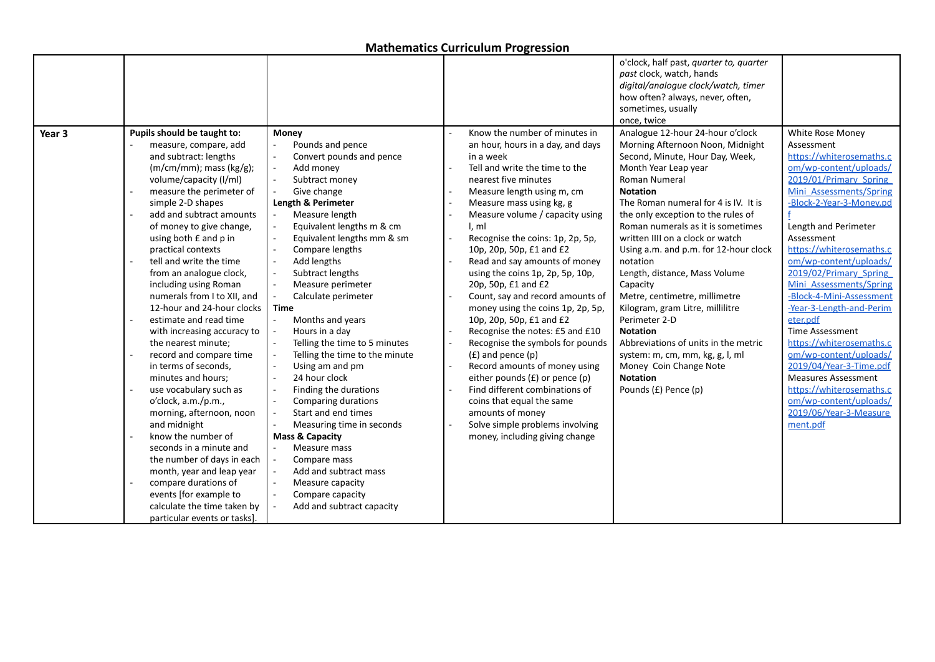|                   |                                  |                                |                                    | o'clock, half past, quarter to, quarter<br>past clock, watch, hands<br>digital/analogue clock/watch, timer |                            |
|-------------------|----------------------------------|--------------------------------|------------------------------------|------------------------------------------------------------------------------------------------------------|----------------------------|
|                   |                                  |                                |                                    | how often? always, never, often,                                                                           |                            |
|                   |                                  |                                |                                    | sometimes, usually                                                                                         |                            |
|                   |                                  |                                |                                    | once, twice                                                                                                |                            |
| Year <sub>3</sub> | Pupils should be taught to:      | <b>Money</b>                   | Know the number of minutes in      | Analogue 12-hour 24-hour o'clock                                                                           | White Rose Money           |
|                   | measure, compare, add            | Pounds and pence               | an hour, hours in a day, and days  | Morning Afternoon Noon, Midnight                                                                           | Assessment                 |
|                   | and subtract: lengths            | Convert pounds and pence       | in a week                          | Second, Minute, Hour Day, Week,                                                                            | https://whiterosemaths.c   |
|                   | $(m/cm/mm)$ ; mass (kg/g);       | Add money                      | Tell and write the time to the     | Month Year Leap year                                                                                       | om/wp-content/uploads/     |
|                   | volume/capacity (I/ml)           | Subtract money                 | nearest five minutes               | Roman Numeral                                                                                              | 2019/01/Primary Spring     |
|                   | measure the perimeter of         | Give change                    | Measure length using m, cm         | <b>Notation</b>                                                                                            | Mini Assessments/Spring    |
|                   | simple 2-D shapes                | Length & Perimeter             | Measure mass using kg, g           | The Roman numeral for 4 is IV. It is                                                                       | -Block-2-Year-3-Monev.pd   |
|                   | add and subtract amounts         | Measure length                 | Measure volume / capacity using    | the only exception to the rules of                                                                         |                            |
|                   | of money to give change,         | Equivalent lengths m & cm      | l, ml                              | Roman numerals as it is sometimes                                                                          | Length and Perimeter       |
|                   | using both £ and p in            | Equivalent lengths mm & sm     | Recognise the coins: 1p, 2p, 5p,   | written IIII on a clock or watch                                                                           | Assessment                 |
|                   | practical contexts               | Compare lengths                | 10p, 20p, 50p, £1 and £2           | Using a.m. and p.m. for 12-hour clock                                                                      | https://whiterosemaths.c   |
|                   | tell and write the time          | Add lengths                    | Read and say amounts of money      | notation                                                                                                   | om/wp-content/uploads/     |
|                   | from an analogue clock,          | Subtract lengths               | using the coins 1p, 2p, 5p, 10p,   | Length, distance, Mass Volume                                                                              | 2019/02/Primary Spring     |
|                   | including using Roman            | Measure perimeter              | 20p, 50p, £1 and £2                | Capacity                                                                                                   | Mini Assessments/Spring    |
|                   | numerals from I to XII, and      | Calculate perimeter            | Count, say and record amounts of   | Metre, centimetre, millimetre                                                                              | -Block-4-Mini-Assessment   |
|                   | 12-hour and 24-hour clocks       | <b>Time</b>                    | money using the coins 1p, 2p, 5p,  | Kilogram, gram Litre, millilitre                                                                           | -Year-3-Length-and-Perim   |
|                   | estimate and read time<br>$\sim$ | Months and years               | 10p, 20p, 50p, £1 and £2           | Perimeter 2-D                                                                                              | eter.pdf                   |
|                   | with increasing accuracy to      | Hours in a day                 | Recognise the notes: £5 and £10    | <b>Notation</b>                                                                                            | <b>Time Assessment</b>     |
|                   | the nearest minute;              | Telling the time to 5 minutes  | Recognise the symbols for pounds   | Abbreviations of units in the metric                                                                       | https://whiterosemaths.c   |
|                   | record and compare time          | Telling the time to the minute | $(f)$ and pence $(p)$              | system: m, cm, mm, kg, g, l, ml                                                                            | om/wp-content/uploads/     |
|                   | in terms of seconds,             | Using am and pm                | Record amounts of money using      | Money Coin Change Note                                                                                     | 2019/04/Year-3-Time.pdf    |
|                   | minutes and hours;               | 24 hour clock                  | either pounds $(f)$ or pence $(p)$ | <b>Notation</b>                                                                                            | <b>Measures Assessment</b> |
|                   | use vocabulary such as<br>$\sim$ | Finding the durations          | Find different combinations of     | Pounds (£) Pence (p)                                                                                       | https://whiterosemaths.c   |
|                   | o'clock, a.m./p.m.,              | Comparing durations            | coins that equal the same          |                                                                                                            | om/wp-content/uploads/     |
|                   | morning, afternoon, noon         | Start and end times            | amounts of money                   |                                                                                                            | 2019/06/Year-3-Measure     |
|                   | and midnight                     | Measuring time in seconds      | Solve simple problems involving    |                                                                                                            | ment.pdf                   |
|                   | know the number of               | <b>Mass &amp; Capacity</b>     | money, including giving change     |                                                                                                            |                            |
|                   | seconds in a minute and          | Measure mass                   |                                    |                                                                                                            |                            |
|                   | the number of days in each       | Compare mass                   |                                    |                                                                                                            |                            |
|                   | month, year and leap year        | Add and subtract mass          |                                    |                                                                                                            |                            |
|                   | compare durations of             | Measure capacity               |                                    |                                                                                                            |                            |
|                   | events [for example to           | Compare capacity               |                                    |                                                                                                            |                            |
|                   | calculate the time taken by      | Add and subtract capacity      |                                    |                                                                                                            |                            |
|                   | particular events or tasks].     |                                |                                    |                                                                                                            |                            |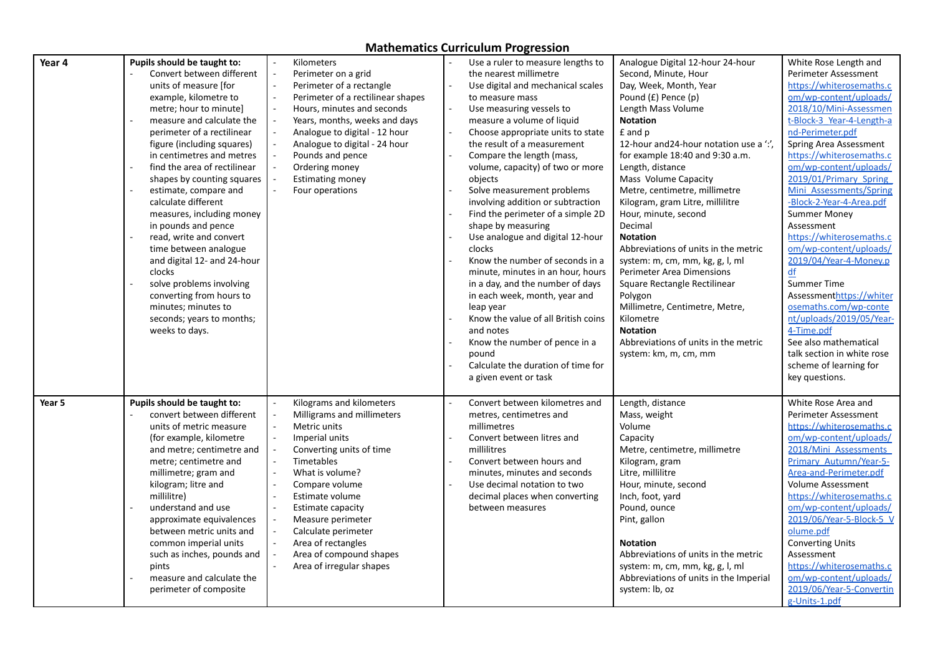| Convert between different<br>the nearest millimetre<br>Second, Minute, Hour<br>Perimeter Assessment<br>Perimeter on a grid<br>units of measure [for<br>Perimeter of a rectangle<br>Day, Week, Month, Year<br>https://whiterosemaths.c<br>Use digital and mechanical scales<br>om/wp-content/uploads/<br>example, kilometre to<br>Perimeter of a rectilinear shapes<br>Pound (£) Pence (p)<br>to measure mass<br>metre; hour to minute]<br>Hours, minutes and seconds<br>Use measuring vessels to<br>Length Mass Volume<br>2018/10/Mini-Assessmen<br>t-Block-3 Year-4-Length-a<br><b>Notation</b><br>measure and calculate the<br>Years, months, weeks and days<br>measure a volume of liquid<br>£ and p<br>nd-Perimeter.pdf<br>perimeter of a rectilinear<br>Analogue to digital - 12 hour<br>Choose appropriate units to state<br>12-hour and 24-hour notation use a "."<br>figure (including squares)<br>Analogue to digital - 24 hour<br>the result of a measurement<br>Spring Area Assessment<br>https://whiterosemaths.c<br>in centimetres and metres<br>Pounds and pence<br>Compare the length (mass,<br>for example 18:40 and 9:30 a.m.<br>om/wp-content/uploads/<br>find the area of rectilinear<br>volume, capacity) of two or more<br>Length, distance<br>Ordering money<br>Mass Volume Capacity<br>2019/01/Primary Spring<br>shapes by counting squares<br><b>Estimating money</b><br>objects<br>Solve measurement problems<br>Mini Assessments/Spring<br>estimate, compare and<br>Four operations<br>Metre, centimetre, millimetre<br>calculate different<br>involving addition or subtraction<br>-Block-2-Year-4-Area.pdf<br>Kilogram, gram Litre, millilitre<br>Find the perimeter of a simple 2D<br><b>Summer Money</b><br>measures, including money<br>Hour, minute, second<br>Decimal<br>Assessment<br>in pounds and pence<br>shape by measuring<br>read, write and convert<br><b>Notation</b><br>https://whiterosemaths.c<br>Use analogue and digital 12-hour<br>om/wp-content/uploads/<br>time between analogue<br>clocks<br>Abbreviations of units in the metric<br>2019/04/Year-4-Money.p<br>and digital 12- and 24-hour<br>Know the number of seconds in a<br>system: m, cm, mm, kg, g, l, ml<br>clocks<br>df<br>minute, minutes in an hour, hours<br>Perimeter Area Dimensions<br><b>Summer Time</b><br>solve problems involving<br>in a day, and the number of days<br>Square Rectangle Rectilinear<br>Assessmenthttps://whiter<br>converting from hours to<br>in each week, month, year and<br>Polygon<br>osemaths.com/wp-conte<br>minutes; minutes to<br>Millimetre, Centimetre, Metre,<br>leap year<br>nt/uploads/2019/05/Year-<br>seconds; years to months;<br>Know the value of all British coins<br>Kilometre<br><b>Notation</b><br>4-Time.pdf<br>weeks to days.<br>and notes<br>Abbreviations of units in the metric<br>See also mathematical<br>Know the number of pence in a<br>talk section in white rose<br>pound<br>system: km, m, cm, mm<br>Calculate the duration of time for<br>scheme of learning for<br>a given event or task<br>key questions.<br>Pupils should be taught to:<br>Kilograms and kilometers<br>Convert between kilometres and<br>Length, distance<br>White Rose Area and<br>Year 5<br>convert between different<br>Milligrams and millimeters<br>metres, centimetres and<br>Mass, weight<br>Perimeter Assessment<br>Volume<br>units of metric measure<br>Metric units<br>millimetres<br>https://whiterosemaths.c<br>Convert between litres and<br>om/wp-content/uploads/<br>(for example, kilometre<br>Imperial units<br>Capacity<br>2018/Mini Assessments<br>millilitres<br>and metre; centimetre and<br>Converting units of time<br>Metre, centimetre, millimetre<br>Primary Autumn/Year-5-<br>Timetables<br>Convert between hours and<br>metre; centimetre and<br>Kilogram, gram<br>Area-and-Perimeter.pdf<br>millimetre; gram and<br>What is volume?<br>minutes, minutes and seconds<br>Litre, millilitre<br>Use decimal notation to two<br><b>Volume Assessment</b><br>kilogram; litre and<br>Compare volume<br>Hour, minute, second<br>https://whiterosemaths.c<br>millilitre)<br>Estimate volume<br>decimal places when converting<br>Inch, foot, yard<br>Pound, ounce<br>om/wp-content/uploads/<br>understand and use<br>Estimate capacity<br>between measures<br>2019/06/Year-5-Block-5 V<br>Pint, gallon<br>approximate equivalences<br>Measure perimeter<br>olume.pdf<br>between metric units and<br>Calculate perimeter | Year 4 | Pupils should be taught to: | Kilometers         | Use a ruler to measure lengths to | Analogue Digital 12-hour 24-hour | White Rose Length and   |
|---------------------------------------------------------------------------------------------------------------------------------------------------------------------------------------------------------------------------------------------------------------------------------------------------------------------------------------------------------------------------------------------------------------------------------------------------------------------------------------------------------------------------------------------------------------------------------------------------------------------------------------------------------------------------------------------------------------------------------------------------------------------------------------------------------------------------------------------------------------------------------------------------------------------------------------------------------------------------------------------------------------------------------------------------------------------------------------------------------------------------------------------------------------------------------------------------------------------------------------------------------------------------------------------------------------------------------------------------------------------------------------------------------------------------------------------------------------------------------------------------------------------------------------------------------------------------------------------------------------------------------------------------------------------------------------------------------------------------------------------------------------------------------------------------------------------------------------------------------------------------------------------------------------------------------------------------------------------------------------------------------------------------------------------------------------------------------------------------------------------------------------------------------------------------------------------------------------------------------------------------------------------------------------------------------------------------------------------------------------------------------------------------------------------------------------------------------------------------------------------------------------------------------------------------------------------------------------------------------------------------------------------------------------------------------------------------------------------------------------------------------------------------------------------------------------------------------------------------------------------------------------------------------------------------------------------------------------------------------------------------------------------------------------------------------------------------------------------------------------------------------------------------------------------------------------------------------------------------------------------------------------------------------------------------------------------------------------------------------------------------------------------------------------------------------------------------------------------------------------------------------------------------------------------------------------------------------------------------------------------------------------------------------------------------------------------------------------------------------------------------------------------------------------------------------------------------------------------------------------------------------------------------------------------------------------------------------------------------------------------------------------------------------------------------------------------------------------------------------------------------------------------------------------------------------------------------------------------------------------------------------------------------------------------------------------------------------------------------------------------------------------------------------------------------------------------------------------------------------------------|--------|-----------------------------|--------------------|-----------------------------------|----------------------------------|-------------------------|
|                                                                                                                                                                                                                                                                                                                                                                                                                                                                                                                                                                                                                                                                                                                                                                                                                                                                                                                                                                                                                                                                                                                                                                                                                                                                                                                                                                                                                                                                                                                                                                                                                                                                                                                                                                                                                                                                                                                                                                                                                                                                                                                                                                                                                                                                                                                                                                                                                                                                                                                                                                                                                                                                                                                                                                                                                                                                                                                                                                                                                                                                                                                                                                                                                                                                                                                                                                                                                                                                                                                                                                                                                                                                                                                                                                                                                                                                                                                                                                                                                                                                                                                                                                                                                                                                                                                                                                                                                                                                                             |        |                             |                    |                                   |                                  |                         |
|                                                                                                                                                                                                                                                                                                                                                                                                                                                                                                                                                                                                                                                                                                                                                                                                                                                                                                                                                                                                                                                                                                                                                                                                                                                                                                                                                                                                                                                                                                                                                                                                                                                                                                                                                                                                                                                                                                                                                                                                                                                                                                                                                                                                                                                                                                                                                                                                                                                                                                                                                                                                                                                                                                                                                                                                                                                                                                                                                                                                                                                                                                                                                                                                                                                                                                                                                                                                                                                                                                                                                                                                                                                                                                                                                                                                                                                                                                                                                                                                                                                                                                                                                                                                                                                                                                                                                                                                                                                                                             |        |                             |                    |                                   |                                  |                         |
|                                                                                                                                                                                                                                                                                                                                                                                                                                                                                                                                                                                                                                                                                                                                                                                                                                                                                                                                                                                                                                                                                                                                                                                                                                                                                                                                                                                                                                                                                                                                                                                                                                                                                                                                                                                                                                                                                                                                                                                                                                                                                                                                                                                                                                                                                                                                                                                                                                                                                                                                                                                                                                                                                                                                                                                                                                                                                                                                                                                                                                                                                                                                                                                                                                                                                                                                                                                                                                                                                                                                                                                                                                                                                                                                                                                                                                                                                                                                                                                                                                                                                                                                                                                                                                                                                                                                                                                                                                                                                             |        |                             |                    |                                   |                                  |                         |
|                                                                                                                                                                                                                                                                                                                                                                                                                                                                                                                                                                                                                                                                                                                                                                                                                                                                                                                                                                                                                                                                                                                                                                                                                                                                                                                                                                                                                                                                                                                                                                                                                                                                                                                                                                                                                                                                                                                                                                                                                                                                                                                                                                                                                                                                                                                                                                                                                                                                                                                                                                                                                                                                                                                                                                                                                                                                                                                                                                                                                                                                                                                                                                                                                                                                                                                                                                                                                                                                                                                                                                                                                                                                                                                                                                                                                                                                                                                                                                                                                                                                                                                                                                                                                                                                                                                                                                                                                                                                                             |        |                             |                    |                                   |                                  |                         |
|                                                                                                                                                                                                                                                                                                                                                                                                                                                                                                                                                                                                                                                                                                                                                                                                                                                                                                                                                                                                                                                                                                                                                                                                                                                                                                                                                                                                                                                                                                                                                                                                                                                                                                                                                                                                                                                                                                                                                                                                                                                                                                                                                                                                                                                                                                                                                                                                                                                                                                                                                                                                                                                                                                                                                                                                                                                                                                                                                                                                                                                                                                                                                                                                                                                                                                                                                                                                                                                                                                                                                                                                                                                                                                                                                                                                                                                                                                                                                                                                                                                                                                                                                                                                                                                                                                                                                                                                                                                                                             |        |                             |                    |                                   |                                  |                         |
|                                                                                                                                                                                                                                                                                                                                                                                                                                                                                                                                                                                                                                                                                                                                                                                                                                                                                                                                                                                                                                                                                                                                                                                                                                                                                                                                                                                                                                                                                                                                                                                                                                                                                                                                                                                                                                                                                                                                                                                                                                                                                                                                                                                                                                                                                                                                                                                                                                                                                                                                                                                                                                                                                                                                                                                                                                                                                                                                                                                                                                                                                                                                                                                                                                                                                                                                                                                                                                                                                                                                                                                                                                                                                                                                                                                                                                                                                                                                                                                                                                                                                                                                                                                                                                                                                                                                                                                                                                                                                             |        |                             |                    |                                   |                                  |                         |
|                                                                                                                                                                                                                                                                                                                                                                                                                                                                                                                                                                                                                                                                                                                                                                                                                                                                                                                                                                                                                                                                                                                                                                                                                                                                                                                                                                                                                                                                                                                                                                                                                                                                                                                                                                                                                                                                                                                                                                                                                                                                                                                                                                                                                                                                                                                                                                                                                                                                                                                                                                                                                                                                                                                                                                                                                                                                                                                                                                                                                                                                                                                                                                                                                                                                                                                                                                                                                                                                                                                                                                                                                                                                                                                                                                                                                                                                                                                                                                                                                                                                                                                                                                                                                                                                                                                                                                                                                                                                                             |        |                             |                    |                                   |                                  |                         |
|                                                                                                                                                                                                                                                                                                                                                                                                                                                                                                                                                                                                                                                                                                                                                                                                                                                                                                                                                                                                                                                                                                                                                                                                                                                                                                                                                                                                                                                                                                                                                                                                                                                                                                                                                                                                                                                                                                                                                                                                                                                                                                                                                                                                                                                                                                                                                                                                                                                                                                                                                                                                                                                                                                                                                                                                                                                                                                                                                                                                                                                                                                                                                                                                                                                                                                                                                                                                                                                                                                                                                                                                                                                                                                                                                                                                                                                                                                                                                                                                                                                                                                                                                                                                                                                                                                                                                                                                                                                                                             |        |                             |                    |                                   |                                  |                         |
|                                                                                                                                                                                                                                                                                                                                                                                                                                                                                                                                                                                                                                                                                                                                                                                                                                                                                                                                                                                                                                                                                                                                                                                                                                                                                                                                                                                                                                                                                                                                                                                                                                                                                                                                                                                                                                                                                                                                                                                                                                                                                                                                                                                                                                                                                                                                                                                                                                                                                                                                                                                                                                                                                                                                                                                                                                                                                                                                                                                                                                                                                                                                                                                                                                                                                                                                                                                                                                                                                                                                                                                                                                                                                                                                                                                                                                                                                                                                                                                                                                                                                                                                                                                                                                                                                                                                                                                                                                                                                             |        |                             |                    |                                   |                                  |                         |
|                                                                                                                                                                                                                                                                                                                                                                                                                                                                                                                                                                                                                                                                                                                                                                                                                                                                                                                                                                                                                                                                                                                                                                                                                                                                                                                                                                                                                                                                                                                                                                                                                                                                                                                                                                                                                                                                                                                                                                                                                                                                                                                                                                                                                                                                                                                                                                                                                                                                                                                                                                                                                                                                                                                                                                                                                                                                                                                                                                                                                                                                                                                                                                                                                                                                                                                                                                                                                                                                                                                                                                                                                                                                                                                                                                                                                                                                                                                                                                                                                                                                                                                                                                                                                                                                                                                                                                                                                                                                                             |        |                             |                    |                                   |                                  |                         |
|                                                                                                                                                                                                                                                                                                                                                                                                                                                                                                                                                                                                                                                                                                                                                                                                                                                                                                                                                                                                                                                                                                                                                                                                                                                                                                                                                                                                                                                                                                                                                                                                                                                                                                                                                                                                                                                                                                                                                                                                                                                                                                                                                                                                                                                                                                                                                                                                                                                                                                                                                                                                                                                                                                                                                                                                                                                                                                                                                                                                                                                                                                                                                                                                                                                                                                                                                                                                                                                                                                                                                                                                                                                                                                                                                                                                                                                                                                                                                                                                                                                                                                                                                                                                                                                                                                                                                                                                                                                                                             |        |                             |                    |                                   |                                  |                         |
|                                                                                                                                                                                                                                                                                                                                                                                                                                                                                                                                                                                                                                                                                                                                                                                                                                                                                                                                                                                                                                                                                                                                                                                                                                                                                                                                                                                                                                                                                                                                                                                                                                                                                                                                                                                                                                                                                                                                                                                                                                                                                                                                                                                                                                                                                                                                                                                                                                                                                                                                                                                                                                                                                                                                                                                                                                                                                                                                                                                                                                                                                                                                                                                                                                                                                                                                                                                                                                                                                                                                                                                                                                                                                                                                                                                                                                                                                                                                                                                                                                                                                                                                                                                                                                                                                                                                                                                                                                                                                             |        |                             |                    |                                   |                                  |                         |
|                                                                                                                                                                                                                                                                                                                                                                                                                                                                                                                                                                                                                                                                                                                                                                                                                                                                                                                                                                                                                                                                                                                                                                                                                                                                                                                                                                                                                                                                                                                                                                                                                                                                                                                                                                                                                                                                                                                                                                                                                                                                                                                                                                                                                                                                                                                                                                                                                                                                                                                                                                                                                                                                                                                                                                                                                                                                                                                                                                                                                                                                                                                                                                                                                                                                                                                                                                                                                                                                                                                                                                                                                                                                                                                                                                                                                                                                                                                                                                                                                                                                                                                                                                                                                                                                                                                                                                                                                                                                                             |        |                             |                    |                                   |                                  |                         |
|                                                                                                                                                                                                                                                                                                                                                                                                                                                                                                                                                                                                                                                                                                                                                                                                                                                                                                                                                                                                                                                                                                                                                                                                                                                                                                                                                                                                                                                                                                                                                                                                                                                                                                                                                                                                                                                                                                                                                                                                                                                                                                                                                                                                                                                                                                                                                                                                                                                                                                                                                                                                                                                                                                                                                                                                                                                                                                                                                                                                                                                                                                                                                                                                                                                                                                                                                                                                                                                                                                                                                                                                                                                                                                                                                                                                                                                                                                                                                                                                                                                                                                                                                                                                                                                                                                                                                                                                                                                                                             |        |                             |                    |                                   |                                  |                         |
|                                                                                                                                                                                                                                                                                                                                                                                                                                                                                                                                                                                                                                                                                                                                                                                                                                                                                                                                                                                                                                                                                                                                                                                                                                                                                                                                                                                                                                                                                                                                                                                                                                                                                                                                                                                                                                                                                                                                                                                                                                                                                                                                                                                                                                                                                                                                                                                                                                                                                                                                                                                                                                                                                                                                                                                                                                                                                                                                                                                                                                                                                                                                                                                                                                                                                                                                                                                                                                                                                                                                                                                                                                                                                                                                                                                                                                                                                                                                                                                                                                                                                                                                                                                                                                                                                                                                                                                                                                                                                             |        |                             |                    |                                   |                                  |                         |
|                                                                                                                                                                                                                                                                                                                                                                                                                                                                                                                                                                                                                                                                                                                                                                                                                                                                                                                                                                                                                                                                                                                                                                                                                                                                                                                                                                                                                                                                                                                                                                                                                                                                                                                                                                                                                                                                                                                                                                                                                                                                                                                                                                                                                                                                                                                                                                                                                                                                                                                                                                                                                                                                                                                                                                                                                                                                                                                                                                                                                                                                                                                                                                                                                                                                                                                                                                                                                                                                                                                                                                                                                                                                                                                                                                                                                                                                                                                                                                                                                                                                                                                                                                                                                                                                                                                                                                                                                                                                                             |        |                             |                    |                                   |                                  |                         |
|                                                                                                                                                                                                                                                                                                                                                                                                                                                                                                                                                                                                                                                                                                                                                                                                                                                                                                                                                                                                                                                                                                                                                                                                                                                                                                                                                                                                                                                                                                                                                                                                                                                                                                                                                                                                                                                                                                                                                                                                                                                                                                                                                                                                                                                                                                                                                                                                                                                                                                                                                                                                                                                                                                                                                                                                                                                                                                                                                                                                                                                                                                                                                                                                                                                                                                                                                                                                                                                                                                                                                                                                                                                                                                                                                                                                                                                                                                                                                                                                                                                                                                                                                                                                                                                                                                                                                                                                                                                                                             |        |                             |                    |                                   |                                  |                         |
|                                                                                                                                                                                                                                                                                                                                                                                                                                                                                                                                                                                                                                                                                                                                                                                                                                                                                                                                                                                                                                                                                                                                                                                                                                                                                                                                                                                                                                                                                                                                                                                                                                                                                                                                                                                                                                                                                                                                                                                                                                                                                                                                                                                                                                                                                                                                                                                                                                                                                                                                                                                                                                                                                                                                                                                                                                                                                                                                                                                                                                                                                                                                                                                                                                                                                                                                                                                                                                                                                                                                                                                                                                                                                                                                                                                                                                                                                                                                                                                                                                                                                                                                                                                                                                                                                                                                                                                                                                                                                             |        |                             |                    |                                   |                                  |                         |
|                                                                                                                                                                                                                                                                                                                                                                                                                                                                                                                                                                                                                                                                                                                                                                                                                                                                                                                                                                                                                                                                                                                                                                                                                                                                                                                                                                                                                                                                                                                                                                                                                                                                                                                                                                                                                                                                                                                                                                                                                                                                                                                                                                                                                                                                                                                                                                                                                                                                                                                                                                                                                                                                                                                                                                                                                                                                                                                                                                                                                                                                                                                                                                                                                                                                                                                                                                                                                                                                                                                                                                                                                                                                                                                                                                                                                                                                                                                                                                                                                                                                                                                                                                                                                                                                                                                                                                                                                                                                                             |        |                             |                    |                                   |                                  |                         |
|                                                                                                                                                                                                                                                                                                                                                                                                                                                                                                                                                                                                                                                                                                                                                                                                                                                                                                                                                                                                                                                                                                                                                                                                                                                                                                                                                                                                                                                                                                                                                                                                                                                                                                                                                                                                                                                                                                                                                                                                                                                                                                                                                                                                                                                                                                                                                                                                                                                                                                                                                                                                                                                                                                                                                                                                                                                                                                                                                                                                                                                                                                                                                                                                                                                                                                                                                                                                                                                                                                                                                                                                                                                                                                                                                                                                                                                                                                                                                                                                                                                                                                                                                                                                                                                                                                                                                                                                                                                                                             |        |                             |                    |                                   |                                  |                         |
|                                                                                                                                                                                                                                                                                                                                                                                                                                                                                                                                                                                                                                                                                                                                                                                                                                                                                                                                                                                                                                                                                                                                                                                                                                                                                                                                                                                                                                                                                                                                                                                                                                                                                                                                                                                                                                                                                                                                                                                                                                                                                                                                                                                                                                                                                                                                                                                                                                                                                                                                                                                                                                                                                                                                                                                                                                                                                                                                                                                                                                                                                                                                                                                                                                                                                                                                                                                                                                                                                                                                                                                                                                                                                                                                                                                                                                                                                                                                                                                                                                                                                                                                                                                                                                                                                                                                                                                                                                                                                             |        |                             |                    |                                   |                                  |                         |
|                                                                                                                                                                                                                                                                                                                                                                                                                                                                                                                                                                                                                                                                                                                                                                                                                                                                                                                                                                                                                                                                                                                                                                                                                                                                                                                                                                                                                                                                                                                                                                                                                                                                                                                                                                                                                                                                                                                                                                                                                                                                                                                                                                                                                                                                                                                                                                                                                                                                                                                                                                                                                                                                                                                                                                                                                                                                                                                                                                                                                                                                                                                                                                                                                                                                                                                                                                                                                                                                                                                                                                                                                                                                                                                                                                                                                                                                                                                                                                                                                                                                                                                                                                                                                                                                                                                                                                                                                                                                                             |        |                             |                    |                                   |                                  |                         |
|                                                                                                                                                                                                                                                                                                                                                                                                                                                                                                                                                                                                                                                                                                                                                                                                                                                                                                                                                                                                                                                                                                                                                                                                                                                                                                                                                                                                                                                                                                                                                                                                                                                                                                                                                                                                                                                                                                                                                                                                                                                                                                                                                                                                                                                                                                                                                                                                                                                                                                                                                                                                                                                                                                                                                                                                                                                                                                                                                                                                                                                                                                                                                                                                                                                                                                                                                                                                                                                                                                                                                                                                                                                                                                                                                                                                                                                                                                                                                                                                                                                                                                                                                                                                                                                                                                                                                                                                                                                                                             |        |                             |                    |                                   |                                  |                         |
|                                                                                                                                                                                                                                                                                                                                                                                                                                                                                                                                                                                                                                                                                                                                                                                                                                                                                                                                                                                                                                                                                                                                                                                                                                                                                                                                                                                                                                                                                                                                                                                                                                                                                                                                                                                                                                                                                                                                                                                                                                                                                                                                                                                                                                                                                                                                                                                                                                                                                                                                                                                                                                                                                                                                                                                                                                                                                                                                                                                                                                                                                                                                                                                                                                                                                                                                                                                                                                                                                                                                                                                                                                                                                                                                                                                                                                                                                                                                                                                                                                                                                                                                                                                                                                                                                                                                                                                                                                                                                             |        |                             |                    |                                   |                                  |                         |
|                                                                                                                                                                                                                                                                                                                                                                                                                                                                                                                                                                                                                                                                                                                                                                                                                                                                                                                                                                                                                                                                                                                                                                                                                                                                                                                                                                                                                                                                                                                                                                                                                                                                                                                                                                                                                                                                                                                                                                                                                                                                                                                                                                                                                                                                                                                                                                                                                                                                                                                                                                                                                                                                                                                                                                                                                                                                                                                                                                                                                                                                                                                                                                                                                                                                                                                                                                                                                                                                                                                                                                                                                                                                                                                                                                                                                                                                                                                                                                                                                                                                                                                                                                                                                                                                                                                                                                                                                                                                                             |        |                             |                    |                                   |                                  |                         |
|                                                                                                                                                                                                                                                                                                                                                                                                                                                                                                                                                                                                                                                                                                                                                                                                                                                                                                                                                                                                                                                                                                                                                                                                                                                                                                                                                                                                                                                                                                                                                                                                                                                                                                                                                                                                                                                                                                                                                                                                                                                                                                                                                                                                                                                                                                                                                                                                                                                                                                                                                                                                                                                                                                                                                                                                                                                                                                                                                                                                                                                                                                                                                                                                                                                                                                                                                                                                                                                                                                                                                                                                                                                                                                                                                                                                                                                                                                                                                                                                                                                                                                                                                                                                                                                                                                                                                                                                                                                                                             |        |                             |                    |                                   |                                  |                         |
|                                                                                                                                                                                                                                                                                                                                                                                                                                                                                                                                                                                                                                                                                                                                                                                                                                                                                                                                                                                                                                                                                                                                                                                                                                                                                                                                                                                                                                                                                                                                                                                                                                                                                                                                                                                                                                                                                                                                                                                                                                                                                                                                                                                                                                                                                                                                                                                                                                                                                                                                                                                                                                                                                                                                                                                                                                                                                                                                                                                                                                                                                                                                                                                                                                                                                                                                                                                                                                                                                                                                                                                                                                                                                                                                                                                                                                                                                                                                                                                                                                                                                                                                                                                                                                                                                                                                                                                                                                                                                             |        |                             |                    |                                   |                                  |                         |
|                                                                                                                                                                                                                                                                                                                                                                                                                                                                                                                                                                                                                                                                                                                                                                                                                                                                                                                                                                                                                                                                                                                                                                                                                                                                                                                                                                                                                                                                                                                                                                                                                                                                                                                                                                                                                                                                                                                                                                                                                                                                                                                                                                                                                                                                                                                                                                                                                                                                                                                                                                                                                                                                                                                                                                                                                                                                                                                                                                                                                                                                                                                                                                                                                                                                                                                                                                                                                                                                                                                                                                                                                                                                                                                                                                                                                                                                                                                                                                                                                                                                                                                                                                                                                                                                                                                                                                                                                                                                                             |        |                             |                    |                                   |                                  |                         |
|                                                                                                                                                                                                                                                                                                                                                                                                                                                                                                                                                                                                                                                                                                                                                                                                                                                                                                                                                                                                                                                                                                                                                                                                                                                                                                                                                                                                                                                                                                                                                                                                                                                                                                                                                                                                                                                                                                                                                                                                                                                                                                                                                                                                                                                                                                                                                                                                                                                                                                                                                                                                                                                                                                                                                                                                                                                                                                                                                                                                                                                                                                                                                                                                                                                                                                                                                                                                                                                                                                                                                                                                                                                                                                                                                                                                                                                                                                                                                                                                                                                                                                                                                                                                                                                                                                                                                                                                                                                                                             |        |                             |                    |                                   |                                  |                         |
|                                                                                                                                                                                                                                                                                                                                                                                                                                                                                                                                                                                                                                                                                                                                                                                                                                                                                                                                                                                                                                                                                                                                                                                                                                                                                                                                                                                                                                                                                                                                                                                                                                                                                                                                                                                                                                                                                                                                                                                                                                                                                                                                                                                                                                                                                                                                                                                                                                                                                                                                                                                                                                                                                                                                                                                                                                                                                                                                                                                                                                                                                                                                                                                                                                                                                                                                                                                                                                                                                                                                                                                                                                                                                                                                                                                                                                                                                                                                                                                                                                                                                                                                                                                                                                                                                                                                                                                                                                                                                             |        |                             |                    |                                   |                                  |                         |
|                                                                                                                                                                                                                                                                                                                                                                                                                                                                                                                                                                                                                                                                                                                                                                                                                                                                                                                                                                                                                                                                                                                                                                                                                                                                                                                                                                                                                                                                                                                                                                                                                                                                                                                                                                                                                                                                                                                                                                                                                                                                                                                                                                                                                                                                                                                                                                                                                                                                                                                                                                                                                                                                                                                                                                                                                                                                                                                                                                                                                                                                                                                                                                                                                                                                                                                                                                                                                                                                                                                                                                                                                                                                                                                                                                                                                                                                                                                                                                                                                                                                                                                                                                                                                                                                                                                                                                                                                                                                                             |        |                             |                    |                                   |                                  |                         |
|                                                                                                                                                                                                                                                                                                                                                                                                                                                                                                                                                                                                                                                                                                                                                                                                                                                                                                                                                                                                                                                                                                                                                                                                                                                                                                                                                                                                                                                                                                                                                                                                                                                                                                                                                                                                                                                                                                                                                                                                                                                                                                                                                                                                                                                                                                                                                                                                                                                                                                                                                                                                                                                                                                                                                                                                                                                                                                                                                                                                                                                                                                                                                                                                                                                                                                                                                                                                                                                                                                                                                                                                                                                                                                                                                                                                                                                                                                                                                                                                                                                                                                                                                                                                                                                                                                                                                                                                                                                                                             |        |                             |                    |                                   |                                  |                         |
|                                                                                                                                                                                                                                                                                                                                                                                                                                                                                                                                                                                                                                                                                                                                                                                                                                                                                                                                                                                                                                                                                                                                                                                                                                                                                                                                                                                                                                                                                                                                                                                                                                                                                                                                                                                                                                                                                                                                                                                                                                                                                                                                                                                                                                                                                                                                                                                                                                                                                                                                                                                                                                                                                                                                                                                                                                                                                                                                                                                                                                                                                                                                                                                                                                                                                                                                                                                                                                                                                                                                                                                                                                                                                                                                                                                                                                                                                                                                                                                                                                                                                                                                                                                                                                                                                                                                                                                                                                                                                             |        |                             |                    |                                   |                                  |                         |
|                                                                                                                                                                                                                                                                                                                                                                                                                                                                                                                                                                                                                                                                                                                                                                                                                                                                                                                                                                                                                                                                                                                                                                                                                                                                                                                                                                                                                                                                                                                                                                                                                                                                                                                                                                                                                                                                                                                                                                                                                                                                                                                                                                                                                                                                                                                                                                                                                                                                                                                                                                                                                                                                                                                                                                                                                                                                                                                                                                                                                                                                                                                                                                                                                                                                                                                                                                                                                                                                                                                                                                                                                                                                                                                                                                                                                                                                                                                                                                                                                                                                                                                                                                                                                                                                                                                                                                                                                                                                                             |        |                             |                    |                                   |                                  |                         |
|                                                                                                                                                                                                                                                                                                                                                                                                                                                                                                                                                                                                                                                                                                                                                                                                                                                                                                                                                                                                                                                                                                                                                                                                                                                                                                                                                                                                                                                                                                                                                                                                                                                                                                                                                                                                                                                                                                                                                                                                                                                                                                                                                                                                                                                                                                                                                                                                                                                                                                                                                                                                                                                                                                                                                                                                                                                                                                                                                                                                                                                                                                                                                                                                                                                                                                                                                                                                                                                                                                                                                                                                                                                                                                                                                                                                                                                                                                                                                                                                                                                                                                                                                                                                                                                                                                                                                                                                                                                                                             |        |                             |                    |                                   |                                  |                         |
|                                                                                                                                                                                                                                                                                                                                                                                                                                                                                                                                                                                                                                                                                                                                                                                                                                                                                                                                                                                                                                                                                                                                                                                                                                                                                                                                                                                                                                                                                                                                                                                                                                                                                                                                                                                                                                                                                                                                                                                                                                                                                                                                                                                                                                                                                                                                                                                                                                                                                                                                                                                                                                                                                                                                                                                                                                                                                                                                                                                                                                                                                                                                                                                                                                                                                                                                                                                                                                                                                                                                                                                                                                                                                                                                                                                                                                                                                                                                                                                                                                                                                                                                                                                                                                                                                                                                                                                                                                                                                             |        |                             |                    |                                   |                                  |                         |
|                                                                                                                                                                                                                                                                                                                                                                                                                                                                                                                                                                                                                                                                                                                                                                                                                                                                                                                                                                                                                                                                                                                                                                                                                                                                                                                                                                                                                                                                                                                                                                                                                                                                                                                                                                                                                                                                                                                                                                                                                                                                                                                                                                                                                                                                                                                                                                                                                                                                                                                                                                                                                                                                                                                                                                                                                                                                                                                                                                                                                                                                                                                                                                                                                                                                                                                                                                                                                                                                                                                                                                                                                                                                                                                                                                                                                                                                                                                                                                                                                                                                                                                                                                                                                                                                                                                                                                                                                                                                                             |        |                             |                    |                                   |                                  |                         |
|                                                                                                                                                                                                                                                                                                                                                                                                                                                                                                                                                                                                                                                                                                                                                                                                                                                                                                                                                                                                                                                                                                                                                                                                                                                                                                                                                                                                                                                                                                                                                                                                                                                                                                                                                                                                                                                                                                                                                                                                                                                                                                                                                                                                                                                                                                                                                                                                                                                                                                                                                                                                                                                                                                                                                                                                                                                                                                                                                                                                                                                                                                                                                                                                                                                                                                                                                                                                                                                                                                                                                                                                                                                                                                                                                                                                                                                                                                                                                                                                                                                                                                                                                                                                                                                                                                                                                                                                                                                                                             |        |                             |                    |                                   |                                  |                         |
|                                                                                                                                                                                                                                                                                                                                                                                                                                                                                                                                                                                                                                                                                                                                                                                                                                                                                                                                                                                                                                                                                                                                                                                                                                                                                                                                                                                                                                                                                                                                                                                                                                                                                                                                                                                                                                                                                                                                                                                                                                                                                                                                                                                                                                                                                                                                                                                                                                                                                                                                                                                                                                                                                                                                                                                                                                                                                                                                                                                                                                                                                                                                                                                                                                                                                                                                                                                                                                                                                                                                                                                                                                                                                                                                                                                                                                                                                                                                                                                                                                                                                                                                                                                                                                                                                                                                                                                                                                                                                             |        |                             |                    |                                   |                                  |                         |
|                                                                                                                                                                                                                                                                                                                                                                                                                                                                                                                                                                                                                                                                                                                                                                                                                                                                                                                                                                                                                                                                                                                                                                                                                                                                                                                                                                                                                                                                                                                                                                                                                                                                                                                                                                                                                                                                                                                                                                                                                                                                                                                                                                                                                                                                                                                                                                                                                                                                                                                                                                                                                                                                                                                                                                                                                                                                                                                                                                                                                                                                                                                                                                                                                                                                                                                                                                                                                                                                                                                                                                                                                                                                                                                                                                                                                                                                                                                                                                                                                                                                                                                                                                                                                                                                                                                                                                                                                                                                                             |        |                             |                    |                                   |                                  |                         |
|                                                                                                                                                                                                                                                                                                                                                                                                                                                                                                                                                                                                                                                                                                                                                                                                                                                                                                                                                                                                                                                                                                                                                                                                                                                                                                                                                                                                                                                                                                                                                                                                                                                                                                                                                                                                                                                                                                                                                                                                                                                                                                                                                                                                                                                                                                                                                                                                                                                                                                                                                                                                                                                                                                                                                                                                                                                                                                                                                                                                                                                                                                                                                                                                                                                                                                                                                                                                                                                                                                                                                                                                                                                                                                                                                                                                                                                                                                                                                                                                                                                                                                                                                                                                                                                                                                                                                                                                                                                                                             |        | common imperial units       | Area of rectangles |                                   | <b>Notation</b>                  | <b>Converting Units</b> |
| Area of compound shapes<br>Abbreviations of units in the metric<br>Assessment<br>such as inches, pounds and                                                                                                                                                                                                                                                                                                                                                                                                                                                                                                                                                                                                                                                                                                                                                                                                                                                                                                                                                                                                                                                                                                                                                                                                                                                                                                                                                                                                                                                                                                                                                                                                                                                                                                                                                                                                                                                                                                                                                                                                                                                                                                                                                                                                                                                                                                                                                                                                                                                                                                                                                                                                                                                                                                                                                                                                                                                                                                                                                                                                                                                                                                                                                                                                                                                                                                                                                                                                                                                                                                                                                                                                                                                                                                                                                                                                                                                                                                                                                                                                                                                                                                                                                                                                                                                                                                                                                                                 |        |                             |                    |                                   |                                  |                         |
| https://whiterosemaths.c<br>Area of irregular shapes<br>system: m, cm, mm, kg, g, l, ml<br>pints                                                                                                                                                                                                                                                                                                                                                                                                                                                                                                                                                                                                                                                                                                                                                                                                                                                                                                                                                                                                                                                                                                                                                                                                                                                                                                                                                                                                                                                                                                                                                                                                                                                                                                                                                                                                                                                                                                                                                                                                                                                                                                                                                                                                                                                                                                                                                                                                                                                                                                                                                                                                                                                                                                                                                                                                                                                                                                                                                                                                                                                                                                                                                                                                                                                                                                                                                                                                                                                                                                                                                                                                                                                                                                                                                                                                                                                                                                                                                                                                                                                                                                                                                                                                                                                                                                                                                                                            |        |                             |                    |                                   |                                  |                         |
| om/wp-content/uploads/<br>measure and calculate the<br>Abbreviations of units in the Imperial                                                                                                                                                                                                                                                                                                                                                                                                                                                                                                                                                                                                                                                                                                                                                                                                                                                                                                                                                                                                                                                                                                                                                                                                                                                                                                                                                                                                                                                                                                                                                                                                                                                                                                                                                                                                                                                                                                                                                                                                                                                                                                                                                                                                                                                                                                                                                                                                                                                                                                                                                                                                                                                                                                                                                                                                                                                                                                                                                                                                                                                                                                                                                                                                                                                                                                                                                                                                                                                                                                                                                                                                                                                                                                                                                                                                                                                                                                                                                                                                                                                                                                                                                                                                                                                                                                                                                                                               |        |                             |                    |                                   |                                  |                         |
| 2019/06/Year-5-Convertin<br>perimeter of composite<br>system: lb, oz                                                                                                                                                                                                                                                                                                                                                                                                                                                                                                                                                                                                                                                                                                                                                                                                                                                                                                                                                                                                                                                                                                                                                                                                                                                                                                                                                                                                                                                                                                                                                                                                                                                                                                                                                                                                                                                                                                                                                                                                                                                                                                                                                                                                                                                                                                                                                                                                                                                                                                                                                                                                                                                                                                                                                                                                                                                                                                                                                                                                                                                                                                                                                                                                                                                                                                                                                                                                                                                                                                                                                                                                                                                                                                                                                                                                                                                                                                                                                                                                                                                                                                                                                                                                                                                                                                                                                                                                                        |        |                             |                    |                                   |                                  |                         |
| g-Units-1.pdf                                                                                                                                                                                                                                                                                                                                                                                                                                                                                                                                                                                                                                                                                                                                                                                                                                                                                                                                                                                                                                                                                                                                                                                                                                                                                                                                                                                                                                                                                                                                                                                                                                                                                                                                                                                                                                                                                                                                                                                                                                                                                                                                                                                                                                                                                                                                                                                                                                                                                                                                                                                                                                                                                                                                                                                                                                                                                                                                                                                                                                                                                                                                                                                                                                                                                                                                                                                                                                                                                                                                                                                                                                                                                                                                                                                                                                                                                                                                                                                                                                                                                                                                                                                                                                                                                                                                                                                                                                                                               |        |                             |                    |                                   |                                  |                         |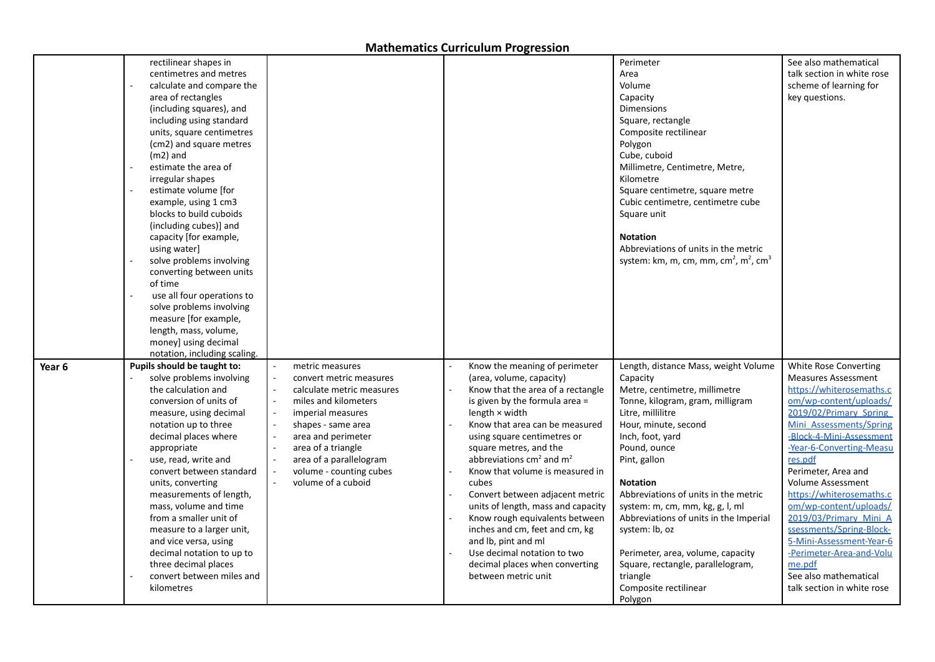|        | rectilinear shapes in<br>centimetres and metres<br>calculate and compare the<br>area of rectangles<br>(including squares), and<br>including using standard<br>units, square centimetres<br>(cm2) and square metres<br>$(m2)$ and<br>estimate the area of<br>irregular shapes<br>estimate volume [for<br>example, using 1 cm3<br>blocks to build cuboids<br>(including cubes)] and<br>capacity [for example,<br>using water]<br>solve problems involving<br>converting between units<br>of time<br>use all four operations to<br>solve problems involving<br>measure [for example,<br>length, mass, volume,<br>money] using decimal<br>notation, including scaling. |                                                                                                                                                                                                                                                                    |                                                                                                                                                                                                                                                                                                                                                                                                                                                                                                                                                                                                              | Perimeter<br>Area<br>Volume<br>Capacity<br><b>Dimensions</b><br>Square, rectangle<br>Composite rectilinear<br>Polygon<br>Cube, cuboid<br>Millimetre, Centimetre, Metre,<br>Kilometre<br>Square centimetre, square metre<br>Cubic centimetre, centimetre cube<br>Square unit<br><b>Notation</b><br>Abbreviations of units in the metric<br>system: km, m, cm, mm, cm <sup>2</sup> , m <sup>2</sup> , cm <sup>3</sup>                                                                                        | See also mathematical<br>talk section in white rose<br>scheme of learning for<br>key questions.                                                                                                                                                                                                                                                                                                                                                                                                                    |
|--------|--------------------------------------------------------------------------------------------------------------------------------------------------------------------------------------------------------------------------------------------------------------------------------------------------------------------------------------------------------------------------------------------------------------------------------------------------------------------------------------------------------------------------------------------------------------------------------------------------------------------------------------------------------------------|--------------------------------------------------------------------------------------------------------------------------------------------------------------------------------------------------------------------------------------------------------------------|--------------------------------------------------------------------------------------------------------------------------------------------------------------------------------------------------------------------------------------------------------------------------------------------------------------------------------------------------------------------------------------------------------------------------------------------------------------------------------------------------------------------------------------------------------------------------------------------------------------|------------------------------------------------------------------------------------------------------------------------------------------------------------------------------------------------------------------------------------------------------------------------------------------------------------------------------------------------------------------------------------------------------------------------------------------------------------------------------------------------------------|--------------------------------------------------------------------------------------------------------------------------------------------------------------------------------------------------------------------------------------------------------------------------------------------------------------------------------------------------------------------------------------------------------------------------------------------------------------------------------------------------------------------|
| Year 6 | Pupils should be taught to:<br>solve problems involving<br>the calculation and<br>conversion of units of<br>measure, using decimal<br>notation up to three<br>decimal places where<br>appropriate<br>use, read, write and<br>convert between standard<br>units, converting<br>measurements of length,<br>mass, volume and time<br>from a smaller unit of<br>measure to a larger unit,<br>and vice versa, using<br>decimal notation to up to<br>three decimal places<br>convert between miles and<br>kilometres                                                                                                                                                     | metric measures<br>convert metric measures<br>calculate metric measures<br>miles and kilometers<br>imperial measures<br>shapes - same area<br>area and perimeter<br>area of a triangle<br>area of a parallelogram<br>volume - counting cubes<br>volume of a cuboid | Know the meaning of perimeter<br>(area, volume, capacity)<br>Know that the area of a rectangle<br>is given by the formula area =<br>length $\times$ width<br>Know that area can be measured<br>using square centimetres or<br>square metres, and the<br>abbreviations $\text{cm}^2$ and $\text{m}^2$<br>Know that volume is measured in<br>cubes<br>Convert between adjacent metric<br>units of length, mass and capacity<br>Know rough equivalents between<br>inches and cm, feet and cm, kg<br>and lb, pint and ml<br>Use decimal notation to two<br>decimal places when converting<br>between metric unit | Length, distance Mass, weight Volume<br>Capacity<br>Metre, centimetre, millimetre<br>Tonne, kilogram, gram, milligram<br>Litre, millilitre<br>Hour, minute, second<br>Inch, foot, yard<br>Pound, ounce<br>Pint, gallon<br><b>Notation</b><br>Abbreviations of units in the metric<br>system: m, cm, mm, kg, g, l, ml<br>Abbreviations of units in the Imperial<br>system: lb, oz<br>Perimeter, area, volume, capacity<br>Square, rectangle, parallelogram,<br>triangle<br>Composite rectilinear<br>Polygon | White Rose Converting<br><b>Measures Assessment</b><br>https://whiterosemaths.c<br>om/wp-content/uploads/<br>2019/02/Primary Spring<br>Mini Assessments/Spring<br>-Block-4-Mini-Assessment<br>-Year-6-Converting-Measu<br>res.pdf<br>Perimeter, Area and<br>Volume Assessment<br>https://whiterosemaths.c<br>om/wp-content/uploads/<br>2019/03/Primary Mini A<br>ssessments/Spring-Block-<br>5-Mini-Assessment-Year-6<br>-Perimeter-Area-and-Volu<br>me.pdf<br>See also mathematical<br>talk section in white rose |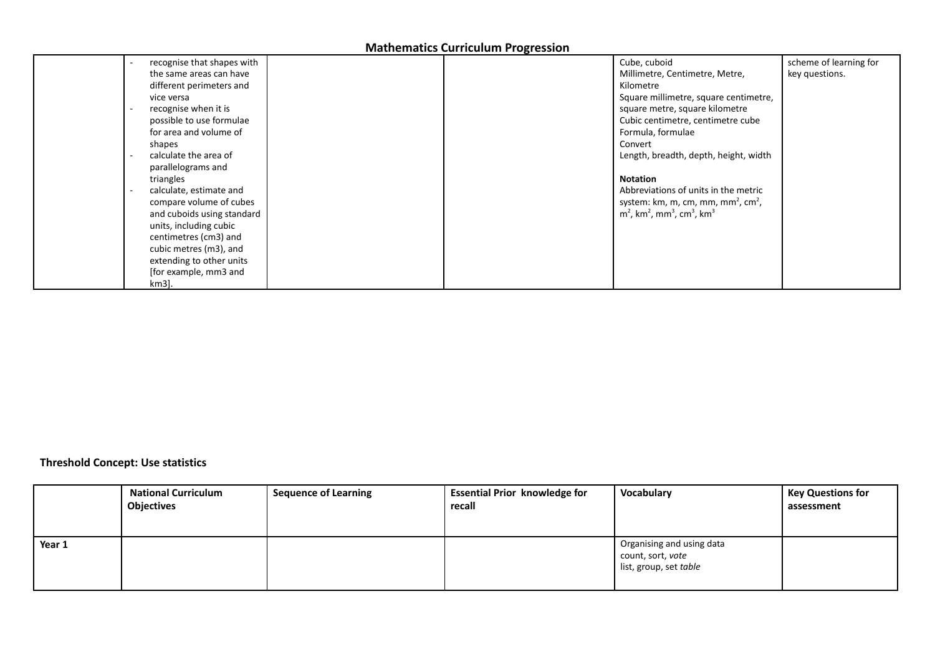| recognise that shapes with                        |  | Cube, cuboid                                                                 | scheme of learning for |
|---------------------------------------------------|--|------------------------------------------------------------------------------|------------------------|
| the same areas can have                           |  | Millimetre, Centimetre, Metre,                                               | key questions.         |
| different perimeters and                          |  | Kilometre                                                                    |                        |
| vice versa                                        |  | Square millimetre, square centimetre,                                        |                        |
| recognise when it is                              |  | square metre, square kilometre                                               |                        |
| possible to use formulae                          |  | Cubic centimetre, centimetre cube                                            |                        |
| for area and volume of                            |  | Formula, formulae                                                            |                        |
| shapes                                            |  | Convert                                                                      |                        |
| calculate the area of<br>$\overline{\phantom{a}}$ |  | Length, breadth, depth, height, width                                        |                        |
| parallelograms and                                |  |                                                                              |                        |
| triangles                                         |  | <b>Notation</b>                                                              |                        |
| calculate, estimate and                           |  | Abbreviations of units in the metric                                         |                        |
| compare volume of cubes                           |  | system: km, m, cm, mm, mm <sup>2</sup> , cm <sup>2</sup> ,                   |                        |
| and cuboids using standard                        |  | $m2$ , km <sup>2</sup> , mm <sup>3</sup> , cm <sup>3</sup> , km <sup>3</sup> |                        |
| units, including cubic                            |  |                                                                              |                        |
| centimetres (cm3) and                             |  |                                                                              |                        |
| cubic metres (m3), and                            |  |                                                                              |                        |
| extending to other units                          |  |                                                                              |                        |
| [for example, mm3 and                             |  |                                                                              |                        |
| km3].                                             |  |                                                                              |                        |

## **Threshold Concept: Use statistics**

|        | <b>National Curriculum</b> | <b>Sequence of Learning</b> | <b>Essential Prior knowledge for</b> | Vocabulary                | <b>Key Questions for</b> |
|--------|----------------------------|-----------------------------|--------------------------------------|---------------------------|--------------------------|
|        | <b>Objectives</b>          |                             | recall                               |                           | assessment               |
|        |                            |                             |                                      |                           |                          |
|        |                            |                             |                                      |                           |                          |
| Year 1 |                            |                             |                                      | Organising and using data |                          |
|        |                            |                             |                                      | count, sort, vote         |                          |
|        |                            |                             |                                      | list, group, set table    |                          |
|        |                            |                             |                                      |                           |                          |
|        |                            |                             |                                      |                           |                          |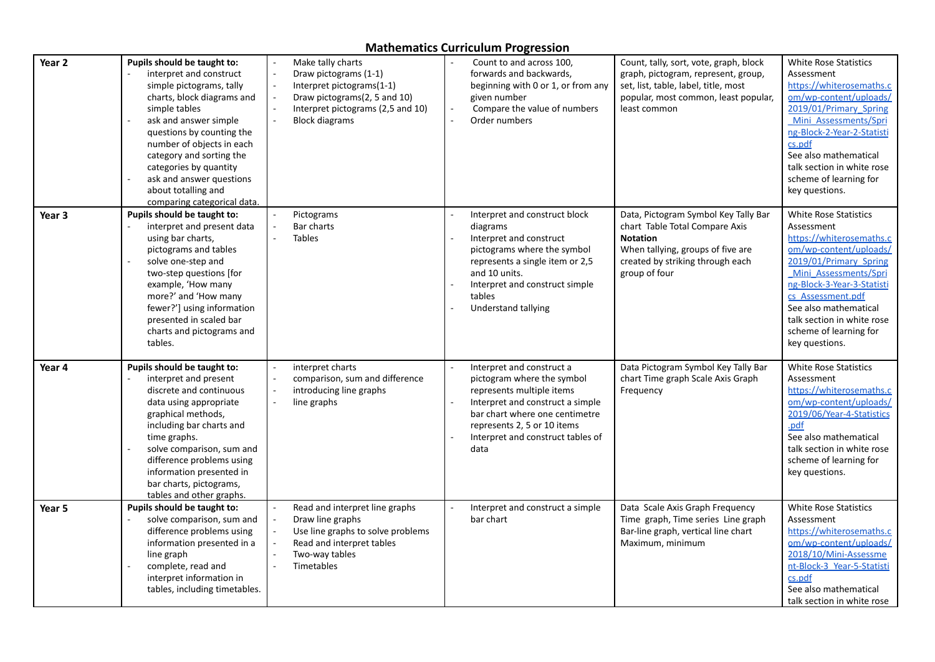| Year 2            | Pupils should be taught to:<br>interpret and construct<br>simple pictograms, tally<br>charts, block diagrams and<br>simple tables<br>ask and answer simple<br>questions by counting the<br>number of objects in each<br>category and sorting the<br>categories by quantity<br>ask and answer questions<br>about totalling and<br>comparing categorical data. | Make tally charts<br>Draw pictograms (1-1)<br>Interpret pictograms(1-1)<br>Draw pictograms(2, 5 and 10)<br>Interpret pictograms (2,5 and 10)<br><b>Block diagrams</b> | Count to and across 100,<br>forwards and backwards,<br>beginning with 0 or 1, or from any<br>given number<br>Compare the value of numbers<br>$\sim$<br>Order numbers<br>L.                                                                       | Count, tally, sort, vote, graph, block<br>graph, pictogram, represent, group,<br>set, list, table, label, title, most<br>popular, most common, least popular,<br>least common       | <b>White Rose Statistics</b><br>Assessment<br>https://whiterosemaths.c<br>om/wp-content/uploads/<br>2019/01/Primary Spring<br>Mini Assessments/Spri<br>ng-Block-2-Year-2-Statisti<br>cs.pdf<br>See also mathematical<br>talk section in white rose<br>scheme of learning for<br>key questions.            |
|-------------------|--------------------------------------------------------------------------------------------------------------------------------------------------------------------------------------------------------------------------------------------------------------------------------------------------------------------------------------------------------------|-----------------------------------------------------------------------------------------------------------------------------------------------------------------------|--------------------------------------------------------------------------------------------------------------------------------------------------------------------------------------------------------------------------------------------------|-------------------------------------------------------------------------------------------------------------------------------------------------------------------------------------|-----------------------------------------------------------------------------------------------------------------------------------------------------------------------------------------------------------------------------------------------------------------------------------------------------------|
| Year <sub>3</sub> | Pupils should be taught to:<br>interpret and present data<br>using bar charts,<br>pictograms and tables<br>solve one-step and<br>two-step questions [for<br>example, 'How many<br>more?' and 'How many<br>fewer?'] using information<br>presented in scaled bar<br>charts and pictograms and<br>tables.                                                      | Pictograms<br>Bar charts<br><b>Tables</b>                                                                                                                             | Interpret and construct block<br>diagrams<br>Interpret and construct<br>pictograms where the symbol<br>represents a single item or 2,5<br>and 10 units.<br>Interpret and construct simple<br>tables<br>Understand tallying                       | Data, Pictogram Symbol Key Tally Bar<br>chart Table Total Compare Axis<br><b>Notation</b><br>When tallying, groups of five are<br>created by striking through each<br>group of four | <b>White Rose Statistics</b><br>Assessment<br>https://whiterosemaths.c<br>om/wp-content/uploads/<br>2019/01/Primary Spring<br>Mini Assessments/Spri<br>ng-Block-3-Year-3-Statisti<br>cs Assessment.pdf<br>See also mathematical<br>talk section in white rose<br>scheme of learning for<br>key questions. |
| Year 4            | Pupils should be taught to:<br>interpret and present<br>discrete and continuous<br>data using appropriate<br>graphical methods,<br>including bar charts and<br>time graphs.<br>solve comparison, sum and<br>difference problems using<br>information presented in<br>bar charts, pictograms,<br>tables and other graphs.                                     | interpret charts<br>comparison, sum and difference<br>introducing line graphs<br>line graphs                                                                          | Interpret and construct a<br>pictogram where the symbol<br>represents multiple items<br>Interpret and construct a simple<br>$\sim$<br>bar chart where one centimetre<br>represents 2, 5 or 10 items<br>Interpret and construct tables of<br>data | Data Pictogram Symbol Key Tally Bar<br>chart Time graph Scale Axis Graph<br>Frequency                                                                                               | <b>White Rose Statistics</b><br>Assessment<br>https://whiterosemaths.c<br>om/wp-content/uploads/<br>2019/06/Year-4-Statistics<br>.pdf<br>See also mathematical<br>talk section in white rose<br>scheme of learning for<br>key questions.                                                                  |
| Year 5            | Pupils should be taught to:<br>solve comparison, sum and<br>difference problems using<br>information presented in a<br>line graph<br>complete, read and<br>interpret information in<br>tables, including timetables.                                                                                                                                         | Read and interpret line graphs<br>Draw line graphs<br>Use line graphs to solve problems<br>Read and interpret tables<br>Two-way tables<br>Timetables                  | Interpret and construct a simple<br>bar chart                                                                                                                                                                                                    | Data Scale Axis Graph Frequency<br>Time graph, Time series Line graph<br>Bar-line graph, vertical line chart<br>Maximum, minimum                                                    | <b>White Rose Statistics</b><br>Assessment<br>https://whiterosemaths.c<br>om/wp-content/uploads/<br>2018/10/Mini-Assessme<br>nt-Block-3 Year-5-Statisti<br>cs.pdf<br>See also mathematical<br>talk section in white rose                                                                                  |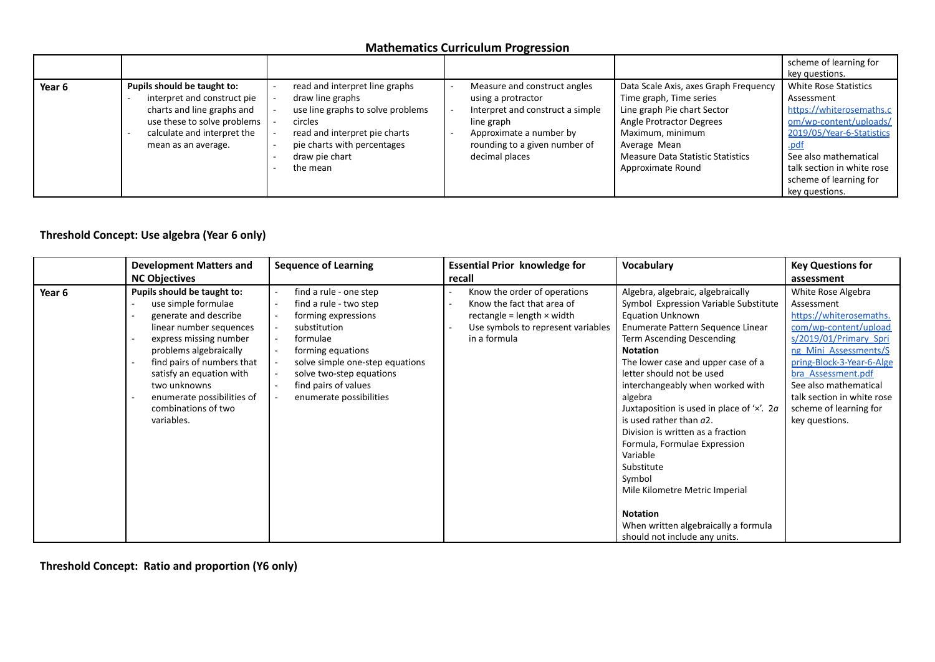|        |                                                                                                                                                                               |                                                                                                                                                                                                  |                                                                                                                                                                                    |                                                                                                                                                                                                                                  | scheme of learning for<br>key questions.                                                                                                                                                                                                 |
|--------|-------------------------------------------------------------------------------------------------------------------------------------------------------------------------------|--------------------------------------------------------------------------------------------------------------------------------------------------------------------------------------------------|------------------------------------------------------------------------------------------------------------------------------------------------------------------------------------|----------------------------------------------------------------------------------------------------------------------------------------------------------------------------------------------------------------------------------|------------------------------------------------------------------------------------------------------------------------------------------------------------------------------------------------------------------------------------------|
| Year 6 | Pupils should be taught to:<br>interpret and construct pie<br>charts and line graphs and<br>use these to solve problems<br>calculate and interpret the<br>mean as an average. | read and interpret line graphs<br>draw line graphs<br>use line graphs to solve problems<br>circles<br>read and interpret pie charts<br>pie charts with percentages<br>draw pie chart<br>the mean | Measure and construct angles<br>using a protractor<br>Interpret and construct a simple<br>line graph<br>Approximate a number by<br>rounding to a given number of<br>decimal places | Data Scale Axis, axes Graph Frequency<br>Time graph, Time series<br>Line graph Pie chart Sector<br>Angle Protractor Degrees<br>Maximum, minimum<br>Average Mean<br><b>Measure Data Statistic Statistics</b><br>Approximate Round | <b>White Rose Statistics</b><br>Assessment<br>https://whiterosemaths.c<br>om/wp-content/uploads/<br>2019/05/Year-6-Statistics<br>.pdf<br>See also mathematical<br>talk section in white rose<br>scheme of learning for<br>key questions. |

## **Threshold Concept: Use algebra (Year 6 only)**

|        | <b>Development Matters and</b>                                                                                                                                                                                                                                                                          | <b>Sequence of Learning</b><br><b>Essential Prior knowledge for</b><br>recall                                                                                                                                                              |                                                                                                                                                       | <b>Vocabulary</b>                                                                                                                                                                                                                                                                                                                                                                                                                                                                                                                                                                                                                      | <b>Key Questions for</b>                                                                                                                                                                                                                                                                      |
|--------|---------------------------------------------------------------------------------------------------------------------------------------------------------------------------------------------------------------------------------------------------------------------------------------------------------|--------------------------------------------------------------------------------------------------------------------------------------------------------------------------------------------------------------------------------------------|-------------------------------------------------------------------------------------------------------------------------------------------------------|----------------------------------------------------------------------------------------------------------------------------------------------------------------------------------------------------------------------------------------------------------------------------------------------------------------------------------------------------------------------------------------------------------------------------------------------------------------------------------------------------------------------------------------------------------------------------------------------------------------------------------------|-----------------------------------------------------------------------------------------------------------------------------------------------------------------------------------------------------------------------------------------------------------------------------------------------|
|        | <b>NC Objectives</b>                                                                                                                                                                                                                                                                                    |                                                                                                                                                                                                                                            |                                                                                                                                                       |                                                                                                                                                                                                                                                                                                                                                                                                                                                                                                                                                                                                                                        | assessment                                                                                                                                                                                                                                                                                    |
| Year 6 | Pupils should be taught to:<br>use simple formulae<br>generate and describe<br>linear number sequences<br>express missing number<br>problems algebraically<br>find pairs of numbers that<br>satisfy an equation with<br>two unknowns<br>enumerate possibilities of<br>combinations of two<br>variables. | find a rule - one step<br>find a rule - two step<br>forming expressions<br>substitution<br>formulae<br>forming equations<br>solve simple one-step equations<br>solve two-step equations<br>find pairs of values<br>enumerate possibilities | Know the order of operations<br>Know the fact that area of<br>rectangle = length $\times$ width<br>Use symbols to represent variables<br>in a formula | Algebra, algebraic, algebraically<br>Symbol Expression Variable Substitute<br><b>Equation Unknown</b><br>Enumerate Pattern Sequence Linear<br>Term Ascending Descending<br><b>Notation</b><br>The lower case and upper case of a<br>letter should not be used<br>interchangeably when worked with<br>algebra<br>Juxtaposition is used in place of $'x'$ . 2 <i>a</i><br>is used rather than a2.<br>Division is written as a fraction<br>Formula, Formulae Expression<br>Variable<br>Substitute<br>Symbol<br>Mile Kilometre Metric Imperial<br><b>Notation</b><br>When written algebraically a formula<br>should not include any units. | White Rose Algebra<br>Assessment<br>https://whiterosemaths.<br>com/wp-content/upload<br>s/2019/01/Primary Spri<br>ng Mini Assessments/S<br>pring-Block-3-Year-6-Alge<br>bra Assessment.pdf<br>See also mathematical<br>talk section in white rose<br>scheme of learning for<br>key questions. |

**Threshold Concept: Ratio and proportion (Y6 only)**